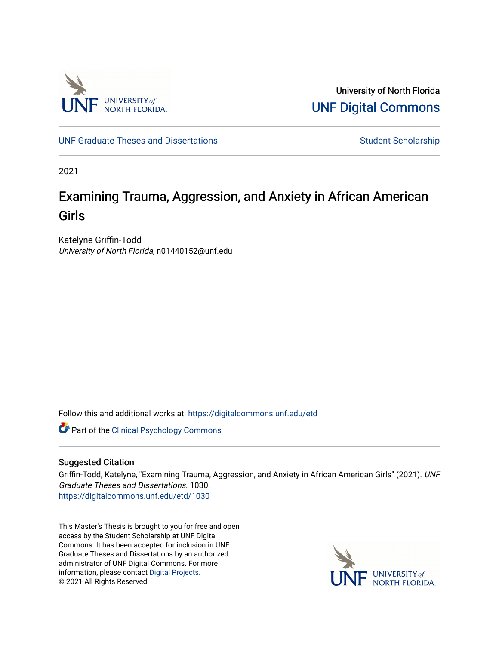

University of North Florida [UNF Digital Commons](https://digitalcommons.unf.edu/) 

[UNF Graduate Theses and Dissertations](https://digitalcommons.unf.edu/etd) [Student Scholarship](https://digitalcommons.unf.edu/student_scholars) Student Scholarship

2021

# Examining Trauma, Aggression, and Anxiety in African American Girls

Katelyne Griffin-Todd University of North Florida, n01440152@unf.edu

Follow this and additional works at: [https://digitalcommons.unf.edu/etd](https://digitalcommons.unf.edu/etd?utm_source=digitalcommons.unf.edu%2Fetd%2F1030&utm_medium=PDF&utm_campaign=PDFCoverPages) 

Part of the [Clinical Psychology Commons](http://network.bepress.com/hgg/discipline/406?utm_source=digitalcommons.unf.edu%2Fetd%2F1030&utm_medium=PDF&utm_campaign=PDFCoverPages) 

## Suggested Citation

Griffin-Todd, Katelyne, "Examining Trauma, Aggression, and Anxiety in African American Girls" (2021). UNF Graduate Theses and Dissertations. 1030. [https://digitalcommons.unf.edu/etd/1030](https://digitalcommons.unf.edu/etd/1030?utm_source=digitalcommons.unf.edu%2Fetd%2F1030&utm_medium=PDF&utm_campaign=PDFCoverPages) 

This Master's Thesis is brought to you for free and open access by the Student Scholarship at UNF Digital Commons. It has been accepted for inclusion in UNF Graduate Theses and Dissertations by an authorized administrator of UNF Digital Commons. For more information, please contact [Digital Projects](mailto:lib-digital@unf.edu). © 2021 All Rights Reserved

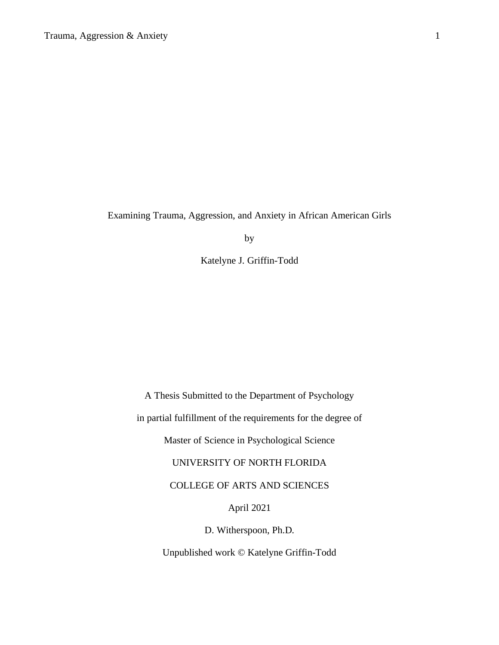Examining Trauma, Aggression, and Anxiety in African American Girls

by

Katelyne J. Griffin-Todd

A Thesis Submitted to the Department of Psychology in partial fulfillment of the requirements for the degree of Master of Science in Psychological Science UNIVERSITY OF NORTH FLORIDA COLLEGE OF ARTS AND SCIENCES April 2021 D. Witherspoon, Ph.D. Unpublished work © Katelyne Griffin-Todd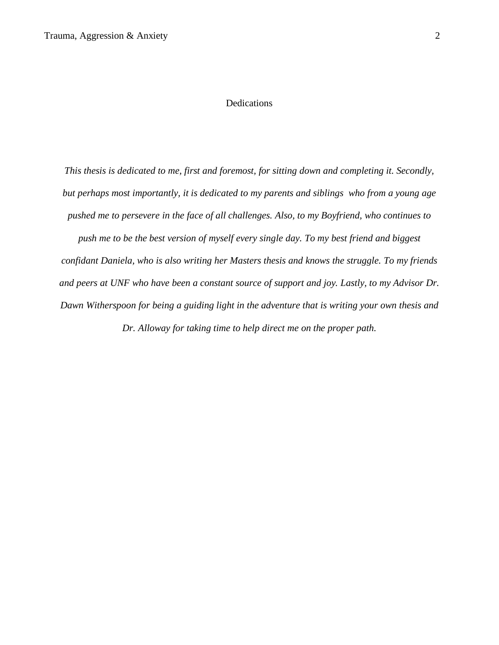## Dedications

*This thesis is dedicated to me, first and foremost, for sitting down and completing it. Secondly, but perhaps most importantly, it is dedicated to my parents and siblings who from a young age pushed me to persevere in the face of all challenges. Also, to my Boyfriend, who continues to push me to be the best version of myself every single day. To my best friend and biggest confidant Daniela, who is also writing her Masters thesis and knows the struggle. To my friends and peers at UNF who have been a constant source of support and joy. Lastly, to my Advisor Dr. Dawn Witherspoon for being a guiding light in the adventure that is writing your own thesis and* 

*Dr. Alloway for taking time to help direct me on the proper path.*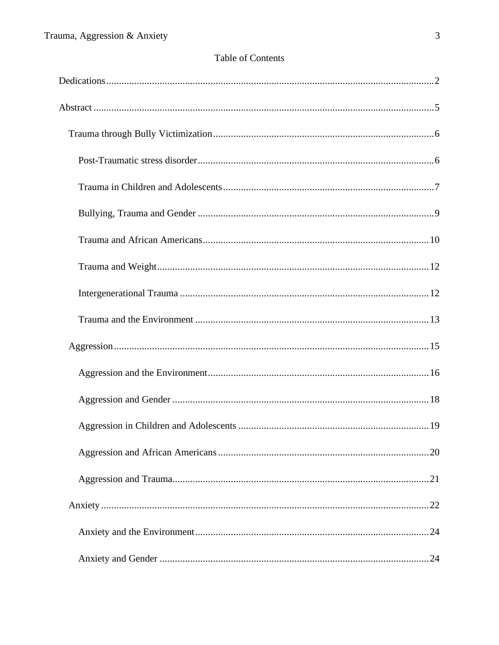## Table of Contents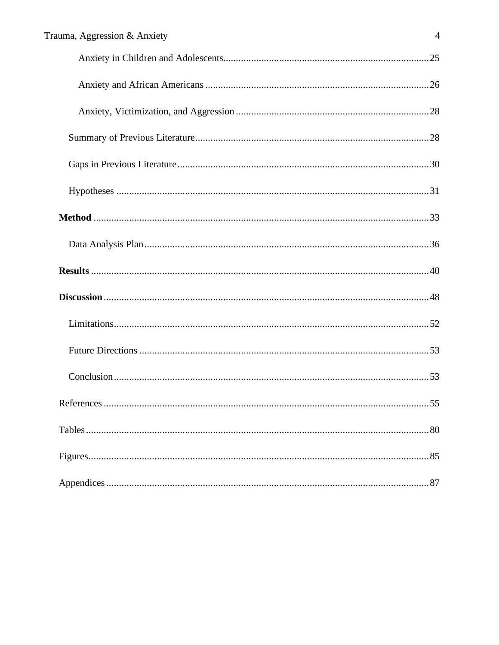| Trauma, Aggression & Anxiety<br>$\overline{4}$ |
|------------------------------------------------|
|                                                |
|                                                |
|                                                |
|                                                |
|                                                |
|                                                |
|                                                |
|                                                |
|                                                |
|                                                |
|                                                |
|                                                |
|                                                |
|                                                |
|                                                |
|                                                |
|                                                |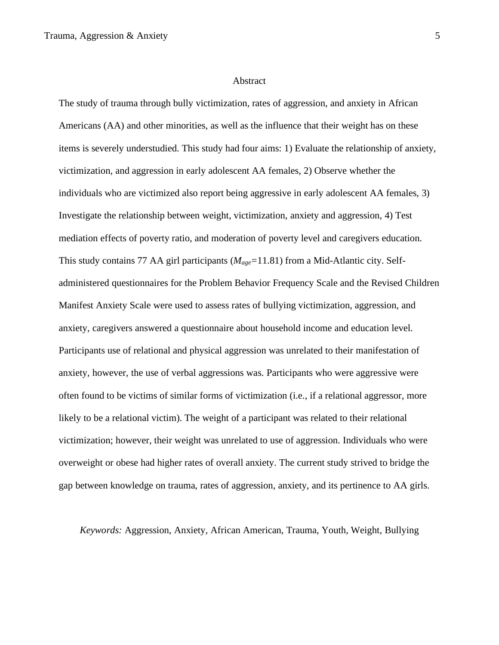The study of trauma through bully victimization, rates of aggression, and anxiety in African Americans (AA) and other minorities, as well as the influence that their weight has on these items is severely understudied. This study had four aims: 1) Evaluate the relationship of anxiety, victimization, and aggression in early adolescent AA females, 2) Observe whether the individuals who are victimized also report being aggressive in early adolescent AA females, 3) Investigate the relationship between weight, victimization, anxiety and aggression, 4) Test mediation effects of poverty ratio, and moderation of poverty level and caregivers education. This study contains 77 AA girl participants (*Mage=*11.81) from a Mid-Atlantic city. Selfadministered questionnaires for the Problem Behavior Frequency Scale and the Revised Children Manifest Anxiety Scale were used to assess rates of bullying victimization, aggression, and anxiety, caregivers answered a questionnaire about household income and education level. Participants use of relational and physical aggression was unrelated to their manifestation of anxiety, however, the use of verbal aggressions was. Participants who were aggressive were often found to be victims of similar forms of victimization (i.e., if a relational aggressor, more likely to be a relational victim). The weight of a participant was related to their relational victimization; however, their weight was unrelated to use of aggression. Individuals who were overweight or obese had higher rates of overall anxiety. The current study strived to bridge the gap between knowledge on trauma, rates of aggression, anxiety, and its pertinence to AA girls.

*Keywords:* Aggression, Anxiety, African American, Trauma, Youth, Weight, Bullying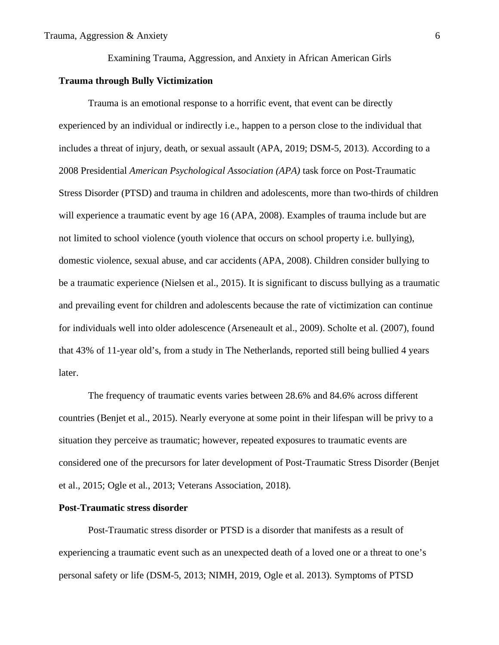Examining Trauma, Aggression, and Anxiety in African American Girls

## **Trauma through Bully Victimization**

Trauma is an emotional response to a horrific event, that event can be directly experienced by an individual or indirectly i.e., happen to a person close to the individual that includes a threat of injury, death, or sexual assault (APA, 2019; DSM-5, 2013). According to a 2008 Presidential *American Psychological Association (APA)* task force on Post-Traumatic Stress Disorder (PTSD) and trauma in children and adolescents, more than two-thirds of children will experience a traumatic event by age 16 (APA, 2008). Examples of trauma include but are not limited to school violence (youth violence that occurs on school property i.e. bullying), domestic violence, sexual abuse, and car accidents (APA, 2008). Children consider bullying to be a traumatic experience (Nielsen et al., 2015). It is significant to discuss bullying as a traumatic and prevailing event for children and adolescents because the rate of victimization can continue for individuals well into older adolescence (Arseneault et al., 2009). Scholte et al. (2007), found that 43% of 11-year old's, from a study in The Netherlands, reported still being bullied 4 years later.

The frequency of traumatic events varies between 28.6% and 84.6% across different countries (Benjet et al., 2015). Nearly everyone at some point in their lifespan will be privy to a situation they perceive as traumatic; however, repeated exposures to traumatic events are considered one of the precursors for later development of Post-Traumatic Stress Disorder (Benjet et al., 2015; Ogle et al., 2013; Veterans Association, 2018).

## **Post-Traumatic stress disorder**

Post-Traumatic stress disorder or PTSD is a disorder that manifests as a result of experiencing a traumatic event such as an unexpected death of a loved one or a threat to one's personal safety or life (DSM-5, 2013; NIMH, 2019, Ogle et al. 2013). Symptoms of PTSD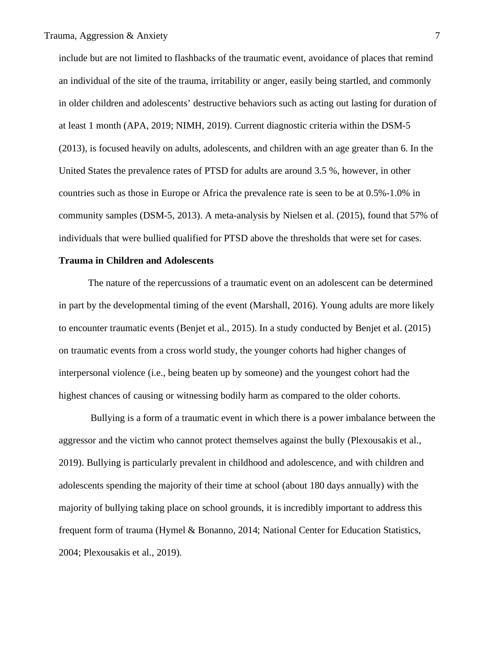include but are not limited to flashbacks of the traumatic event, avoidance of places that remind an individual of the site of the trauma, irritability or anger, easily being startled, and commonly in older children and adolescents' destructive behaviors such as acting out lasting for duration of at least 1 month (APA, 2019; NIMH, 2019). Current diagnostic criteria within the DSM-5 (2013), is focused heavily on adults, adolescents, and children with an age greater than 6. In the United States the prevalence rates of PTSD for adults are around 3.5 %, however, in other countries such as those in Europe or Africa the prevalence rate is seen to be at 0.5%-1.0% in community samples (DSM-5, 2013). A meta-analysis by Nielsen et al. (2015), found that 57% of individuals that were bullied qualified for PTSD above the thresholds that were set for cases.

#### **Trauma in Children and Adolescents**

The nature of the repercussions of a traumatic event on an adolescent can be determined in part by the developmental timing of the event (Marshall, 2016). Young adults are more likely to encounter traumatic events (Benjet et al., 2015). In a study conducted by Benjet et al. (2015) on traumatic events from a cross world study, the younger cohorts had higher changes of interpersonal violence (i.e., being beaten up by someone) and the youngest cohort had the highest chances of causing or witnessing bodily harm as compared to the older cohorts.

Bullying is a form of a traumatic event in which there is a power imbalance between the aggressor and the victim who cannot protect themselves against the bully (Plexousakis et al., 2019). Bullying is particularly prevalent in childhood and adolescence, and with children and adolescents spending the majority of their time at school (about 180 days annually) with the majority of bullying taking place on school grounds, it is incredibly important to address this frequent form of trauma (Hymel & Bonanno, 2014; National Center for Education Statistics, 2004; Plexousakis et al., 2019).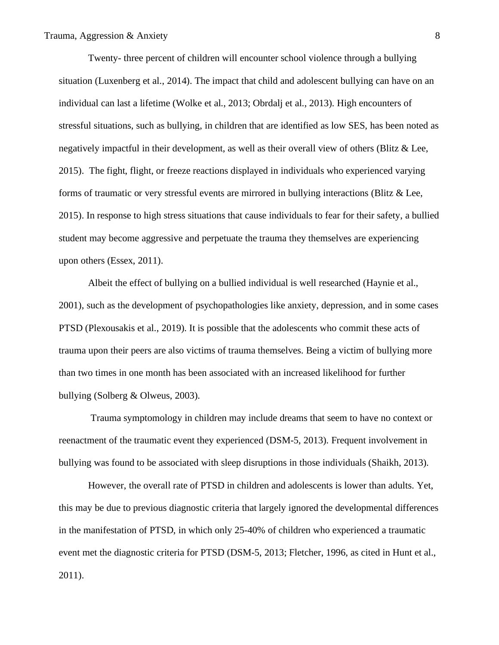Twenty- three percent of children will encounter school violence through a bullying situation (Luxenberg et al., 2014). The impact that child and adolescent bullying can have on an individual can last a lifetime (Wolke et al., 2013; Obrdalj et al., 2013). High encounters of stressful situations, such as bullying, in children that are identified as low SES, has been noted as negatively impactful in their development, as well as their overall view of others (Blitz & Lee, 2015). The fight, flight, or freeze reactions displayed in individuals who experienced varying forms of traumatic or very stressful events are mirrored in bullying interactions (Blitz & Lee, 2015). In response to high stress situations that cause individuals to fear for their safety, a bullied student may become aggressive and perpetuate the trauma they themselves are experiencing upon others (Essex, 2011).

Albeit the effect of bullying on a bullied individual is well researched (Haynie et al., 2001), such as the development of psychopathologies like anxiety, depression, and in some cases PTSD (Plexousakis et al., 2019). It is possible that the adolescents who commit these acts of trauma upon their peers are also victims of trauma themselves. Being a victim of bullying more than two times in one month has been associated with an increased likelihood for further bullying (Solberg & Olweus, 2003).

Trauma symptomology in children may include dreams that seem to have no context or reenactment of the traumatic event they experienced (DSM-5, 2013). Frequent involvement in bullying was found to be associated with sleep disruptions in those individuals (Shaikh, 2013).

However, the overall rate of PTSD in children and adolescents is lower than adults. Yet, this may be due to previous diagnostic criteria that largely ignored the developmental differences in the manifestation of PTSD, in which only 25-40% of children who experienced a traumatic event met the diagnostic criteria for PTSD (DSM-5, 2013; Fletcher, 1996, as cited in Hunt et al., 2011).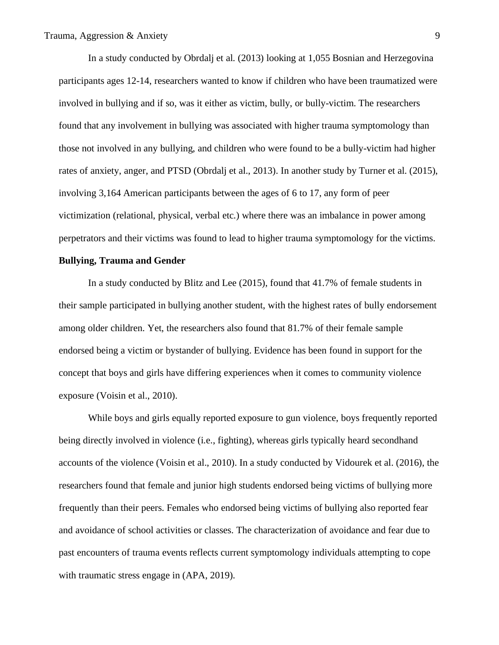In a study conducted by Obrdalj et al. (2013) looking at 1,055 Bosnian and Herzegovina participants ages 12-14, researchers wanted to know if children who have been traumatized were involved in bullying and if so, was it either as victim, bully, or bully-victim. The researchers found that any involvement in bullying was associated with higher trauma symptomology than those not involved in any bullying, and children who were found to be a bully-victim had higher rates of anxiety, anger, and PTSD (Obrdalj et al., 2013). In another study by Turner et al. (2015), involving 3,164 American participants between the ages of 6 to 17, any form of peer victimization (relational, physical, verbal etc.) where there was an imbalance in power among perpetrators and their victims was found to lead to higher trauma symptomology for the victims.

#### **Bullying, Trauma and Gender**

In a study conducted by Blitz and Lee (2015), found that 41.7% of female students in their sample participated in bullying another student, with the highest rates of bully endorsement among older children. Yet, the researchers also found that 81.7% of their female sample endorsed being a victim or bystander of bullying. Evidence has been found in support for the concept that boys and girls have differing experiences when it comes to community violence exposure (Voisin et al., 2010).

While boys and girls equally reported exposure to gun violence, boys frequently reported being directly involved in violence (i.e., fighting), whereas girls typically heard secondhand accounts of the violence (Voisin et al., 2010). In a study conducted by Vidourek et al. (2016), the researchers found that female and junior high students endorsed being victims of bullying more frequently than their peers. Females who endorsed being victims of bullying also reported fear and avoidance of school activities or classes. The characterization of avoidance and fear due to past encounters of trauma events reflects current symptomology individuals attempting to cope with traumatic stress engage in (APA, 2019).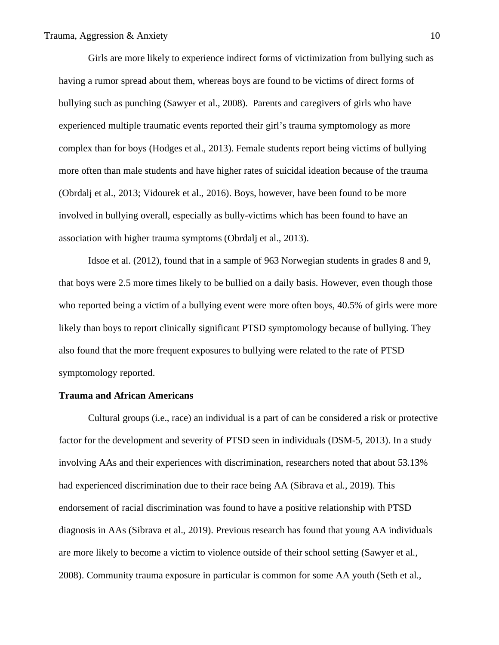Girls are more likely to experience indirect forms of victimization from bullying such as having a rumor spread about them, whereas boys are found to be victims of direct forms of bullying such as punching (Sawyer et al., 2008). Parents and caregivers of girls who have experienced multiple traumatic events reported their girl's trauma symptomology as more complex than for boys (Hodges et al., 2013). Female students report being victims of bullying more often than male students and have higher rates of suicidal ideation because of the trauma (Obrdalj et al., 2013; Vidourek et al., 2016). Boys, however, have been found to be more involved in bullying overall, especially as bully-victims which has been found to have an association with higher trauma symptoms (Obrdalj et al., 2013).

Idsoe et al. (2012), found that in a sample of 963 Norwegian students in grades 8 and 9, that boys were 2.5 more times likely to be bullied on a daily basis. However, even though those who reported being a victim of a bullying event were more often boys, 40.5% of girls were more likely than boys to report clinically significant PTSD symptomology because of bullying. They also found that the more frequent exposures to bullying were related to the rate of PTSD symptomology reported.

## **Trauma and African Americans**

Cultural groups (i.e., race) an individual is a part of can be considered a risk or protective factor for the development and severity of PTSD seen in individuals (DSM-5, 2013). In a study involving AAs and their experiences with discrimination, researchers noted that about 53.13% had experienced discrimination due to their race being AA (Sibrava et al., 2019). This endorsement of racial discrimination was found to have a positive relationship with PTSD diagnosis in AAs (Sibrava et al., 2019). Previous research has found that young AA individuals are more likely to become a victim to violence outside of their school setting (Sawyer et al., 2008). Community trauma exposure in particular is common for some AA youth (Seth et al.,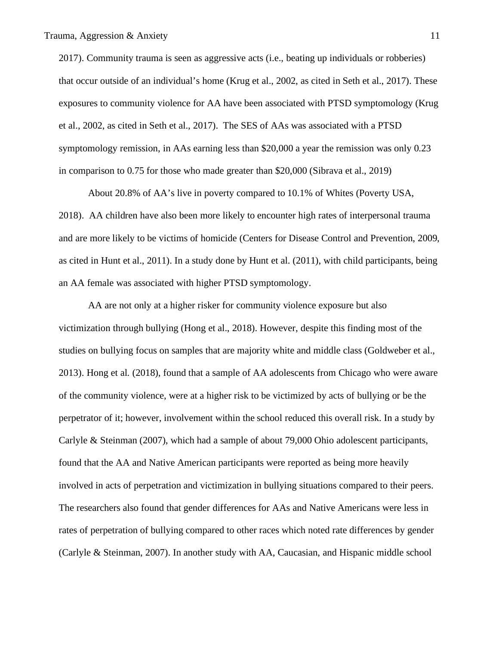2017). Community trauma is seen as aggressive acts (i.e., beating up individuals or robberies) that occur outside of an individual's home (Krug et al., 2002, as cited in Seth et al., 2017). These exposures to community violence for AA have been associated with PTSD symptomology (Krug et al., 2002, as cited in Seth et al., 2017). The SES of AAs was associated with a PTSD symptomology remission, in AAs earning less than \$20,000 a year the remission was only 0.23 in comparison to 0.75 for those who made greater than \$20,000 (Sibrava et al., 2019)

About 20.8% of AA's live in poverty compared to 10.1% of Whites (Poverty USA, 2018). AA children have also been more likely to encounter high rates of interpersonal trauma and are more likely to be victims of homicide (Centers for Disease Control and Prevention, 2009, as cited in Hunt et al., 2011). In a study done by Hunt et al. (2011), with child participants, being an AA female was associated with higher PTSD symptomology.

AA are not only at a higher risker for community violence exposure but also victimization through bullying (Hong et al., 2018). However, despite this finding most of the studies on bullying focus on samples that are majority white and middle class (Goldweber et al., 2013). Hong et al. (2018), found that a sample of AA adolescents from Chicago who were aware of the community violence, were at a higher risk to be victimized by acts of bullying or be the perpetrator of it; however, involvement within the school reduced this overall risk. In a study by Carlyle & Steinman (2007), which had a sample of about 79,000 Ohio adolescent participants, found that the AA and Native American participants were reported as being more heavily involved in acts of perpetration and victimization in bullying situations compared to their peers. The researchers also found that gender differences for AAs and Native Americans were less in rates of perpetration of bullying compared to other races which noted rate differences by gender (Carlyle & Steinman, 2007). In another study with AA, Caucasian, and Hispanic middle school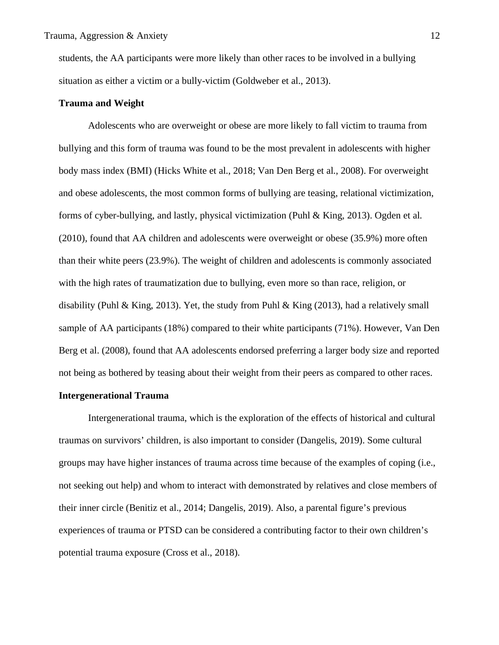students, the AA participants were more likely than other races to be involved in a bullying situation as either a victim or a bully-victim (Goldweber et al., 2013).

#### **Trauma and Weight**

Adolescents who are overweight or obese are more likely to fall victim to trauma from bullying and this form of trauma was found to be the most prevalent in adolescents with higher body mass index (BMI) (Hicks White et al., 2018; Van Den Berg et al., 2008). For overweight and obese adolescents, the most common forms of bullying are teasing, relational victimization, forms of cyber-bullying, and lastly, physical victimization (Puhl & King, 2013). Ogden et al. (2010), found that AA children and adolescents were overweight or obese (35.9%) more often than their white peers (23.9%). The weight of children and adolescents is commonly associated with the high rates of traumatization due to bullying, even more so than race, religion, or disability (Puhl & King, 2013). Yet, the study from Puhl & King (2013), had a relatively small sample of AA participants (18%) compared to their white participants (71%). However, Van Den Berg et al. (2008), found that AA adolescents endorsed preferring a larger body size and reported not being as bothered by teasing about their weight from their peers as compared to other races.

#### **Intergenerational Trauma**

Intergenerational trauma, which is the exploration of the effects of historical and cultural traumas on survivors' children, is also important to consider (Dangelis, 2019). Some cultural groups may have higher instances of trauma across time because of the examples of coping (i.e., not seeking out help) and whom to interact with demonstrated by relatives and close members of their inner circle (Benitiz et al., 2014; Dangelis, 2019). Also, a parental figure's previous experiences of trauma or PTSD can be considered a contributing factor to their own children's potential trauma exposure (Cross et al., 2018).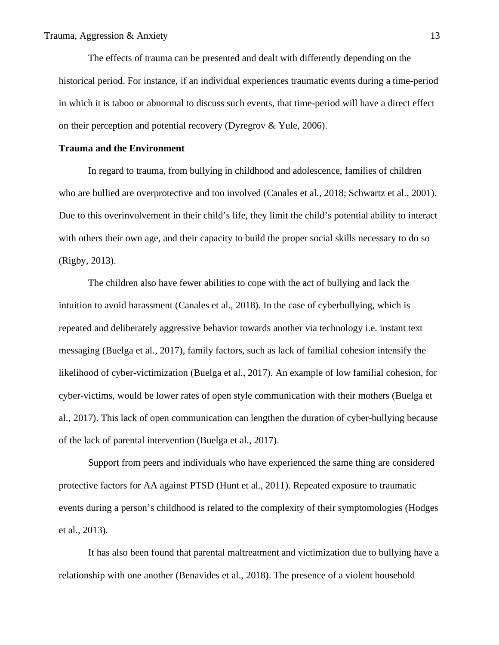The effects of trauma can be presented and dealt with differently depending on the historical period. For instance, if an individual experiences traumatic events during a time-period in which it is taboo or abnormal to discuss such events, that time-period will have a direct effect on their perception and potential recovery (Dyregrov & Yule, 2006).

#### **Trauma and the Environment**

In regard to trauma, from bullying in childhood and adolescence, families of children who are bullied are overprotective and too involved (Canales et al., 2018; Schwartz et al., 2001). Due to this overinvolvement in their child's life, they limit the child's potential ability to interact with others their own age, and their capacity to build the proper social skills necessary to do so (Rigby, 2013).

The children also have fewer abilities to cope with the act of bullying and lack the intuition to avoid harassment (Canales et al., 2018). In the case of cyberbullying, which is repeated and deliberately aggressive behavior towards another via technology i.e. instant text messaging (Buelga et al., 2017), family factors, such as lack of familial cohesion intensify the likelihood of cyber-victimization (Buelga et al., 2017). An example of low familial cohesion, for cyber-victims, would be lower rates of open style communication with their mothers (Buelga et al., 2017). This lack of open communication can lengthen the duration of cyber-bullying because of the lack of parental intervention (Buelga et al., 2017).

Support from peers and individuals who have experienced the same thing are considered protective factors for AA against PTSD (Hunt et al., 2011). Repeated exposure to traumatic events during a person's childhood is related to the complexity of their symptomologies (Hodges et al., 2013).

It has also been found that parental maltreatment and victimization due to bullying have a relationship with one another (Benavides et al., 2018). The presence of a violent household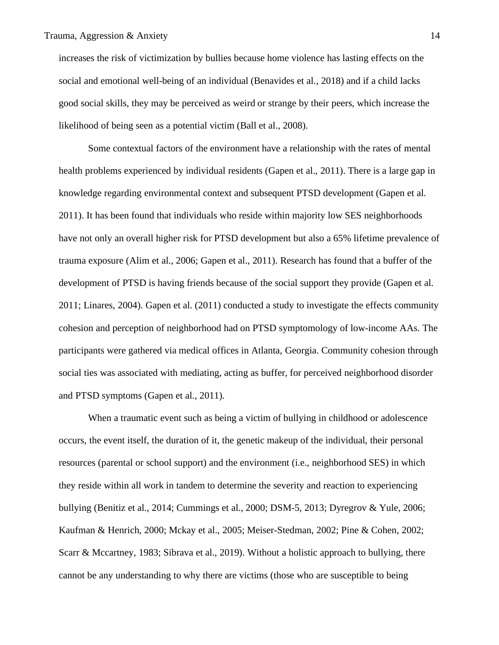increases the risk of victimization by bullies because home violence has lasting effects on the social and emotional well-being of an individual (Benavides et al., 2018) and if a child lacks good social skills, they may be perceived as weird or strange by their peers, which increase the likelihood of being seen as a potential victim (Ball et al., 2008).

Some contextual factors of the environment have a relationship with the rates of mental health problems experienced by individual residents (Gapen et al., 2011). There is a large gap in knowledge regarding environmental context and subsequent PTSD development (Gapen et al. 2011). It has been found that individuals who reside within majority low SES neighborhoods have not only an overall higher risk for PTSD development but also a 65% lifetime prevalence of trauma exposure (Alim et al., 2006; Gapen et al., 2011). Research has found that a buffer of the development of PTSD is having friends because of the social support they provide (Gapen et al. 2011; Linares, 2004). Gapen et al. (2011) conducted a study to investigate the effects community cohesion and perception of neighborhood had on PTSD symptomology of low-income AAs. The participants were gathered via medical offices in Atlanta, Georgia. Community cohesion through social ties was associated with mediating, acting as buffer, for perceived neighborhood disorder and PTSD symptoms (Gapen et al., 2011).

When a traumatic event such as being a victim of bullying in childhood or adolescence occurs, the event itself, the duration of it, the genetic makeup of the individual, their personal resources (parental or school support) and the environment (i.e., neighborhood SES) in which they reside within all work in tandem to determine the severity and reaction to experiencing bullying (Benitiz et al., 2014; Cummings et al., 2000; DSM-5, 2013; Dyregrov & Yule, 2006; Kaufman & Henrich, 2000; Mckay et al., 2005; Meiser-Stedman, 2002; Pine & Cohen, 2002; Scarr & Mccartney, 1983; Sibrava et al., 2019). Without a holistic approach to bullying, there cannot be any understanding to why there are victims (those who are susceptible to being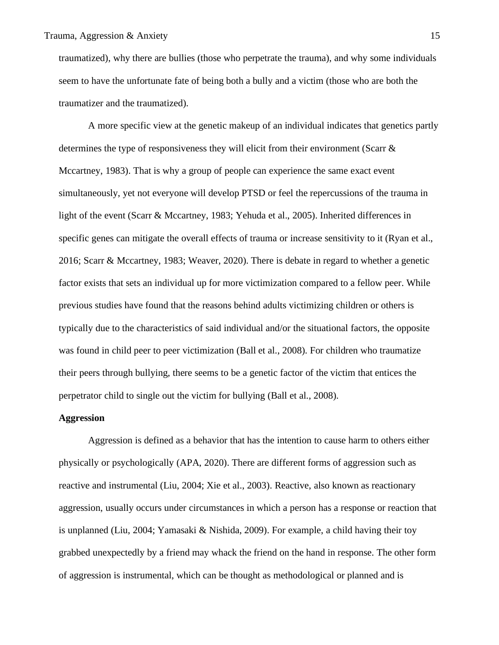traumatized), why there are bullies (those who perpetrate the trauma), and why some individuals seem to have the unfortunate fate of being both a bully and a victim (those who are both the traumatizer and the traumatized).

A more specific view at the genetic makeup of an individual indicates that genetics partly determines the type of responsiveness they will elicit from their environment (Scarr & Mccartney, 1983). That is why a group of people can experience the same exact event simultaneously, yet not everyone will develop PTSD or feel the repercussions of the trauma in light of the event (Scarr & Mccartney, 1983; Yehuda et al., 2005). Inherited differences in specific genes can mitigate the overall effects of trauma or increase sensitivity to it (Ryan et al., 2016; Scarr & Mccartney, 1983; Weaver, 2020). There is debate in regard to whether a genetic factor exists that sets an individual up for more victimization compared to a fellow peer. While previous studies have found that the reasons behind adults victimizing children or others is typically due to the characteristics of said individual and/or the situational factors, the opposite was found in child peer to peer victimization (Ball et al., 2008). For children who traumatize their peers through bullying, there seems to be a genetic factor of the victim that entices the perpetrator child to single out the victim for bullying (Ball et al., 2008).

#### **Aggression**

Aggression is defined as a behavior that has the intention to cause harm to others either physically or psychologically (APA, 2020). There are different forms of aggression such as reactive and instrumental (Liu, 2004; Xie et al., 2003). Reactive, also known as reactionary aggression, usually occurs under circumstances in which a person has a response or reaction that is unplanned (Liu, 2004; Yamasaki & Nishida, 2009). For example, a child having their toy grabbed unexpectedly by a friend may whack the friend on the hand in response. The other form of aggression is instrumental, which can be thought as methodological or planned and is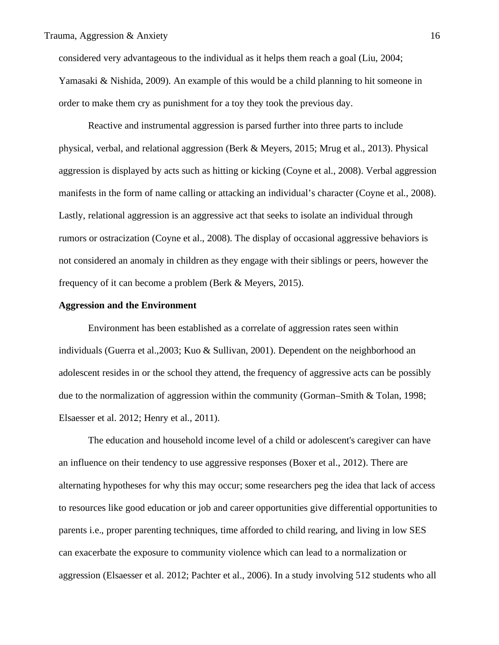considered very advantageous to the individual as it helps them reach a goal (Liu, 2004; Yamasaki & Nishida, 2009). An example of this would be a child planning to hit someone in order to make them cry as punishment for a toy they took the previous day.

Reactive and instrumental aggression is parsed further into three parts to include physical, verbal, and relational aggression (Berk & Meyers, 2015; Mrug et al., 2013). Physical aggression is displayed by acts such as hitting or kicking (Coyne et al., 2008). Verbal aggression manifests in the form of name calling or attacking an individual's character (Coyne et al., 2008). Lastly, relational aggression is an aggressive act that seeks to isolate an individual through rumors or ostracization (Coyne et al., 2008). The display of occasional aggressive behaviors is not considered an anomaly in children as they engage with their siblings or peers, however the frequency of it can become a problem (Berk & Meyers, 2015).

#### **Aggression and the Environment**

Environment has been established as a correlate of aggression rates seen within individuals (Guerra et al.,2003; Kuo & Sullivan, 2001). Dependent on the neighborhood an adolescent resides in or the school they attend, the frequency of aggressive acts can be possibly due to the normalization of aggression within the community (Gorman–Smith & Tolan, 1998; Elsaesser et al. 2012; Henry et al., 2011).

The education and household income level of a child or adolescent's caregiver can have an influence on their tendency to use aggressive responses (Boxer et al., 2012). There are alternating hypotheses for why this may occur; some researchers peg the idea that lack of access to resources like good education or job and career opportunities give differential opportunities to parents i.e., proper parenting techniques, time afforded to child rearing, and living in low SES can exacerbate the exposure to community violence which can lead to a normalization or aggression (Elsaesser et al. 2012; Pachter et al., 2006). In a study involving 512 students who all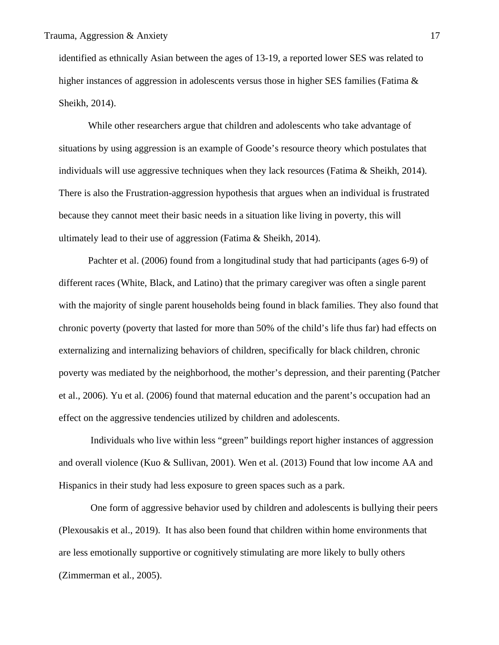identified as ethnically Asian between the ages of 13-19, a reported lower SES was related to higher instances of aggression in adolescents versus those in higher SES families (Fatima & Sheikh, 2014).

While other researchers argue that children and adolescents who take advantage of situations by using aggression is an example of Goode's resource theory which postulates that individuals will use aggressive techniques when they lack resources (Fatima & Sheikh, 2014). There is also the Frustration-aggression hypothesis that argues when an individual is frustrated because they cannot meet their basic needs in a situation like living in poverty, this will ultimately lead to their use of aggression (Fatima & Sheikh, 2014).

Pachter et al. (2006) found from a longitudinal study that had participants (ages 6-9) of different races (White, Black, and Latino) that the primary caregiver was often a single parent with the majority of single parent households being found in black families. They also found that chronic poverty (poverty that lasted for more than 50% of the child's life thus far) had effects on externalizing and internalizing behaviors of children, specifically for black children, chronic poverty was mediated by the neighborhood, the mother's depression, and their parenting (Patcher et al., 2006). Yu et al. (2006) found that maternal education and the parent's occupation had an effect on the aggressive tendencies utilized by children and adolescents.

Individuals who live within less "green" buildings report higher instances of aggression and overall violence (Kuo & Sullivan, 2001). Wen et al. (2013) Found that low income AA and Hispanics in their study had less exposure to green spaces such as a park.

One form of aggressive behavior used by children and adolescents is bullying their peers (Plexousakis et al., 2019). It has also been found that children within home environments that are less emotionally supportive or cognitively stimulating are more likely to bully others (Zimmerman et al., 2005).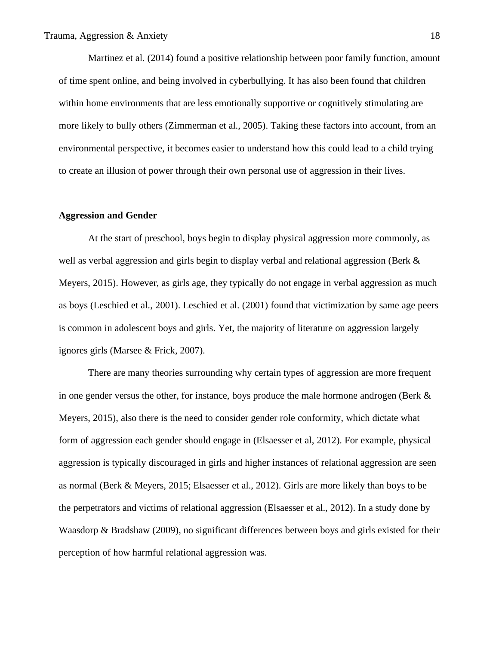Martinez et al. (2014) found a positive relationship between poor family function, amount of time spent online, and being involved in cyberbullying. It has also been found that children within home environments that are less emotionally supportive or cognitively stimulating are more likely to bully others (Zimmerman et al., 2005). Taking these factors into account, from an environmental perspective, it becomes easier to understand how this could lead to a child trying to create an illusion of power through their own personal use of aggression in their lives.

#### **Aggression and Gender**

At the start of preschool, boys begin to display physical aggression more commonly, as well as verbal aggression and girls begin to display verbal and relational aggression (Berk & Meyers, 2015). However, as girls age, they typically do not engage in verbal aggression as much as boys (Leschied et al., 2001). Leschied et al. (2001) found that victimization by same age peers is common in adolescent boys and girls. Yet, the majority of literature on aggression largely ignores girls (Marsee & Frick, 2007).

There are many theories surrounding why certain types of aggression are more frequent in one gender versus the other, for instance, boys produce the male hormone androgen (Berk & Meyers, 2015), also there is the need to consider gender role conformity, which dictate what form of aggression each gender should engage in (Elsaesser et al, 2012). For example, physical aggression is typically discouraged in girls and higher instances of relational aggression are seen as normal (Berk & Meyers, 2015; Elsaesser et al., 2012). Girls are more likely than boys to be the perpetrators and victims of relational aggression (Elsaesser et al., 2012). In a study done by Waasdorp & Bradshaw (2009), no significant differences between boys and girls existed for their perception of how harmful relational aggression was.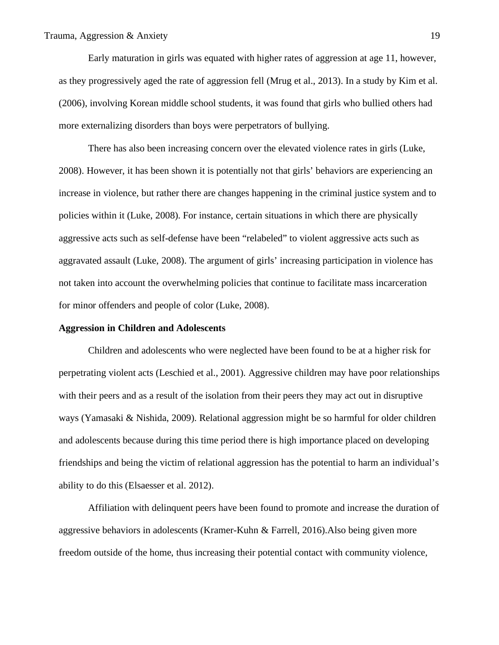Early maturation in girls was equated with higher rates of aggression at age 11, however, as they progressively aged the rate of aggression fell (Mrug et al., 2013). In a study by Kim et al. (2006), involving Korean middle school students, it was found that girls who bullied others had more externalizing disorders than boys were perpetrators of bullying.

There has also been increasing concern over the elevated violence rates in girls (Luke, 2008). However, it has been shown it is potentially not that girls' behaviors are experiencing an increase in violence, but rather there are changes happening in the criminal justice system and to policies within it (Luke, 2008). For instance, certain situations in which there are physically aggressive acts such as self-defense have been "relabeled" to violent aggressive acts such as aggravated assault (Luke, 2008). The argument of girls' increasing participation in violence has not taken into account the overwhelming policies that continue to facilitate mass incarceration for minor offenders and people of color (Luke, 2008).

#### **Aggression in Children and Adolescents**

Children and adolescents who were neglected have been found to be at a higher risk for perpetrating violent acts (Leschied et al., 2001). Aggressive children may have poor relationships with their peers and as a result of the isolation from their peers they may act out in disruptive ways (Yamasaki & Nishida, 2009). Relational aggression might be so harmful for older children and adolescents because during this time period there is high importance placed on developing friendships and being the victim of relational aggression has the potential to harm an individual's ability to do this (Elsaesser et al. 2012).

Affiliation with delinquent peers have been found to promote and increase the duration of aggressive behaviors in adolescents (Kramer-Kuhn & Farrell, 2016).Also being given more freedom outside of the home, thus increasing their potential contact with community violence,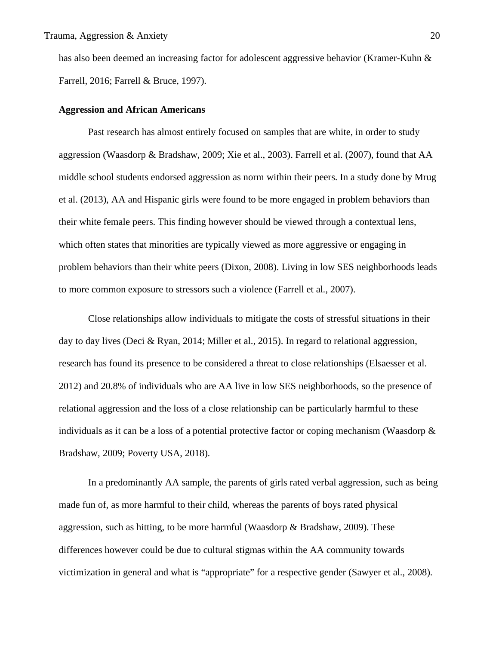has also been deemed an increasing factor for adolescent aggressive behavior (Kramer-Kuhn & Farrell, 2016; Farrell & Bruce, 1997).

#### **Aggression and African Americans**

Past research has almost entirely focused on samples that are white, in order to study aggression (Waasdorp & Bradshaw, 2009; Xie et al., 2003). Farrell et al. (2007), found that AA middle school students endorsed aggression as norm within their peers. In a study done by Mrug et al. (2013), AA and Hispanic girls were found to be more engaged in problem behaviors than their white female peers. This finding however should be viewed through a contextual lens, which often states that minorities are typically viewed as more aggressive or engaging in problem behaviors than their white peers (Dixon, 2008). Living in low SES neighborhoods leads to more common exposure to stressors such a violence (Farrell et al., 2007).

Close relationships allow individuals to mitigate the costs of stressful situations in their day to day lives (Deci & Ryan, 2014; Miller et al., 2015). In regard to relational aggression, research has found its presence to be considered a threat to close relationships (Elsaesser et al. 2012) and 20.8% of individuals who are AA live in low SES neighborhoods, so the presence of relational aggression and the loss of a close relationship can be particularly harmful to these individuals as it can be a loss of a potential protective factor or coping mechanism (Waasdorp & Bradshaw, 2009; Poverty USA, 2018).

In a predominantly AA sample, the parents of girls rated verbal aggression, such as being made fun of, as more harmful to their child, whereas the parents of boys rated physical aggression, such as hitting, to be more harmful (Waasdorp & Bradshaw, 2009). These differences however could be due to cultural stigmas within the AA community towards victimization in general and what is "appropriate" for a respective gender (Sawyer et al., 2008).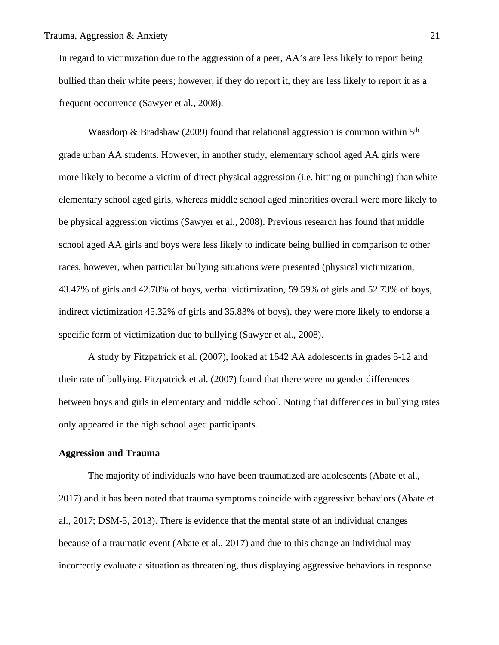In regard to victimization due to the aggression of a peer, AA's are less likely to report being bullied than their white peers; however, if they do report it, they are less likely to report it as a frequent occurrence (Sawyer et al., 2008).

Waasdorp & Bradshaw (2009) found that relational aggression is common within  $5<sup>th</sup>$ grade urban AA students. However, in another study, elementary school aged AA girls were more likely to become a victim of direct physical aggression (i.e. hitting or punching) than white elementary school aged girls, whereas middle school aged minorities overall were more likely to be physical aggression victims (Sawyer et al., 2008). Previous research has found that middle school aged AA girls and boys were less likely to indicate being bullied in comparison to other races, however, when particular bullying situations were presented (physical victimization, 43.47% of girls and 42.78% of boys, verbal victimization, 59.59% of girls and 52.73% of boys, indirect victimization 45.32% of girls and 35.83% of boys), they were more likely to endorse a specific form of victimization due to bullying (Sawyer et al., 2008).

A study by Fitzpatrick et al. (2007), looked at 1542 AA adolescents in grades 5-12 and their rate of bullying. Fitzpatrick et al. (2007) found that there were no gender differences between boys and girls in elementary and middle school. Noting that differences in bullying rates only appeared in the high school aged participants.

## **Aggression and Trauma**

The majority of individuals who have been traumatized are adolescents (Abate et al., 2017) and it has been noted that trauma symptoms coincide with aggressive behaviors (Abate et al., 2017; DSM-5, 2013). There is evidence that the mental state of an individual changes because of a traumatic event (Abate et al., 2017) and due to this change an individual may incorrectly evaluate a situation as threatening, thus displaying aggressive behaviors in response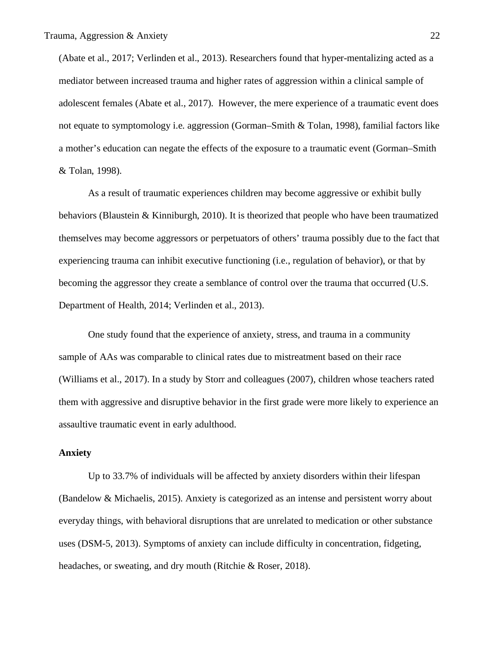(Abate et al., 2017; Verlinden et al., 2013). Researchers found that hyper-mentalizing acted as a mediator between increased trauma and higher rates of aggression within a clinical sample of adolescent females (Abate et al., 2017). However, the mere experience of a traumatic event does not equate to symptomology i.e. aggression (Gorman–Smith & Tolan, 1998), familial factors like a mother's education can negate the effects of the exposure to a traumatic event (Gorman–Smith & Tolan, 1998).

As a result of traumatic experiences children may become aggressive or exhibit bully behaviors (Blaustein & Kinniburgh, 2010). It is theorized that people who have been traumatized themselves may become aggressors or perpetuators of others' trauma possibly due to the fact that experiencing trauma can inhibit executive functioning (i.e., regulation of behavior), or that by becoming the aggressor they create a semblance of control over the trauma that occurred (U.S. Department of Health, 2014; Verlinden et al., 2013).

One study found that the experience of anxiety, stress, and trauma in a community sample of AAs was comparable to clinical rates due to mistreatment based on their race (Williams et al., 2017). In a study by Storr and colleagues (2007), children whose teachers rated them with aggressive and disruptive behavior in the first grade were more likely to experience an assaultive traumatic event in early adulthood.

## **Anxiety**

Up to 33.7% of individuals will be affected by anxiety disorders within their lifespan (Bandelow & Michaelis, 2015). Anxiety is categorized as an intense and persistent worry about everyday things, with behavioral disruptions that are unrelated to medication or other substance uses (DSM-5, 2013). Symptoms of anxiety can include difficulty in concentration, fidgeting, headaches, or sweating, and dry mouth (Ritchie & Roser, 2018).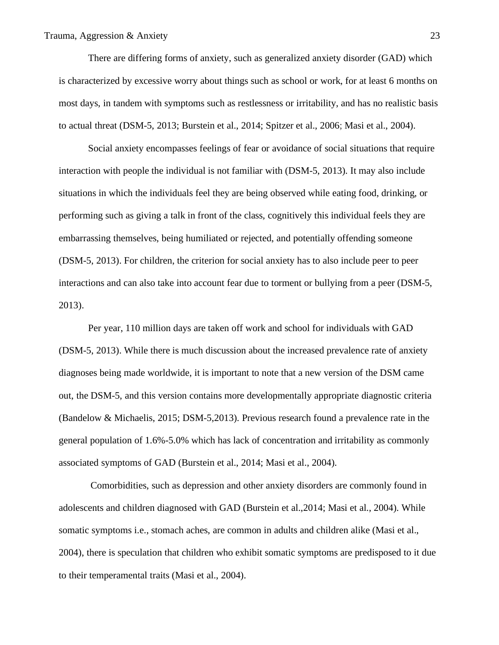There are differing forms of anxiety, such as generalized anxiety disorder (GAD) which is characterized by excessive worry about things such as school or work, for at least 6 months on most days, in tandem with symptoms such as restlessness or irritability, and has no realistic basis to actual threat (DSM-5, 2013; Burstein et al., 2014; Spitzer et al., 2006; Masi et al., 2004).

Social anxiety encompasses feelings of fear or avoidance of social situations that require interaction with people the individual is not familiar with (DSM-5, 2013). It may also include situations in which the individuals feel they are being observed while eating food, drinking, or performing such as giving a talk in front of the class, cognitively this individual feels they are embarrassing themselves, being humiliated or rejected, and potentially offending someone (DSM-5, 2013). For children, the criterion for social anxiety has to also include peer to peer interactions and can also take into account fear due to torment or bullying from a peer (DSM-5, 2013).

Per year, 110 million days are taken off work and school for individuals with GAD (DSM-5, 2013). While there is much discussion about the increased prevalence rate of anxiety diagnoses being made worldwide, it is important to note that a new version of the DSM came out, the DSM-5, and this version contains more developmentally appropriate diagnostic criteria (Bandelow & Michaelis, 2015; DSM-5,2013). Previous research found a prevalence rate in the general population of 1.6%-5.0% which has lack of concentration and irritability as commonly associated symptoms of GAD (Burstein et al., 2014; Masi et al., 2004).

Comorbidities, such as depression and other anxiety disorders are commonly found in adolescents and children diagnosed with GAD (Burstein et al.,2014; Masi et al., 2004). While somatic symptoms i.e., stomach aches, are common in adults and children alike (Masi et al., 2004), there is speculation that children who exhibit somatic symptoms are predisposed to it due to their temperamental traits (Masi et al., 2004).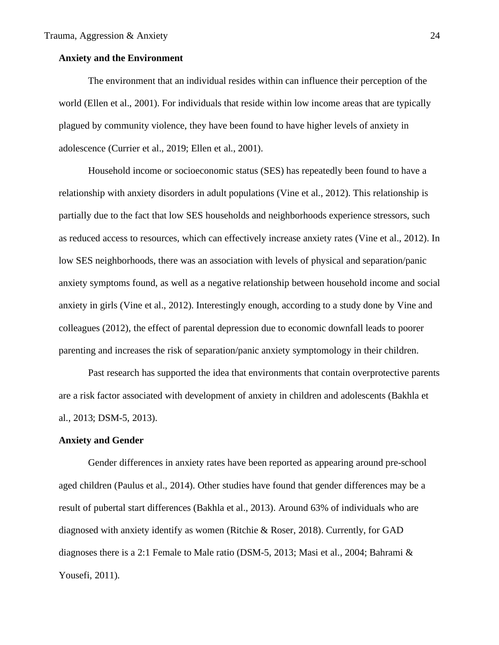## **Anxiety and the Environment**

The environment that an individual resides within can influence their perception of the world (Ellen et al., 2001). For individuals that reside within low income areas that are typically plagued by community violence, they have been found to have higher levels of anxiety in adolescence (Currier et al., 2019; Ellen et al., 2001).

Household income or socioeconomic status (SES) has repeatedly been found to have a relationship with anxiety disorders in adult populations (Vine et al., 2012). This relationship is partially due to the fact that low SES households and neighborhoods experience stressors, such as reduced access to resources, which can effectively increase anxiety rates (Vine et al., 2012). In low SES neighborhoods, there was an association with levels of physical and separation/panic anxiety symptoms found, as well as a negative relationship between household income and social anxiety in girls (Vine et al., 2012). Interestingly enough, according to a study done by Vine and colleagues (2012), the effect of parental depression due to economic downfall leads to poorer parenting and increases the risk of separation/panic anxiety symptomology in their children.

Past research has supported the idea that environments that contain overprotective parents are a risk factor associated with development of anxiety in children and adolescents (Bakhla et al., 2013; DSM-5, 2013).

#### **Anxiety and Gender**

Gender differences in anxiety rates have been reported as appearing around pre-school aged children (Paulus et al., 2014). Other studies have found that gender differences may be a result of pubertal start differences (Bakhla et al., 2013). Around 63% of individuals who are diagnosed with anxiety identify as women (Ritchie & Roser, 2018). Currently, for GAD diagnoses there is a 2:1 Female to Male ratio (DSM-5, 2013; Masi et al., 2004; Bahrami & Yousefi, 2011).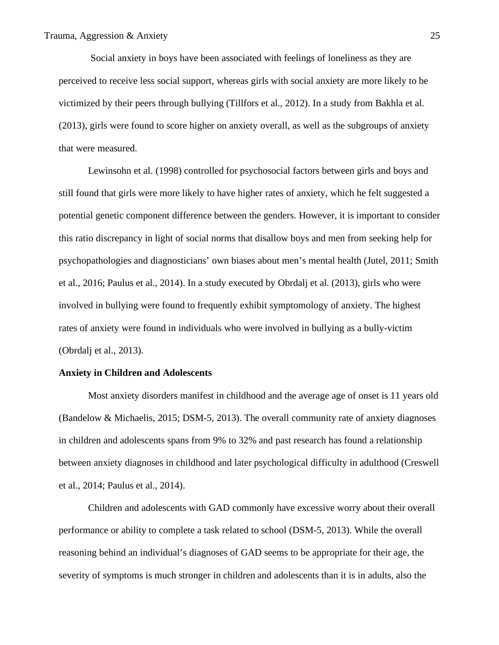Social anxiety in boys have been associated with feelings of loneliness as they are perceived to receive less social support, whereas girls with social anxiety are more likely to be victimized by their peers through bullying (Tillfors et al., 2012). In a study from Bakhla et al. (2013), girls were found to score higher on anxiety overall, as well as the subgroups of anxiety that were measured.

Lewinsohn et al. (1998) controlled for psychosocial factors between girls and boys and still found that girls were more likely to have higher rates of anxiety, which he felt suggested a potential genetic component difference between the genders. However, it is important to consider this ratio discrepancy in light of social norms that disallow boys and men from seeking help for psychopathologies and diagnosticians' own biases about men's mental health (Jutel, 2011; Smith et al., 2016; Paulus et al., 2014). In a study executed by Obrdalj et al. (2013), girls who were involved in bullying were found to frequently exhibit symptomology of anxiety. The highest rates of anxiety were found in individuals who were involved in bullying as a bully-victim (Obrdalj et al., 2013).

## **Anxiety in Children and Adolescents**

Most anxiety disorders manifest in childhood and the average age of onset is 11 years old (Bandelow & Michaelis, 2015; DSM-5, 2013). The overall community rate of anxiety diagnoses in children and adolescents spans from 9% to 32% and past research has found a relationship between anxiety diagnoses in childhood and later psychological difficulty in adulthood (Creswell et al., 2014; Paulus et al., 2014).

Children and adolescents with GAD commonly have excessive worry about their overall performance or ability to complete a task related to school (DSM-5, 2013). While the overall reasoning behind an individual's diagnoses of GAD seems to be appropriate for their age, the severity of symptoms is much stronger in children and adolescents than it is in adults, also the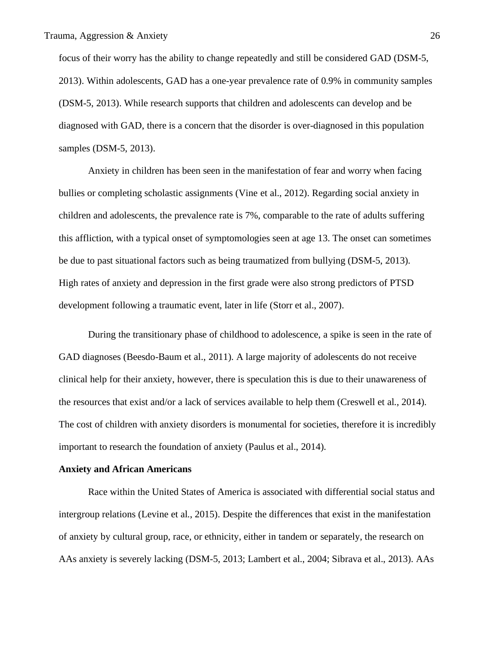focus of their worry has the ability to change repeatedly and still be considered GAD (DSM-5, 2013). Within adolescents, GAD has a one-year prevalence rate of 0.9% in community samples (DSM-5, 2013). While research supports that children and adolescents can develop and be diagnosed with GAD, there is a concern that the disorder is over-diagnosed in this population samples (DSM-5, 2013).

Anxiety in children has been seen in the manifestation of fear and worry when facing bullies or completing scholastic assignments (Vine et al., 2012). Regarding social anxiety in children and adolescents, the prevalence rate is 7%, comparable to the rate of adults suffering this affliction, with a typical onset of symptomologies seen at age 13. The onset can sometimes be due to past situational factors such as being traumatized from bullying (DSM-5, 2013). High rates of anxiety and depression in the first grade were also strong predictors of PTSD development following a traumatic event, later in life (Storr et al., 2007).

During the transitionary phase of childhood to adolescence, a spike is seen in the rate of GAD diagnoses (Beesdo-Baum et al., 2011). A large majority of adolescents do not receive clinical help for their anxiety, however, there is speculation this is due to their unawareness of the resources that exist and/or a lack of services available to help them (Creswell et al., 2014). The cost of children with anxiety disorders is monumental for societies, therefore it is incredibly important to research the foundation of anxiety (Paulus et al., 2014).

#### **Anxiety and African Americans**

Race within the United States of America is associated with differential social status and intergroup relations (Levine et al., 2015). Despite the differences that exist in the manifestation of anxiety by cultural group, race, or ethnicity, either in tandem or separately, the research on AAs anxiety is severely lacking (DSM-5, 2013; Lambert et al., 2004; Sibrava et al., 2013). AAs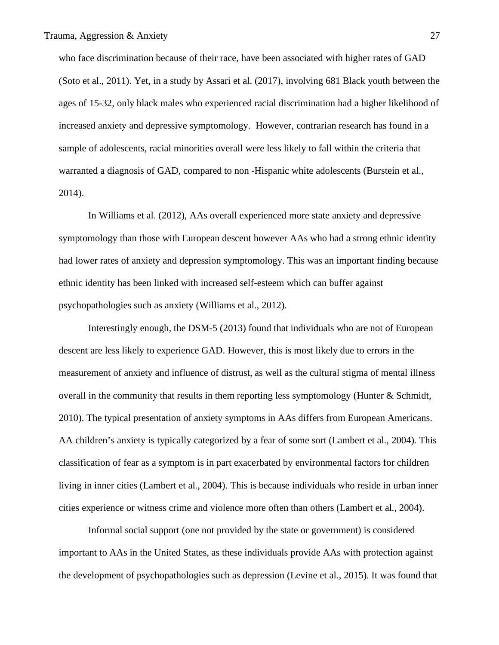who face discrimination because of their race, have been associated with higher rates of GAD (Soto et al., 2011). Yet, in a study by Assari et al. (2017), involving 681 Black youth between the ages of 15-32, only black males who experienced racial discrimination had a higher likelihood of increased anxiety and depressive symptomology. However, contrarian research has found in a sample of adolescents, racial minorities overall were less likely to fall within the criteria that warranted a diagnosis of GAD, compared to non -Hispanic white adolescents (Burstein et al., 2014).

In Williams et al. (2012), AAs overall experienced more state anxiety and depressive symptomology than those with European descent however AAs who had a strong ethnic identity had lower rates of anxiety and depression symptomology. This was an important finding because ethnic identity has been linked with increased self-esteem which can buffer against psychopathologies such as anxiety (Williams et al., 2012).

Interestingly enough, the DSM-5 (2013) found that individuals who are not of European descent are less likely to experience GAD. However, this is most likely due to errors in the measurement of anxiety and influence of distrust, as well as the cultural stigma of mental illness overall in the community that results in them reporting less symptomology (Hunter & Schmidt, 2010). The typical presentation of anxiety symptoms in AAs differs from European Americans. AA children's anxiety is typically categorized by a fear of some sort (Lambert et al., 2004). This classification of fear as a symptom is in part exacerbated by environmental factors for children living in inner cities (Lambert et al., 2004). This is because individuals who reside in urban inner cities experience or witness crime and violence more often than others (Lambert et al., 2004).

Informal social support (one not provided by the state or government) is considered important to AAs in the United States, as these individuals provide AAs with protection against the development of psychopathologies such as depression (Levine et al., 2015). It was found that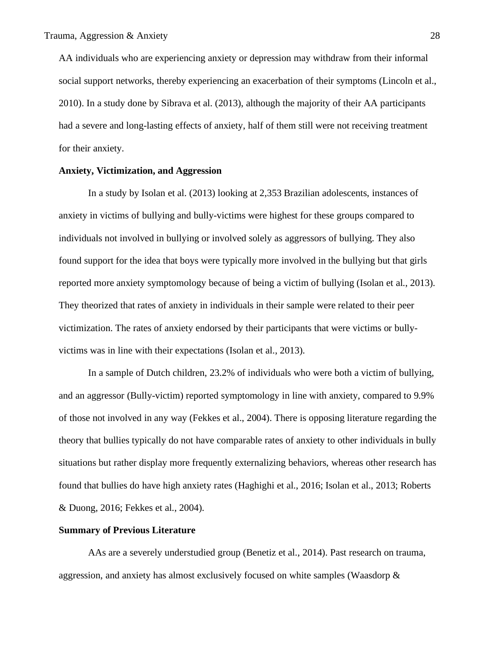AA individuals who are experiencing anxiety or depression may withdraw from their informal social support networks, thereby experiencing an exacerbation of their symptoms (Lincoln et al., 2010). In a study done by Sibrava et al. (2013), although the majority of their AA participants had a severe and long-lasting effects of anxiety, half of them still were not receiving treatment for their anxiety.

## **Anxiety, Victimization, and Aggression**

In a study by Isolan et al. (2013) looking at 2,353 Brazilian adolescents, instances of anxiety in victims of bullying and bully-victims were highest for these groups compared to individuals not involved in bullying or involved solely as aggressors of bullying. They also found support for the idea that boys were typically more involved in the bullying but that girls reported more anxiety symptomology because of being a victim of bullying (Isolan et al., 2013). They theorized that rates of anxiety in individuals in their sample were related to their peer victimization. The rates of anxiety endorsed by their participants that were victims or bullyvictims was in line with their expectations (Isolan et al., 2013).

In a sample of Dutch children, 23.2% of individuals who were both a victim of bullying, and an aggressor (Bully-victim) reported symptomology in line with anxiety, compared to 9.9% of those not involved in any way (Fekkes et al., 2004). There is opposing literature regarding the theory that bullies typically do not have comparable rates of anxiety to other individuals in bully situations but rather display more frequently externalizing behaviors, whereas other research has found that bullies do have high anxiety rates (Haghighi et al., 2016; Isolan et al., 2013; Roberts & Duong, 2016; Fekkes et al., 2004).

#### **Summary of Previous Literature**

AAs are a severely understudied group (Benetiz et al., 2014). Past research on trauma, aggression, and anxiety has almost exclusively focused on white samples (Waasdorp &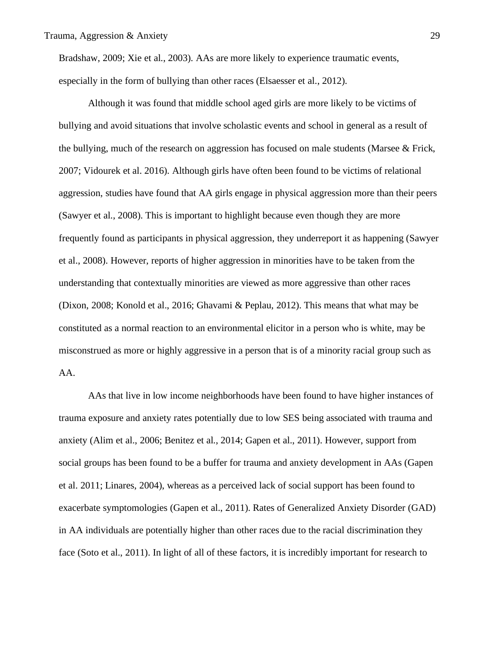Bradshaw, 2009; Xie et al., 2003). AAs are more likely to experience traumatic events, especially in the form of bullying than other races (Elsaesser et al., 2012).

Although it was found that middle school aged girls are more likely to be victims of bullying and avoid situations that involve scholastic events and school in general as a result of the bullying, much of the research on aggression has focused on male students (Marsee & Frick, 2007; Vidourek et al. 2016). Although girls have often been found to be victims of relational aggression, studies have found that AA girls engage in physical aggression more than their peers (Sawyer et al., 2008). This is important to highlight because even though they are more frequently found as participants in physical aggression, they underreport it as happening (Sawyer et al., 2008). However, reports of higher aggression in minorities have to be taken from the understanding that contextually minorities are viewed as more aggressive than other races (Dixon, 2008; Konold et al., 2016; Ghavami & Peplau, 2012). This means that what may be constituted as a normal reaction to an environmental elicitor in a person who is white, may be misconstrued as more or highly aggressive in a person that is of a minority racial group such as AA.

AAs that live in low income neighborhoods have been found to have higher instances of trauma exposure and anxiety rates potentially due to low SES being associated with trauma and anxiety (Alim et al., 2006; Benitez et al., 2014; Gapen et al., 2011). However, support from social groups has been found to be a buffer for trauma and anxiety development in AAs (Gapen et al. 2011; Linares, 2004), whereas as a perceived lack of social support has been found to exacerbate symptomologies (Gapen et al., 2011). Rates of Generalized Anxiety Disorder (GAD) in AA individuals are potentially higher than other races due to the racial discrimination they face (Soto et al., 2011). In light of all of these factors, it is incredibly important for research to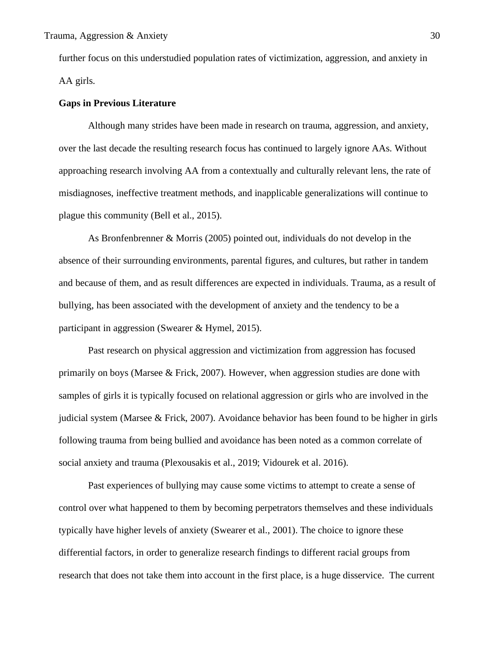further focus on this understudied population rates of victimization, aggression, and anxiety in AA girls.

## **Gaps in Previous Literature**

Although many strides have been made in research on trauma, aggression, and anxiety, over the last decade the resulting research focus has continued to largely ignore AAs. Without approaching research involving AA from a contextually and culturally relevant lens, the rate of misdiagnoses, ineffective treatment methods, and inapplicable generalizations will continue to plague this community (Bell et al., 2015).

As Bronfenbrenner & Morris (2005) pointed out, individuals do not develop in the absence of their surrounding environments, parental figures, and cultures, but rather in tandem and because of them, and as result differences are expected in individuals. Trauma, as a result of bullying, has been associated with the development of anxiety and the tendency to be a participant in aggression (Swearer & Hymel, 2015).

Past research on physical aggression and victimization from aggression has focused primarily on boys (Marsee & Frick, 2007). However, when aggression studies are done with samples of girls it is typically focused on relational aggression or girls who are involved in the judicial system (Marsee & Frick, 2007). Avoidance behavior has been found to be higher in girls following trauma from being bullied and avoidance has been noted as a common correlate of social anxiety and trauma (Plexousakis et al., 2019; Vidourek et al. 2016).

Past experiences of bullying may cause some victims to attempt to create a sense of control over what happened to them by becoming perpetrators themselves and these individuals typically have higher levels of anxiety (Swearer et al., 2001). The choice to ignore these differential factors, in order to generalize research findings to different racial groups from research that does not take them into account in the first place, is a huge disservice. The current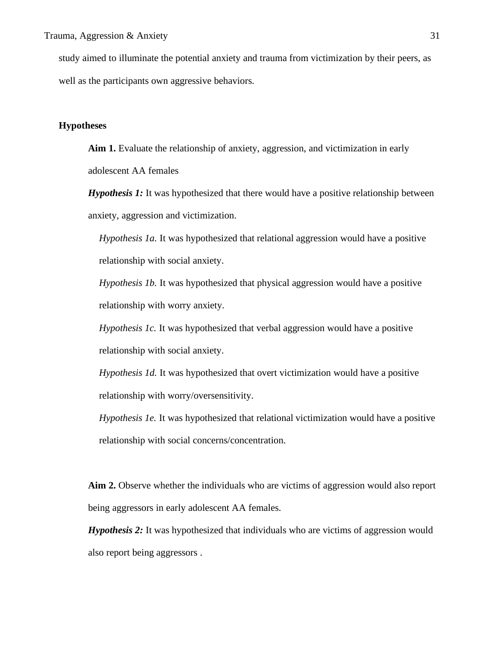study aimed to illuminate the potential anxiety and trauma from victimization by their peers, as well as the participants own aggressive behaviors.

## **Hypotheses**

**Aim 1.** Evaluate the relationship of anxiety, aggression, and victimization in early adolescent AA females

*Hypothesis 1:* It was hypothesized that there would have a positive relationship between anxiety, aggression and victimization.

*Hypothesis 1a.* It was hypothesized that relational aggression would have a positive relationship with social anxiety.

*Hypothesis 1b.* It was hypothesized that physical aggression would have a positive relationship with worry anxiety.

*Hypothesis 1c.* It was hypothesized that verbal aggression would have a positive relationship with social anxiety.

*Hypothesis 1d.* It was hypothesized that overt victimization would have a positive relationship with worry/oversensitivity.

*Hypothesis 1e.* It was hypothesized that relational victimization would have a positive relationship with social concerns/concentration.

**Aim 2.** Observe whether the individuals who are victims of aggression would also report being aggressors in early adolescent AA females.

*Hypothesis 2:* It was hypothesized that individuals who are victims of aggression would also report being aggressors .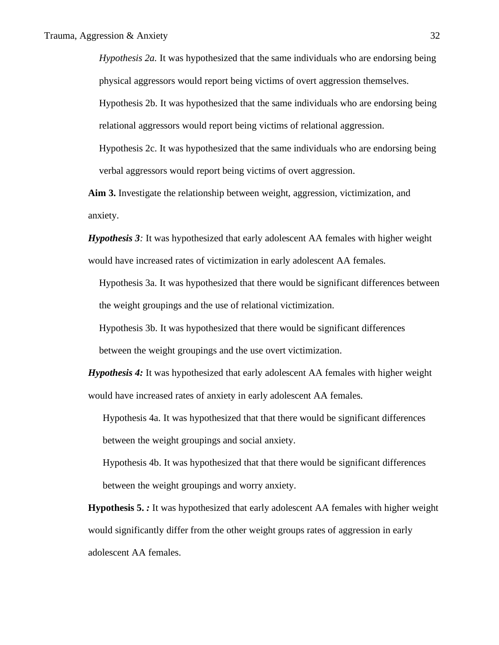*Hypothesis 2a.* It was hypothesized that the same individuals who are endorsing being physical aggressors would report being victims of overt aggression themselves.

Hypothesis 2b. It was hypothesized that the same individuals who are endorsing being relational aggressors would report being victims of relational aggression.

Hypothesis 2c. It was hypothesized that the same individuals who are endorsing being verbal aggressors would report being victims of overt aggression.

**Aim 3.** Investigate the relationship between weight, aggression, victimization, and anxiety.

*Hypothesis 3:* It was hypothesized that early adolescent AA females with higher weight would have increased rates of victimization in early adolescent AA females.

Hypothesis 3a. It was hypothesized that there would be significant differences between the weight groupings and the use of relational victimization.

Hypothesis 3b. It was hypothesized that there would be significant differences

between the weight groupings and the use overt victimization.

*Hypothesis 4:* It was hypothesized that early adolescent AA females with higher weight would have increased rates of anxiety in early adolescent AA females.

Hypothesis 4a. It was hypothesized that that there would be significant differences between the weight groupings and social anxiety.

Hypothesis 4b. It was hypothesized that that there would be significant differences between the weight groupings and worry anxiety.

**Hypothesis 5.** *:* It was hypothesized that early adolescent AA females with higher weight would significantly differ from the other weight groups rates of aggression in early adolescent AA females.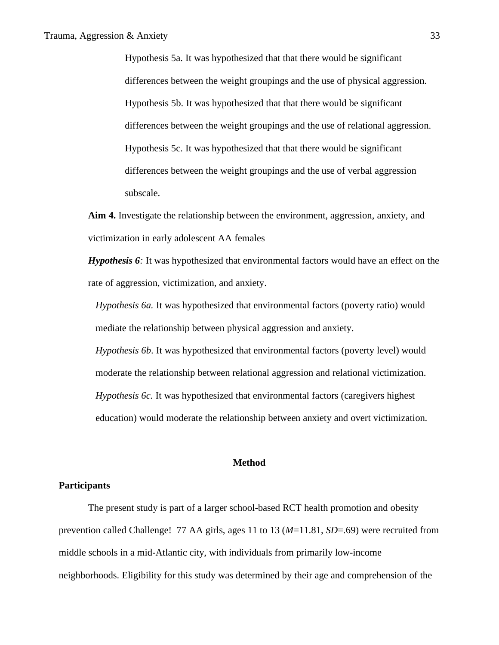Hypothesis 5a. It was hypothesized that that there would be significant differences between the weight groupings and the use of physical aggression. Hypothesis 5b. It was hypothesized that that there would be significant differences between the weight groupings and the use of relational aggression. Hypothesis 5c. It was hypothesized that that there would be significant differences between the weight groupings and the use of verbal aggression subscale.

**Aim 4.** Investigate the relationship between the environment, aggression, anxiety, and victimization in early adolescent AA females

*Hypothesis 6:* It was hypothesized that environmental factors would have an effect on the rate of aggression, victimization, and anxiety.

*Hypothesis 6a.* It was hypothesized that environmental factors (poverty ratio) would mediate the relationship between physical aggression and anxiety.

*Hypothesis 6b*. It was hypothesized that environmental factors (poverty level) would moderate the relationship between relational aggression and relational victimization. *Hypothesis 6c.* It was hypothesized that environmental factors (caregivers highest education) would moderate the relationship between anxiety and overt victimization.

## **Method**

## **Participants**

The present study is part of a larger school-based RCT health promotion and obesity prevention called Challenge! 77 AA girls, ages 11 to 13 (*M*=11.81, *SD*=.69) were recruited from middle schools in a mid-Atlantic city, with individuals from primarily low-income neighborhoods. Eligibility for this study was determined by their age and comprehension of the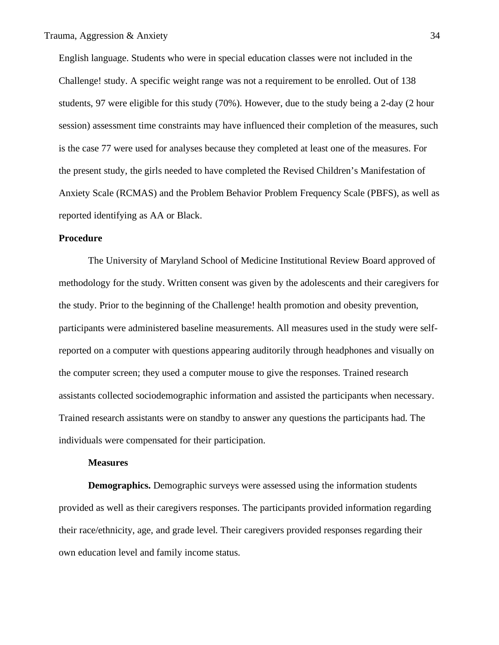English language. Students who were in special education classes were not included in the Challenge! study. A specific weight range was not a requirement to be enrolled. Out of 138 students, 97 were eligible for this study (70%). However, due to the study being a 2-day (2 hour session) assessment time constraints may have influenced their completion of the measures, such is the case 77 were used for analyses because they completed at least one of the measures. For the present study, the girls needed to have completed the Revised Children's Manifestation of Anxiety Scale (RCMAS) and the Problem Behavior Problem Frequency Scale (PBFS), as well as reported identifying as AA or Black.

#### **Procedure**

The University of Maryland School of Medicine Institutional Review Board approved of methodology for the study. Written consent was given by the adolescents and their caregivers for the study. Prior to the beginning of the Challenge! health promotion and obesity prevention, participants were administered baseline measurements. All measures used in the study were selfreported on a computer with questions appearing auditorily through headphones and visually on the computer screen; they used a computer mouse to give the responses. Trained research assistants collected sociodemographic information and assisted the participants when necessary. Trained research assistants were on standby to answer any questions the participants had. The individuals were compensated for their participation.

#### **Measures**

**Demographics.** Demographic surveys were assessed using the information students provided as well as their caregivers responses. The participants provided information regarding their race/ethnicity, age, and grade level. Their caregivers provided responses regarding their own education level and family income status.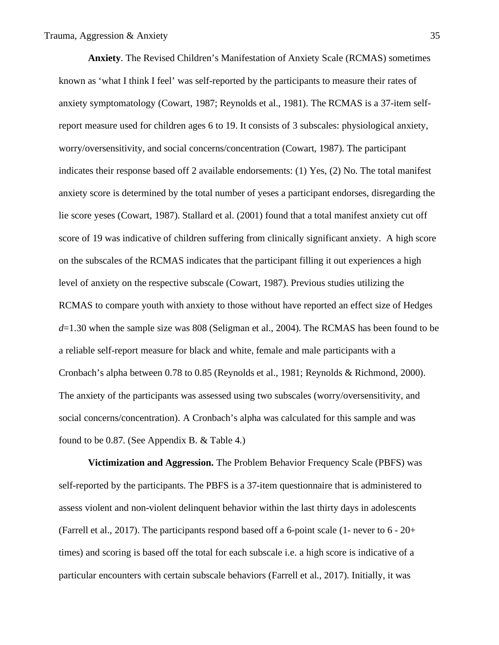**Anxiety**. The Revised Children's Manifestation of Anxiety Scale (RCMAS) sometimes known as 'what I think I feel' was self-reported by the participants to measure their rates of anxiety symptomatology (Cowart, 1987; Reynolds et al., 1981). The RCMAS is a 37-item selfreport measure used for children ages 6 to 19. It consists of 3 subscales: physiological anxiety, worry/oversensitivity, and social concerns/concentration (Cowart, 1987). The participant indicates their response based off 2 available endorsements: (1) Yes, (2) No. The total manifest anxiety score is determined by the total number of yeses a participant endorses, disregarding the lie score yeses (Cowart, 1987). Stallard et al. (2001) found that a total manifest anxiety cut off score of 19 was indicative of children suffering from clinically significant anxiety. A high score on the subscales of the RCMAS indicates that the participant filling it out experiences a high level of anxiety on the respective subscale (Cowart, 1987). Previous studies utilizing the RCMAS to compare youth with anxiety to those without have reported an effect size of Hedges *d*=1.30 when the sample size was 808 (Seligman et al., 2004). The RCMAS has been found to be a reliable self-report measure for black and white, female and male participants with a Cronbach's alpha between 0.78 to 0.85 (Reynolds et al., 1981; Reynolds & Richmond, 2000). The anxiety of the participants was assessed using two subscales (worry/oversensitivity, and social concerns/concentration). A Cronbach's alpha was calculated for this sample and was found to be 0.87. (See Appendix B. & Table 4.)

**Victimization and Aggression.** The Problem Behavior Frequency Scale (PBFS) was self-reported by the participants. The PBFS is a 37-item questionnaire that is administered to assess violent and non-violent delinquent behavior within the last thirty days in adolescents (Farrell et al., 2017). The participants respond based off a 6-point scale (1- never to 6 - 20+ times) and scoring is based off the total for each subscale i.e. a high score is indicative of a particular encounters with certain subscale behaviors (Farrell et al., 2017). Initially, it was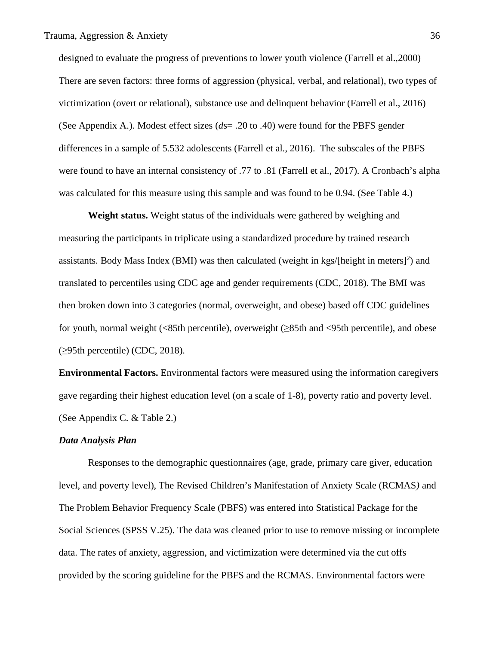designed to evaluate the progress of preventions to lower youth violence (Farrell et al.,2000) There are seven factors: three forms of aggression (physical, verbal, and relational), two types of victimization (overt or relational), substance use and delinquent behavior (Farrell et al., 2016) (See Appendix A.). Modest effect sizes (*d*s= .20 to .40) were found for the PBFS gender differences in a sample of 5.532 adolescents (Farrell et al., 2016). The subscales of the PBFS were found to have an internal consistency of .77 to .81 (Farrell et al., 2017). A Cronbach's alpha was calculated for this measure using this sample and was found to be 0.94. (See Table 4.)

**Weight status.** Weight status of the individuals were gathered by weighing and measuring the participants in triplicate using a standardized procedure by trained research assistants. Body Mass Index (BMI) was then calculated (weight in kgs/[height in meters]<sup>2</sup>) and translated to percentiles using CDC age and gender requirements (CDC, 2018). The BMI was then broken down into 3 categories (normal, overweight, and obese) based off CDC guidelines for youth, normal weight (<85th percentile), overweight (≥85th and <95th percentile), and obese (≥95th percentile) (CDC, 2018).

**Environmental Factors.** Environmental factors were measured using the information caregivers gave regarding their highest education level (on a scale of 1-8), poverty ratio and poverty level. (See Appendix C. & Table 2.)

### *Data Analysis Plan*

Responses to the demographic questionnaires (age, grade, primary care giver, education level, and poverty level), The Revised Children's Manifestation of Anxiety Scale (RCMAS*)* and The Problem Behavior Frequency Scale (PBFS) was entered into Statistical Package for the Social Sciences (SPSS V.25). The data was cleaned prior to use to remove missing or incomplete data. The rates of anxiety, aggression, and victimization were determined via the cut offs provided by the scoring guideline for the PBFS and the RCMAS. Environmental factors were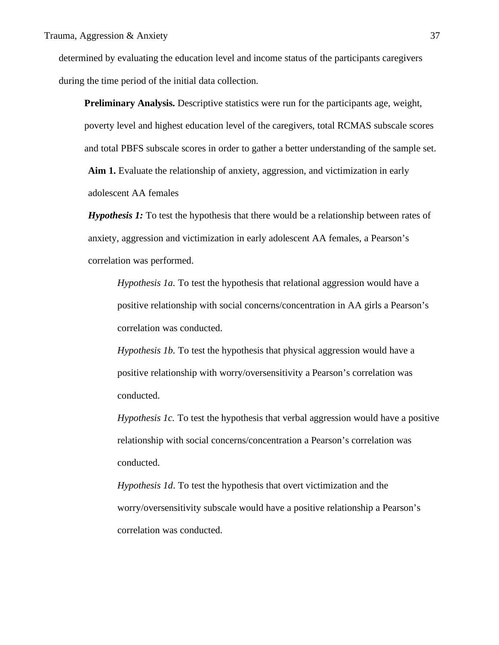determined by evaluating the education level and income status of the participants caregivers during the time period of the initial data collection.

**Preliminary Analysis.** Descriptive statistics were run for the participants age, weight, poverty level and highest education level of the caregivers, total RCMAS subscale scores and total PBFS subscale scores in order to gather a better understanding of the sample set.

**Aim 1.** Evaluate the relationship of anxiety, aggression, and victimization in early adolescent AA females

*Hypothesis 1:* To test the hypothesis that there would be a relationship between rates of anxiety, aggression and victimization in early adolescent AA females, a Pearson's correlation was performed.

*Hypothesis 1a.* To test the hypothesis that relational aggression would have a positive relationship with social concerns/concentration in AA girls a Pearson's correlation was conducted.

*Hypothesis 1b.* To test the hypothesis that physical aggression would have a positive relationship with worry/oversensitivity a Pearson's correlation was conducted.

*Hypothesis 1c.* To test the hypothesis that verbal aggression would have a positive relationship with social concerns/concentration a Pearson's correlation was conducted.

*Hypothesis 1d*. To test the hypothesis that overt victimization and the worry/oversensitivity subscale would have a positive relationship a Pearson's correlation was conducted.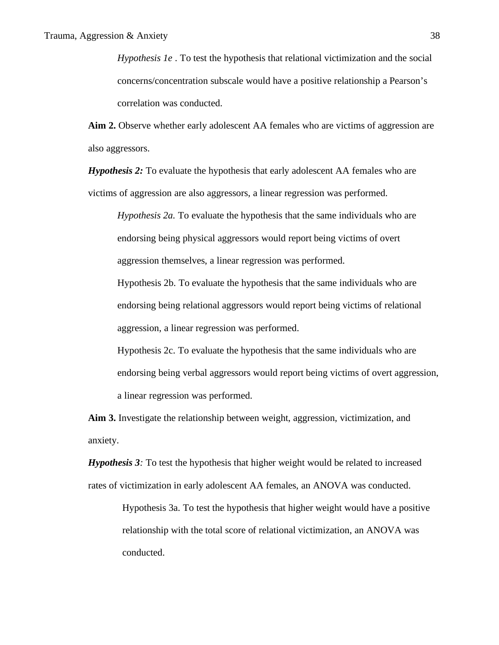*Hypothesis 1e* . To test the hypothesis that relational victimization and the social concerns/concentration subscale would have a positive relationship a Pearson's correlation was conducted.

Aim 2. Observe whether early adolescent AA females who are victims of aggression are also aggressors.

*Hypothesis 2:* To evaluate the hypothesis that early adolescent AA females who are victims of aggression are also aggressors, a linear regression was performed.

*Hypothesis 2a.* To evaluate the hypothesis that the same individuals who are endorsing being physical aggressors would report being victims of overt aggression themselves, a linear regression was performed.

Hypothesis 2b. To evaluate the hypothesis that the same individuals who are endorsing being relational aggressors would report being victims of relational aggression, a linear regression was performed.

Hypothesis 2c. To evaluate the hypothesis that the same individuals who are endorsing being verbal aggressors would report being victims of overt aggression, a linear regression was performed.

**Aim 3.** Investigate the relationship between weight, aggression, victimization, and anxiety.

*Hypothesis 3:* To test the hypothesis that higher weight would be related to increased rates of victimization in early adolescent AA females, an ANOVA was conducted.

> Hypothesis 3a. To test the hypothesis that higher weight would have a positive relationship with the total score of relational victimization, an ANOVA was conducted.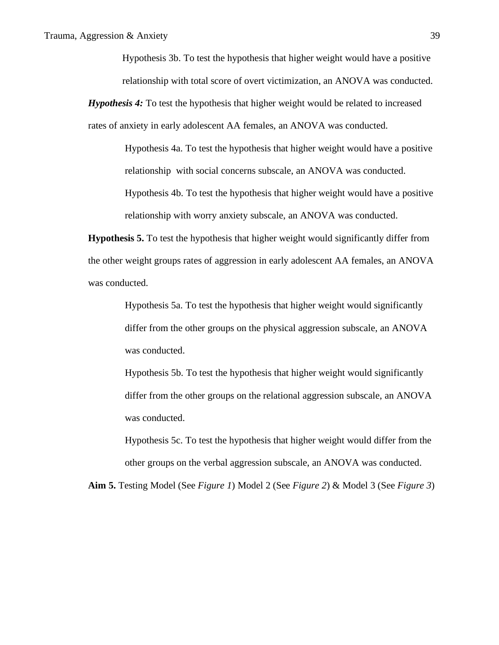Hypothesis 3b. To test the hypothesis that higher weight would have a positive relationship with total score of overt victimization, an ANOVA was conducted.

*Hypothesis 4:* To test the hypothesis that higher weight would be related to increased rates of anxiety in early adolescent AA females, an ANOVA was conducted.

> Hypothesis 4a. To test the hypothesis that higher weight would have a positive relationship with social concerns subscale, an ANOVA was conducted. Hypothesis 4b. To test the hypothesis that higher weight would have a positive

relationship with worry anxiety subscale, an ANOVA was conducted.

**Hypothesis 5.** To test the hypothesis that higher weight would significantly differ from the other weight groups rates of aggression in early adolescent AA females, an ANOVA was conducted.

> Hypothesis 5a. To test the hypothesis that higher weight would significantly differ from the other groups on the physical aggression subscale, an ANOVA was conducted.

Hypothesis 5b. To test the hypothesis that higher weight would significantly differ from the other groups on the relational aggression subscale, an ANOVA was conducted.

Hypothesis 5c. To test the hypothesis that higher weight would differ from the other groups on the verbal aggression subscale, an ANOVA was conducted.

**Aim 5.** Testing Model (See *Figure 1*) Model 2 (See *Figure 2*) & Model 3 (See *Figure 3*)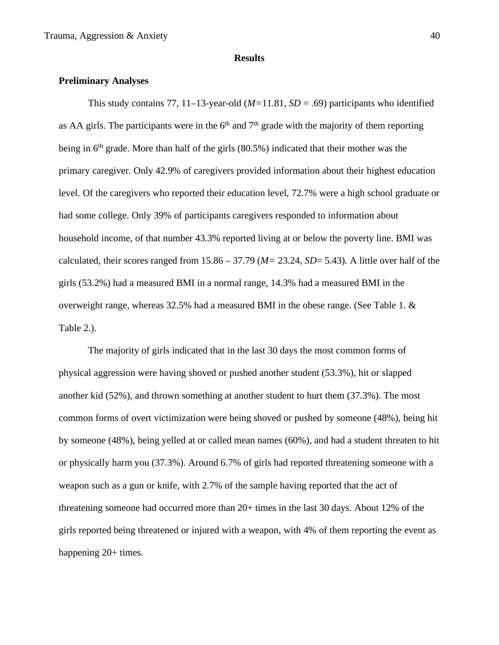### **Results**

# **Preliminary Analyses**

This study contains 77, 11–13-year-old  $(M=11.81, SD = .69)$  participants who identified as AA girls. The participants were in the  $6<sup>th</sup>$  and  $7<sup>th</sup>$  grade with the majority of them reporting being in  $6<sup>th</sup>$  grade. More than half of the girls (80.5%) indicated that their mother was the primary caregiver. Only 42.9% of caregivers provided information about their highest education level. Of the caregivers who reported their education level, 72.7% were a high school graduate or had some college. Only 39% of participants caregivers responded to information about household income, of that number 43.3% reported living at or below the poverty line. BMI was calculated, their scores ranged from 15.86 – 37.79 (*M=* 23.24, *SD*= 5.43). A little over half of the girls (53.2%) had a measured BMI in a normal range, 14.3% had a measured BMI in the overweight range, whereas 32.5% had a measured BMI in the obese range. (See Table 1. & Table 2.).

The majority of girls indicated that in the last 30 days the most common forms of physical aggression were having shoved or pushed another student (53.3%), hit or slapped another kid (52%), and thrown something at another student to hurt them (37.3%). The most common forms of overt victimization were being shoved or pushed by someone (48%), being hit by someone (48%), being yelled at or called mean names (60%), and had a student threaten to hit or physically harm you (37.3%). Around 6.7% of girls had reported threatening someone with a weapon such as a gun or knife, with 2.7% of the sample having reported that the act of threatening someone had occurred more than 20+ times in the last 30 days. About 12% of the girls reported being threatened or injured with a weapon, with 4% of them reporting the event as happening 20+ times.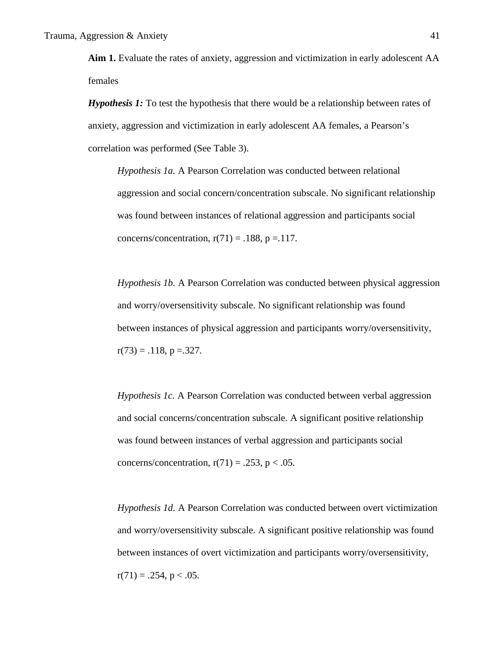**Aim 1.** Evaluate the rates of anxiety, aggression and victimization in early adolescent AA females

*Hypothesis 1:* To test the hypothesis that there would be a relationship between rates of anxiety, aggression and victimization in early adolescent AA females, a Pearson's correlation was performed (See Table 3).

*Hypothesis 1a.* A Pearson Correlation was conducted between relational aggression and social concern/concentration subscale. No significant relationship was found between instances of relational aggression and participants social concerns/concentration,  $r(71) = .188$ ,  $p = .117$ .

*Hypothesis 1b.* A Pearson Correlation was conducted between physical aggression and worry/oversensitivity subscale. No significant relationship was found between instances of physical aggression and participants worry/oversensitivity,  $r(73) = .118$ ,  $p = .327$ .

*Hypothesis 1c.* A Pearson Correlation was conducted between verbal aggression and social concerns/concentration subscale. A significant positive relationship was found between instances of verbal aggression and participants social concerns/concentration,  $r(71) = .253$ ,  $p < .05$ .

*Hypothesis 1d.* A Pearson Correlation was conducted between overt victimization and worry/oversensitivity subscale. A significant positive relationship was found between instances of overt victimization and participants worry/oversensitivity,  $r(71) = .254$ ,  $p < .05$ .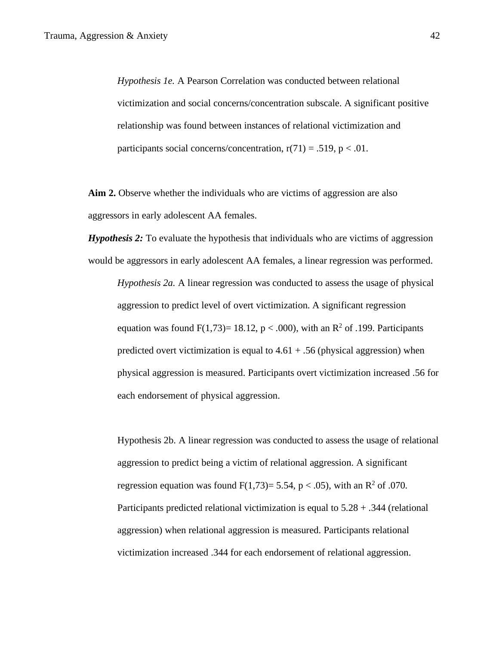*Hypothesis 1e.* A Pearson Correlation was conducted between relational victimization and social concerns/concentration subscale. A significant positive relationship was found between instances of relational victimization and participants social concerns/concentration,  $r(71) = .519$ ,  $p < .01$ .

**Aim 2.** Observe whether the individuals who are victims of aggression are also aggressors in early adolescent AA females.

*Hypothesis 2:* To evaluate the hypothesis that individuals who are victims of aggression would be aggressors in early adolescent AA females, a linear regression was performed.

*Hypothesis 2a.* A linear regression was conducted to assess the usage of physical aggression to predict level of overt victimization. A significant regression equation was found  $F(1,73)= 18.12$ , p < .000), with an R<sup>2</sup> of .199. Participants predicted overt victimization is equal to  $4.61 + .56$  (physical aggression) when physical aggression is measured. Participants overt victimization increased .56 for each endorsement of physical aggression.

Hypothesis 2b. A linear regression was conducted to assess the usage of relational aggression to predict being a victim of relational aggression. A significant regression equation was found  $F(1,73)= 5.54$ , p < .05), with an R<sup>2</sup> of .070. Participants predicted relational victimization is equal to 5.28 + .344 (relational aggression) when relational aggression is measured. Participants relational victimization increased .344 for each endorsement of relational aggression.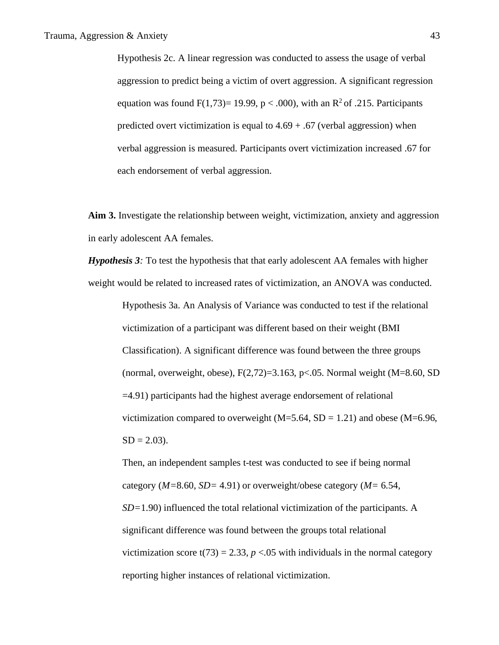Hypothesis 2c. A linear regression was conducted to assess the usage of verbal aggression to predict being a victim of overt aggression. A significant regression equation was found  $F(1,73)= 19.99$ , p < .000), with an R<sup>2</sup> of .215. Participants predicted overt victimization is equal to  $4.69 + .67$  (verbal aggression) when verbal aggression is measured. Participants overt victimization increased .67 for each endorsement of verbal aggression.

**Aim 3.** Investigate the relationship between weight, victimization, anxiety and aggression in early adolescent AA females.

*Hypothesis 3:* To test the hypothesis that that early adolescent AA females with higher weight would be related to increased rates of victimization, an ANOVA was conducted.

Hypothesis 3a. An Analysis of Variance was conducted to test if the relational victimization of a participant was different based on their weight (BMI Classification). A significant difference was found between the three groups (normal, overweight, obese),  $F(2,72)=3.163$ , p<.05. Normal weight (M=8.60, SD =4.91) participants had the highest average endorsement of relational victimization compared to overweight  $(M=5.64, SD = 1.21)$  and obese  $(M=6.96,$  $SD = 2.03$ ).

Then, an independent samples t-test was conducted to see if being normal category (*M=*8.60, *SD=* 4.91) or overweight/obese category (*M=* 6.54, *SD=*1.90) influenced the total relational victimization of the participants. A significant difference was found between the groups total relational victimization score  $t(73) = 2.33$ ,  $p < 0.05$  with individuals in the normal category reporting higher instances of relational victimization.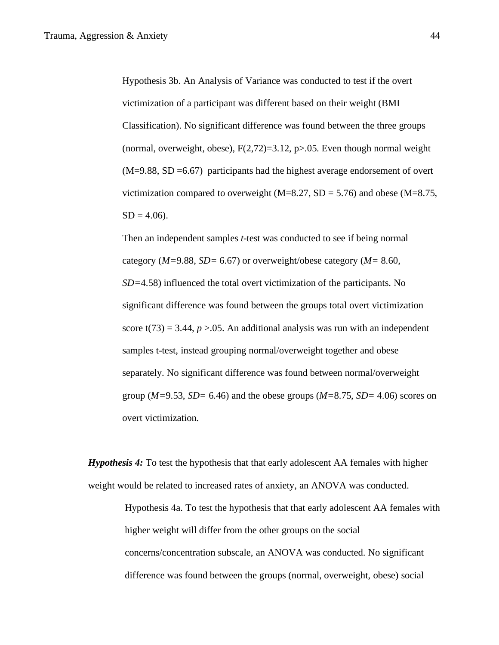Hypothesis 3b. An Analysis of Variance was conducted to test if the overt victimization of a participant was different based on their weight (BMI Classification). No significant difference was found between the three groups (normal, overweight, obese),  $F(2,72)=3.12$ , p $>0.05$ . Even though normal weight  $(M=9.88, SD=6.67)$  participants had the highest average endorsement of overt victimization compared to overweight ( $M=8.27$ ,  $SD = 5.76$ ) and obese ( $M=8.75$ ,  $SD = 4.06$ .

Then an independent samples *t*-test was conducted to see if being normal category (*M=*9.88, *SD=* 6.67) or overweight/obese category (*M=* 8.60, *SD=*4.58) influenced the total overt victimization of the participants. No significant difference was found between the groups total overt victimization score t(73) = 3.44,  $p > 0.05$ . An additional analysis was run with an independent samples t-test, instead grouping normal/overweight together and obese separately. No significant difference was found between normal/overweight group (*M=*9.53, *SD=* 6.46) and the obese groups (*M=*8.75, *SD=* 4.06) scores on overt victimization.

*Hypothesis 4:* To test the hypothesis that that early adolescent AA females with higher weight would be related to increased rates of anxiety, an ANOVA was conducted.

Hypothesis 4a. To test the hypothesis that that early adolescent AA females with higher weight will differ from the other groups on the social concerns/concentration subscale, an ANOVA was conducted. No significant difference was found between the groups (normal, overweight, obese) social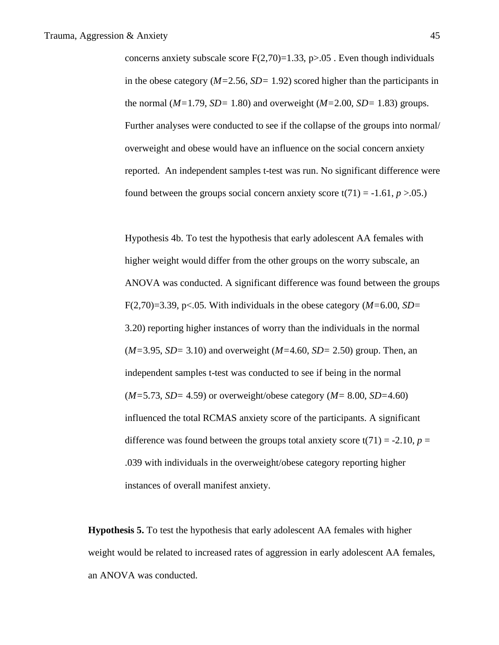concerns anxiety subscale score  $F(2,70)=1.33$ , p $>0.05$ . Even though individuals in the obese category (*M=*2.56, *SD=* 1.92) scored higher than the participants in the normal (*M=*1.79, *SD=* 1.80) and overweight (*M=*2.00, *SD=* 1.83) groups. Further analyses were conducted to see if the collapse of the groups into normal/ overweight and obese would have an influence on the social concern anxiety reported. An independent samples t-test was run. No significant difference were found between the groups social concern anxiety score  $t(71) = -1.61$ ,  $p > 0.05$ .)

Hypothesis 4b. To test the hypothesis that early adolescent AA females with higher weight would differ from the other groups on the worry subscale, an ANOVA was conducted. A significant difference was found between the groups F(2,70)=3.39, p<.05. With individuals in the obese category (*M=*6.00, *SD=* 3.20) reporting higher instances of worry than the individuals in the normal (*M=*3.95, *SD=* 3.10) and overweight (*M=*4.60, *SD=* 2.50) group. Then, an independent samples t-test was conducted to see if being in the normal (*M=*5.73, *SD=* 4.59) or overweight/obese category (*M=* 8.00, *SD=*4.60) influenced the total RCMAS anxiety score of the participants. A significant difference was found between the groups total anxiety score  $t(71) = -2.10$ ,  $p =$ .039 with individuals in the overweight/obese category reporting higher instances of overall manifest anxiety.

**Hypothesis 5.** To test the hypothesis that early adolescent AA females with higher weight would be related to increased rates of aggression in early adolescent AA females, an ANOVA was conducted.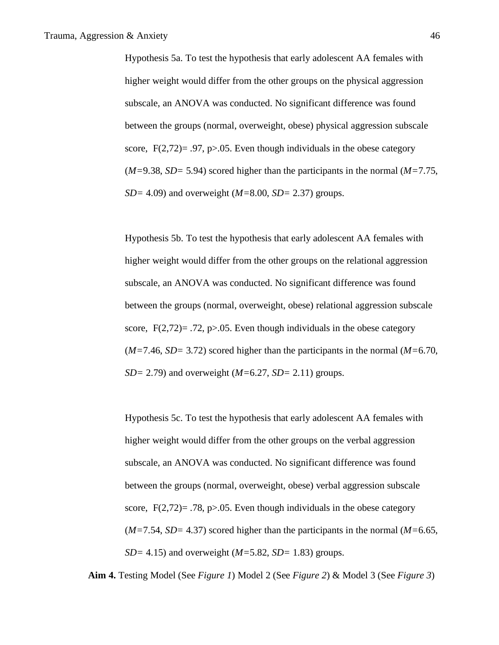Hypothesis 5a. To test the hypothesis that early adolescent AA females with higher weight would differ from the other groups on the physical aggression subscale, an ANOVA was conducted. No significant difference was found between the groups (normal, overweight, obese) physical aggression subscale score,  $F(2,72)=0.97$ , p $>0.05$ . Even though individuals in the obese category (*M=*9.38, *SD=* 5.94) scored higher than the participants in the normal (*M=*7.75, *SD=* 4.09) and overweight (*M=*8.00, *SD=* 2.37) groups.

Hypothesis 5b. To test the hypothesis that early adolescent AA females with higher weight would differ from the other groups on the relational aggression subscale, an ANOVA was conducted. No significant difference was found between the groups (normal, overweight, obese) relational aggression subscale score,  $F(2,72)=0.72$ , p $>0.05$ . Even though individuals in the obese category (*M=*7.46, *SD=* 3.72) scored higher than the participants in the normal (*M=*6.70, *SD=* 2.79) and overweight (*M=*6.27, *SD=* 2.11) groups.

Hypothesis 5c. To test the hypothesis that early adolescent AA females with higher weight would differ from the other groups on the verbal aggression subscale, an ANOVA was conducted. No significant difference was found between the groups (normal, overweight, obese) verbal aggression subscale score,  $F(2,72)= .78$ , p $> 0.05$ . Even though individuals in the obese category (*M=*7.54, *SD=* 4.37) scored higher than the participants in the normal (*M=*6.65, *SD=* 4.15) and overweight (*M=*5.82, *SD=* 1.83) groups.

**Aim 4.** Testing Model (See *Figure 1*) Model 2 (See *Figure 2*) & Model 3 (See *Figure 3*)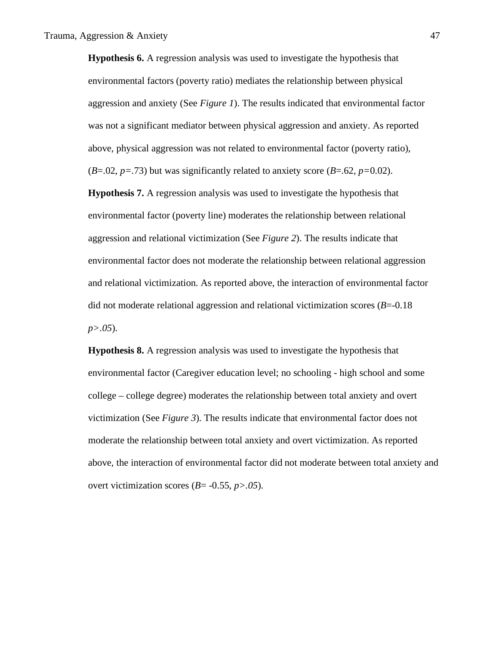**Hypothesis 6.** A regression analysis was used to investigate the hypothesis that environmental factors (poverty ratio) mediates the relationship between physical aggression and anxiety (See *Figure 1*). The results indicated that environmental factor was not a significant mediator between physical aggression and anxiety. As reported above, physical aggression was not related to environmental factor (poverty ratio),  $(B=0.02, p=.73)$  but was significantly related to anxiety score  $(B=.62, p=.002)$ .

**Hypothesis 7.** A regression analysis was used to investigate the hypothesis that environmental factor (poverty line) moderates the relationship between relational aggression and relational victimization (See *Figure 2*). The results indicate that environmental factor does not moderate the relationship between relational aggression and relational victimization. As reported above, the interaction of environmental factor did not moderate relational aggression and relational victimization scores (*B*=-0.18 *p>.05*).

**Hypothesis 8.** A regression analysis was used to investigate the hypothesis that environmental factor (Caregiver education level; no schooling - high school and some college – college degree) moderates the relationship between total anxiety and overt victimization (See *Figure 3*). The results indicate that environmental factor does not moderate the relationship between total anxiety and overt victimization. As reported above, the interaction of environmental factor did not moderate between total anxiety and overt victimization scores (*B*= -0.55, *p>.05*).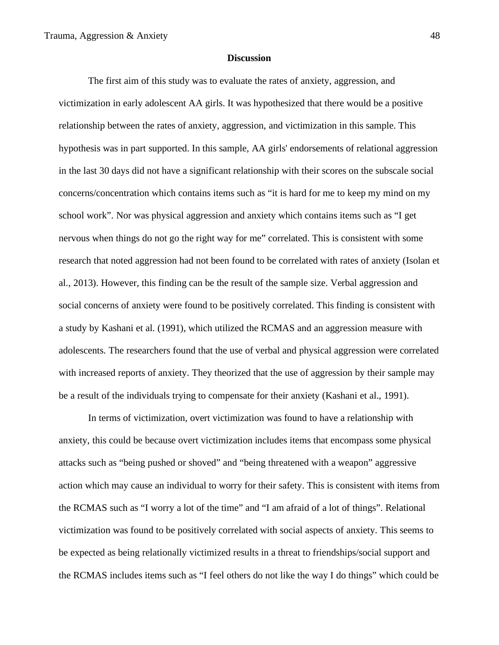# **Discussion**

The first aim of this study was to evaluate the rates of anxiety, aggression, and victimization in early adolescent AA girls. It was hypothesized that there would be a positive relationship between the rates of anxiety, aggression, and victimization in this sample. This hypothesis was in part supported. In this sample, AA girls' endorsements of relational aggression in the last 30 days did not have a significant relationship with their scores on the subscale social concerns/concentration which contains items such as "it is hard for me to keep my mind on my school work". Nor was physical aggression and anxiety which contains items such as "I get nervous when things do not go the right way for me" correlated. This is consistent with some research that noted aggression had not been found to be correlated with rates of anxiety (Isolan et al., 2013). However, this finding can be the result of the sample size. Verbal aggression and social concerns of anxiety were found to be positively correlated. This finding is consistent with a study by Kashani et al. (1991), which utilized the RCMAS and an aggression measure with adolescents. The researchers found that the use of verbal and physical aggression were correlated with increased reports of anxiety. They theorized that the use of aggression by their sample may be a result of the individuals trying to compensate for their anxiety (Kashani et al., 1991).

In terms of victimization, overt victimization was found to have a relationship with anxiety, this could be because overt victimization includes items that encompass some physical attacks such as "being pushed or shoved" and "being threatened with a weapon" aggressive action which may cause an individual to worry for their safety. This is consistent with items from the RCMAS such as "I worry a lot of the time" and "I am afraid of a lot of things". Relational victimization was found to be positively correlated with social aspects of anxiety. This seems to be expected as being relationally victimized results in a threat to friendships/social support and the RCMAS includes items such as "I feel others do not like the way I do things" which could be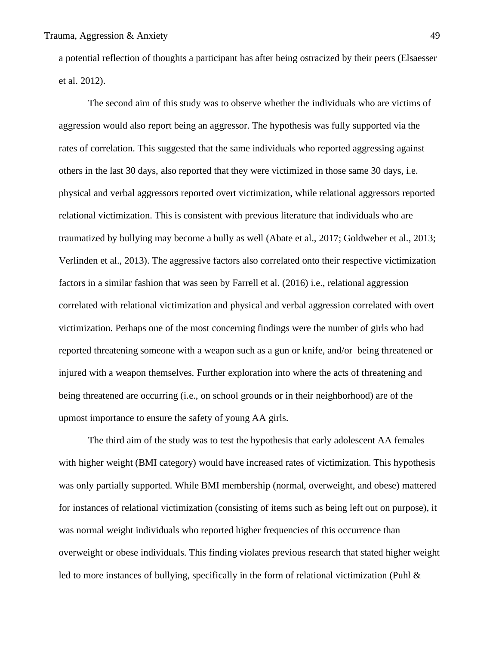a potential reflection of thoughts a participant has after being ostracized by their peers (Elsaesser et al. 2012).

The second aim of this study was to observe whether the individuals who are victims of aggression would also report being an aggressor. The hypothesis was fully supported via the rates of correlation. This suggested that the same individuals who reported aggressing against others in the last 30 days, also reported that they were victimized in those same 30 days, i.e. physical and verbal aggressors reported overt victimization, while relational aggressors reported relational victimization. This is consistent with previous literature that individuals who are traumatized by bullying may become a bully as well (Abate et al., 2017; Goldweber et al., 2013; Verlinden et al., 2013). The aggressive factors also correlated onto their respective victimization factors in a similar fashion that was seen by Farrell et al. (2016) i.e., relational aggression correlated with relational victimization and physical and verbal aggression correlated with overt victimization. Perhaps one of the most concerning findings were the number of girls who had reported threatening someone with a weapon such as a gun or knife, and/or being threatened or injured with a weapon themselves. Further exploration into where the acts of threatening and being threatened are occurring (i.e., on school grounds or in their neighborhood) are of the upmost importance to ensure the safety of young AA girls.

The third aim of the study was to test the hypothesis that early adolescent AA females with higher weight (BMI category) would have increased rates of victimization. This hypothesis was only partially supported. While BMI membership (normal, overweight, and obese) mattered for instances of relational victimization (consisting of items such as being left out on purpose), it was normal weight individuals who reported higher frequencies of this occurrence than overweight or obese individuals. This finding violates previous research that stated higher weight led to more instances of bullying, specifically in the form of relational victimization (Puhl &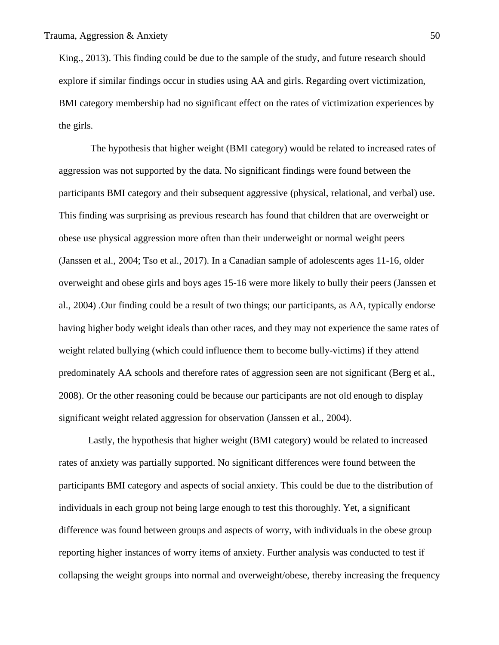King., 2013). This finding could be due to the sample of the study, and future research should explore if similar findings occur in studies using AA and girls. Regarding overt victimization, BMI category membership had no significant effect on the rates of victimization experiences by the girls.

The hypothesis that higher weight (BMI category) would be related to increased rates of aggression was not supported by the data. No significant findings were found between the participants BMI category and their subsequent aggressive (physical, relational, and verbal) use. This finding was surprising as previous research has found that children that are overweight or obese use physical aggression more often than their underweight or normal weight peers (Janssen et al., 2004; Tso et al., 2017). In a Canadian sample of adolescents ages 11-16, older overweight and obese girls and boys ages 15-16 were more likely to bully their peers (Janssen et al., 2004) .Our finding could be a result of two things; our participants, as AA, typically endorse having higher body weight ideals than other races, and they may not experience the same rates of weight related bullying (which could influence them to become bully-victims) if they attend predominately AA schools and therefore rates of aggression seen are not significant (Berg et al., 2008). Or the other reasoning could be because our participants are not old enough to display significant weight related aggression for observation (Janssen et al., 2004).

Lastly, the hypothesis that higher weight (BMI category) would be related to increased rates of anxiety was partially supported. No significant differences were found between the participants BMI category and aspects of social anxiety. This could be due to the distribution of individuals in each group not being large enough to test this thoroughly. Yet, a significant difference was found between groups and aspects of worry, with individuals in the obese group reporting higher instances of worry items of anxiety. Further analysis was conducted to test if collapsing the weight groups into normal and overweight/obese, thereby increasing the frequency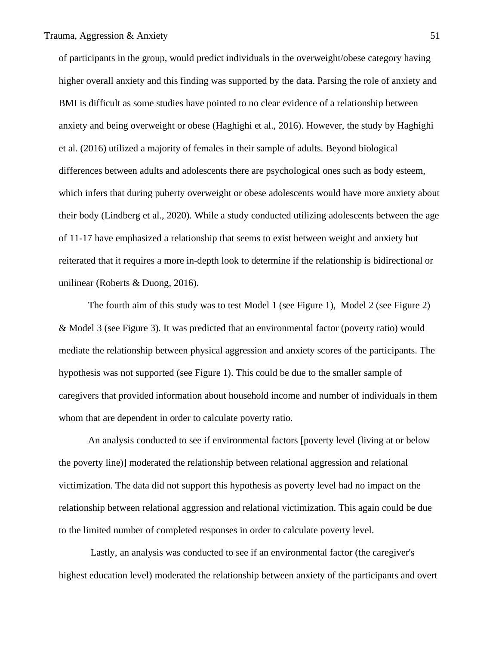of participants in the group, would predict individuals in the overweight/obese category having higher overall anxiety and this finding was supported by the data. Parsing the role of anxiety and BMI is difficult as some studies have pointed to no clear evidence of a relationship between anxiety and being overweight or obese (Haghighi et al., 2016). However, the study by Haghighi et al. (2016) utilized a majority of females in their sample of adults. Beyond biological differences between adults and adolescents there are psychological ones such as body esteem, which infers that during puberty overweight or obese adolescents would have more anxiety about their body (Lindberg et al., 2020). While a study conducted utilizing adolescents between the age of 11-17 have emphasized a relationship that seems to exist between weight and anxiety but reiterated that it requires a more in-depth look to determine if the relationship is bidirectional or unilinear (Roberts & Duong, 2016).

The fourth aim of this study was to test Model 1 (see Figure 1), Model 2 (see Figure 2) & Model 3 (see Figure 3). It was predicted that an environmental factor (poverty ratio) would mediate the relationship between physical aggression and anxiety scores of the participants. The hypothesis was not supported (see Figure 1). This could be due to the smaller sample of caregivers that provided information about household income and number of individuals in them whom that are dependent in order to calculate poverty ratio.

An analysis conducted to see if environmental factors [poverty level (living at or below the poverty line)] moderated the relationship between relational aggression and relational victimization. The data did not support this hypothesis as poverty level had no impact on the relationship between relational aggression and relational victimization. This again could be due to the limited number of completed responses in order to calculate poverty level.

Lastly, an analysis was conducted to see if an environmental factor (the caregiver's highest education level) moderated the relationship between anxiety of the participants and overt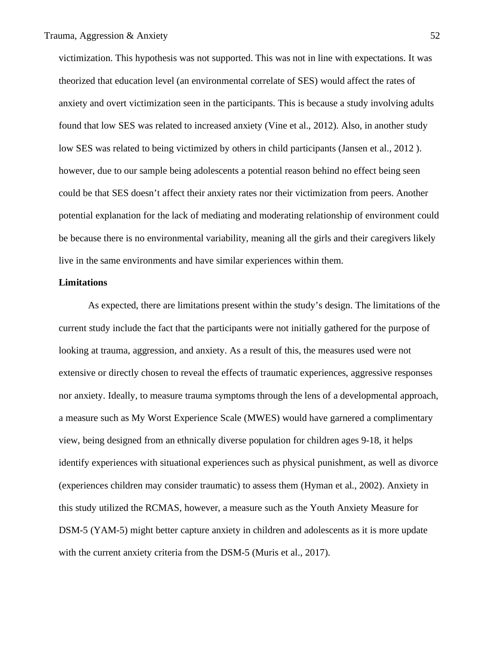victimization. This hypothesis was not supported. This was not in line with expectations. It was theorized that education level (an environmental correlate of SES) would affect the rates of anxiety and overt victimization seen in the participants. This is because a study involving adults found that low SES was related to increased anxiety (Vine et al., 2012). Also, in another study low SES was related to being victimized by others in child participants (Jansen et al., 2012 ). however, due to our sample being adolescents a potential reason behind no effect being seen could be that SES doesn't affect their anxiety rates nor their victimization from peers. Another potential explanation for the lack of mediating and moderating relationship of environment could be because there is no environmental variability, meaning all the girls and their caregivers likely live in the same environments and have similar experiences within them.

## **Limitations**

As expected, there are limitations present within the study's design. The limitations of the current study include the fact that the participants were not initially gathered for the purpose of looking at trauma, aggression, and anxiety. As a result of this, the measures used were not extensive or directly chosen to reveal the effects of traumatic experiences, aggressive responses nor anxiety. Ideally, to measure trauma symptoms through the lens of a developmental approach, a measure such as My Worst Experience Scale (MWES) would have garnered a complimentary view, being designed from an ethnically diverse population for children ages 9-18, it helps identify experiences with situational experiences such as physical punishment, as well as divorce (experiences children may consider traumatic) to assess them (Hyman et al., 2002). Anxiety in this study utilized the RCMAS, however, a measure such as the Youth Anxiety Measure for DSM-5 (YAM-5) might better capture anxiety in children and adolescents as it is more update with the current anxiety criteria from the DSM-5 (Muris et al., 2017).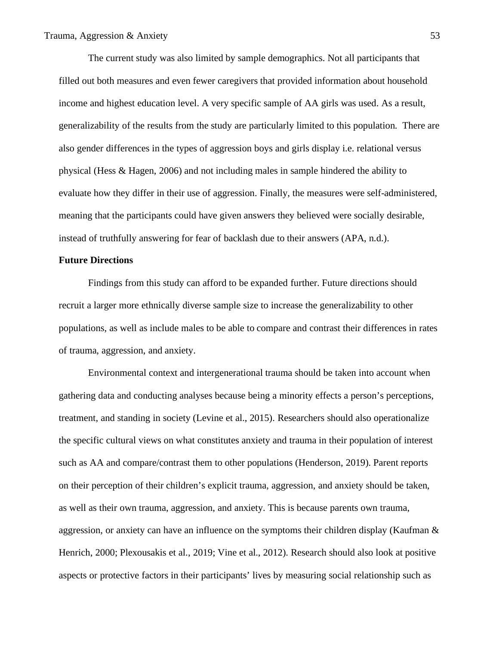The current study was also limited by sample demographics. Not all participants that filled out both measures and even fewer caregivers that provided information about household income and highest education level. A very specific sample of AA girls was used. As a result, generalizability of the results from the study are particularly limited to this population. There are also gender differences in the types of aggression boys and girls display i.e. relational versus physical (Hess & Hagen, 2006) and not including males in sample hindered the ability to evaluate how they differ in their use of aggression. Finally, the measures were self-administered, meaning that the participants could have given answers they believed were socially desirable, instead of truthfully answering for fear of backlash due to their answers (APA, n.d.).

#### **Future Directions**

Findings from this study can afford to be expanded further. Future directions should recruit a larger more ethnically diverse sample size to increase the generalizability to other populations, as well as include males to be able to compare and contrast their differences in rates of trauma, aggression, and anxiety.

Environmental context and intergenerational trauma should be taken into account when gathering data and conducting analyses because being a minority effects a person's perceptions, treatment, and standing in society (Levine et al., 2015). Researchers should also operationalize the specific cultural views on what constitutes anxiety and trauma in their population of interest such as AA and compare/contrast them to other populations (Henderson, 2019). Parent reports on their perception of their children's explicit trauma, aggression, and anxiety should be taken, as well as their own trauma, aggression, and anxiety. This is because parents own trauma, aggression, or anxiety can have an influence on the symptoms their children display (Kaufman & Henrich, 2000; Plexousakis et al., 2019; Vine et al., 2012). Research should also look at positive aspects or protective factors in their participants' lives by measuring social relationship such as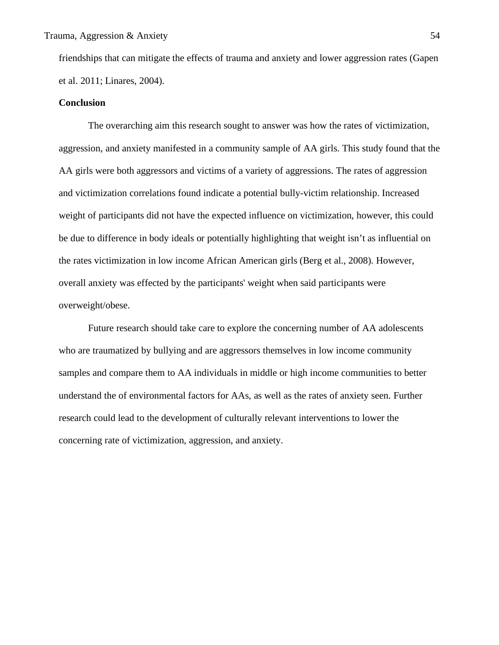friendships that can mitigate the effects of trauma and anxiety and lower aggression rates (Gapen et al. 2011; Linares, 2004).

# **Conclusion**

The overarching aim this research sought to answer was how the rates of victimization, aggression, and anxiety manifested in a community sample of AA girls. This study found that the AA girls were both aggressors and victims of a variety of aggressions. The rates of aggression and victimization correlations found indicate a potential bully-victim relationship. Increased weight of participants did not have the expected influence on victimization, however, this could be due to difference in body ideals or potentially highlighting that weight isn't as influential on the rates victimization in low income African American girls (Berg et al., 2008). However, overall anxiety was effected by the participants' weight when said participants were overweight/obese.

Future research should take care to explore the concerning number of AA adolescents who are traumatized by bullying and are aggressors themselves in low income community samples and compare them to AA individuals in middle or high income communities to better understand the of environmental factors for AAs, as well as the rates of anxiety seen. Further research could lead to the development of culturally relevant interventions to lower the concerning rate of victimization, aggression, and anxiety.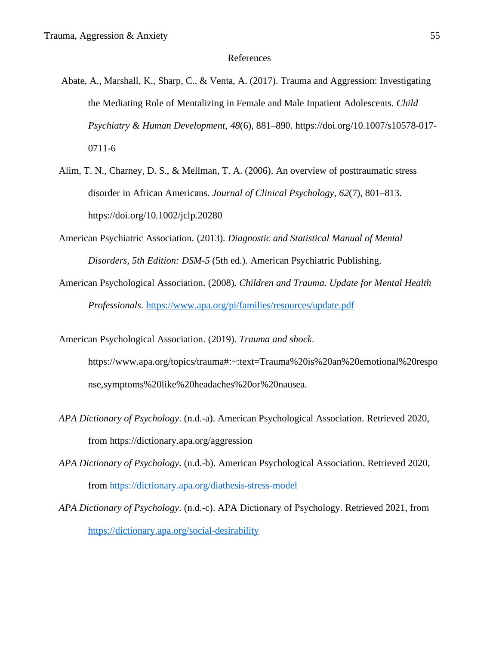#### References

- Abate, A., Marshall, K., Sharp, C., & Venta, A. (2017). Trauma and Aggression: Investigating the Mediating Role of Mentalizing in Female and Male Inpatient Adolescents. *Child Psychiatry & Human Development*, *48*(6), 881–890. https://doi.org/10.1007/s10578-017- 0711-6
- Alim, T. N., Charney, D. S., & Mellman, T. A. (2006). An overview of posttraumatic stress disorder in African Americans. *Journal of Clinical Psychology*, *62*(7), 801–813. https://doi.org/10.1002/jclp.20280
- American Psychiatric Association. (2013). *Diagnostic and Statistical Manual of Mental Disorders, 5th Edition: DSM-5* (5th ed.). American Psychiatric Publishing.
- American Psychological Association. (2008). *Children and Trauma. Update for Mental Health Professionals*. https://www.apa.org/pi/families/resources/update.pdf
- American Psychological Association. (2019). *Trauma and shock*. https://www.apa.org/topics/trauma#:~:text=Trauma%20is%20an%20emotional%20respo nse,symptoms%20like%20headaches%20or%20nausea.
- *APA Dictionary of Psychology*. (n.d.-a). American Psychological Association. Retrieved 2020, from https://dictionary.apa.org/aggression
- *APA Dictionary of Psychology*. (n.d.-b). American Psychological Association. Retrieved 2020, from https://dictionary.apa.org/diathesis-stress-model
- *APA Dictionary of Psychology*. (n.d.-c). APA Dictionary of Psychology. Retrieved 2021, from https://dictionary.apa.org/social-desirability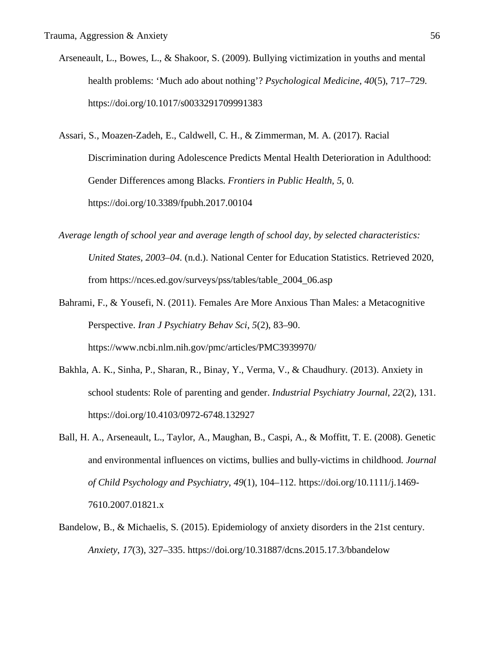- Arseneault, L., Bowes, L., & Shakoor, S. (2009). Bullying victimization in youths and mental health problems: 'Much ado about nothing'? *Psychological Medicine*, *40*(5), 717–729. https://doi.org/10.1017/s0033291709991383
- Assari, S., Moazen-Zadeh, E., Caldwell, C. H., & Zimmerman, M. A. (2017). Racial Discrimination during Adolescence Predicts Mental Health Deterioration in Adulthood: Gender Differences among Blacks. *Frontiers in Public Health*, *5*, 0. https://doi.org/10.3389/fpubh.2017.00104
- *Average length of school year and average length of school day, by selected characteristics: United States, 2003–04*. (n.d.). National Center for Education Statistics. Retrieved 2020, from https://nces.ed.gov/surveys/pss/tables/table\_2004\_06.asp
- Bahrami, F., & Yousefi, N. (2011). Females Are More Anxious Than Males: a Metacognitive Perspective. *Iran J Psychiatry Behav Sci*, *5*(2), 83–90. https://www.ncbi.nlm.nih.gov/pmc/articles/PMC3939970/
- Bakhla, A. K., Sinha, P., Sharan, R., Binay, Y., Verma, V., & Chaudhury. (2013). Anxiety in school students: Role of parenting and gender. *Industrial Psychiatry Journal*, *22*(2), 131. https://doi.org/10.4103/0972-6748.132927
- Ball, H. A., Arseneault, L., Taylor, A., Maughan, B., Caspi, A., & Moffitt, T. E. (2008). Genetic and environmental influences on victims, bullies and bully-victims in childhood. *Journal of Child Psychology and Psychiatry*, *49*(1), 104–112. https://doi.org/10.1111/j.1469- 7610.2007.01821.x
- Bandelow, B., & Michaelis, S. (2015). Epidemiology of anxiety disorders in the 21st century. *Anxiety*, *17*(3), 327–335. https://doi.org/10.31887/dcns.2015.17.3/bbandelow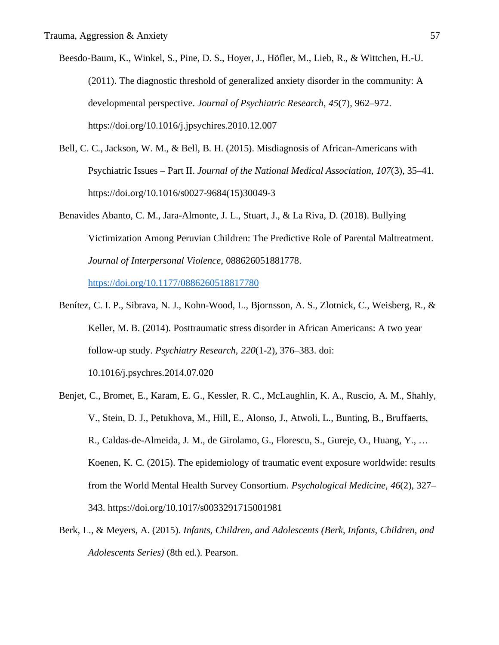- Beesdo-Baum, K., Winkel, S., Pine, D. S., Hoyer, J., Höfler, M., Lieb, R., & Wittchen, H.-U. (2011). The diagnostic threshold of generalized anxiety disorder in the community: A developmental perspective. *Journal of Psychiatric Research*, *45*(7), 962–972. https://doi.org/10.1016/j.jpsychires.2010.12.007
- Bell, C. C., Jackson, W. M., & Bell, B. H. (2015). Misdiagnosis of African-Americans with Psychiatric Issues – Part II. *Journal of the National Medical Association*, *107*(3), 35–41. https://doi.org/10.1016/s0027-9684(15)30049-3
- Benavides Abanto, C. M., Jara-Almonte, J. L., Stuart, J., & La Riva, D. (2018). Bullying Victimization Among Peruvian Children: The Predictive Role of Parental Maltreatment. *Journal of Interpersonal Violence*, 088626051881778.

https://doi.org/10.1177/0886260518817780

Benítez, C. I. P., Sibrava, N. J., Kohn-Wood, L., Bjornsson, A. S., Zlotnick, C., Weisberg, R., & Keller, M. B. (2014). Posttraumatic stress disorder in African Americans: A two year follow-up study. *Psychiatry Research*, *220*(1-2), 376–383. doi:

10.1016/j.psychres.2014.07.020

- Benjet, C., Bromet, E., Karam, E. G., Kessler, R. C., McLaughlin, K. A., Ruscio, A. M., Shahly, V., Stein, D. J., Petukhova, M., Hill, E., Alonso, J., Atwoli, L., Bunting, B., Bruffaerts, R., Caldas-de-Almeida, J. M., de Girolamo, G., Florescu, S., Gureje, O., Huang, Y., … Koenen, K. C. (2015). The epidemiology of traumatic event exposure worldwide: results from the World Mental Health Survey Consortium. *Psychological Medicine*, *46*(2), 327– 343. https://doi.org/10.1017/s0033291715001981
- Berk, L., & Meyers, A. (2015). *Infants, Children, and Adolescents (Berk, Infants, Children, and Adolescents Series)* (8th ed.). Pearson.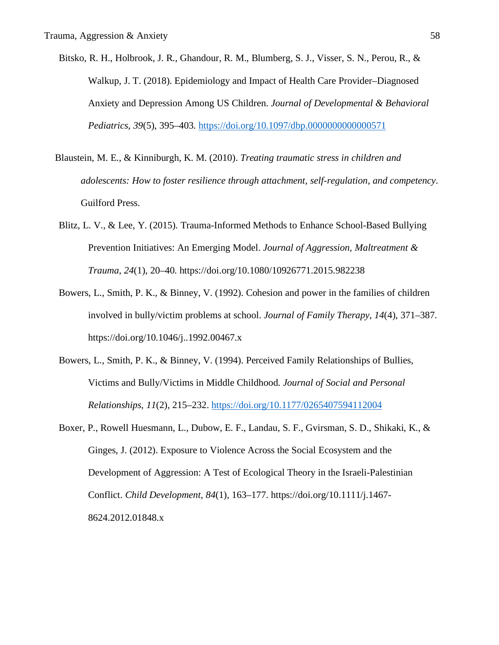- Bitsko, R. H., Holbrook, J. R., Ghandour, R. M., Blumberg, S. J., Visser, S. N., Perou, R., & Walkup, J. T. (2018). Epidemiology and Impact of Health Care Provider–Diagnosed Anxiety and Depression Among US Children. *Journal of Developmental & Behavioral Pediatrics*, *39*(5), 395–403. https://doi.org/10.1097/dbp.0000000000000571
- Blaustein, M. E., & Kinniburgh, K. M. (2010). *Treating traumatic stress in children and adolescents: How to foster resilience through attachment, self-regulation, and competency*. Guilford Press.
- Blitz, L. V., & Lee, Y. (2015). Trauma-Informed Methods to Enhance School-Based Bullying Prevention Initiatives: An Emerging Model. *Journal of Aggression, Maltreatment & Trauma*, *24*(1), 20–40. https://doi.org/10.1080/10926771.2015.982238
- Bowers, L., Smith, P. K., & Binney, V. (1992). Cohesion and power in the families of children involved in bully/victim problems at school. *Journal of Family Therapy*, *14*(4), 371–387. https://doi.org/10.1046/j..1992.00467.x
- Bowers, L., Smith, P. K., & Binney, V. (1994). Perceived Family Relationships of Bullies, Victims and Bully/Victims in Middle Childhood. *Journal of Social and Personal Relationships*, *11*(2), 215–232. https://doi.org/10.1177/0265407594112004
- Boxer, P., Rowell Huesmann, L., Dubow, E. F., Landau, S. F., Gvirsman, S. D., Shikaki, K., & Ginges, J. (2012). Exposure to Violence Across the Social Ecosystem and the Development of Aggression: A Test of Ecological Theory in the Israeli-Palestinian Conflict. *Child Development*, *84*(1), 163–177. https://doi.org/10.1111/j.1467- 8624.2012.01848.x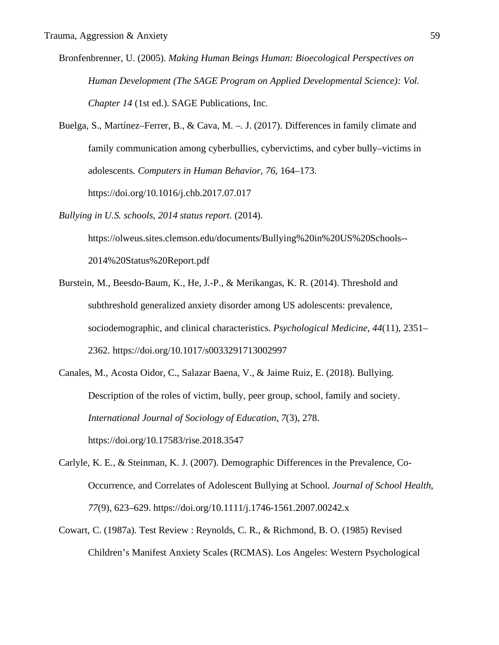- Bronfenbrenner, U. (2005). *Making Human Beings Human: Bioecological Perspectives on Human Development (The SAGE Program on Applied Developmental Science): Vol. Chapter 14* (1st ed.). SAGE Publications, Inc.
- Buelga, S., Martínez–Ferrer, B., & Cava, M. –. J. (2017). Differences in family climate and family communication among cyberbullies, cybervictims, and cyber bully–victims in adolescents. *Computers in Human Behavior*, *76*, 164–173. https://doi.org/10.1016/j.chb.2017.07.017
- *Bullying in U.S. schools, 2014 status report*. (2014).

https://olweus.sites.clemson.edu/documents/Bullying%20in%20US%20Schools-- 2014%20Status%20Report.pdf

- Burstein, M., Beesdo-Baum, K., He, J.-P., & Merikangas, K. R. (2014). Threshold and subthreshold generalized anxiety disorder among US adolescents: prevalence, sociodemographic, and clinical characteristics. *Psychological Medicine*, *44*(11), 2351– 2362. https://doi.org/10.1017/s0033291713002997
- Canales, M., Acosta Oidor, C., Salazar Baena, V., & Jaime Ruiz, E. (2018). Bullying. Description of the roles of victim, bully, peer group, school, family and society. *International Journal of Sociology of Education*, *7*(3), 278. https://doi.org/10.17583/rise.2018.3547
- Carlyle, K. E., & Steinman, K. J. (2007). Demographic Differences in the Prevalence, Co-Occurrence, and Correlates of Adolescent Bullying at School. *Journal of School Health*, *77*(9), 623–629. https://doi.org/10.1111/j.1746-1561.2007.00242.x
- Cowart, C. (1987a). Test Review : Reynolds, C. R., & Richmond, B. O. (1985) Revised Children's Manifest Anxiety Scales (RCMAS). Los Angeles: Western Psychological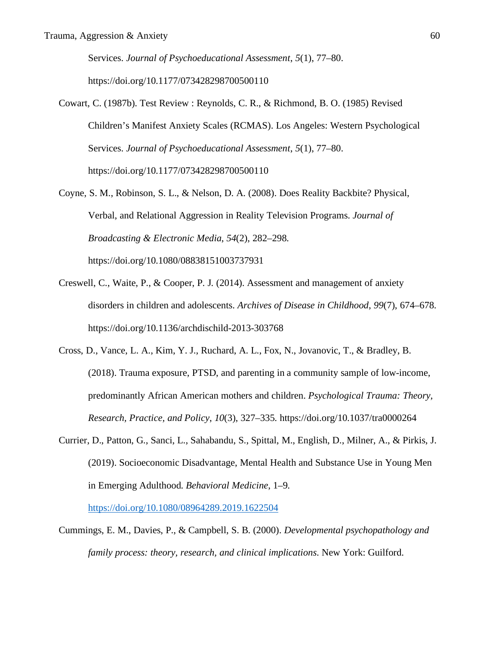Services. *Journal of Psychoeducational Assessment*, *5*(1), 77–80. https://doi.org/10.1177/073428298700500110

- Cowart, C. (1987b). Test Review : Reynolds, C. R., & Richmond, B. O. (1985) Revised Children's Manifest Anxiety Scales (RCMAS). Los Angeles: Western Psychological Services. *Journal of Psychoeducational Assessment*, *5*(1), 77–80. https://doi.org/10.1177/073428298700500110
- Coyne, S. M., Robinson, S. L., & Nelson, D. A. (2008). Does Reality Backbite? Physical, Verbal, and Relational Aggression in Reality Television Programs. *Journal of Broadcasting & Electronic Media*, *54*(2), 282–298. https://doi.org/10.1080/08838151003737931
- Creswell, C., Waite, P., & Cooper, P. J. (2014). Assessment and management of anxiety disorders in children and adolescents. *Archives of Disease in Childhood*, *99*(7), 674–678. https://doi.org/10.1136/archdischild-2013-303768
- Cross, D., Vance, L. A., Kim, Y. J., Ruchard, A. L., Fox, N., Jovanovic, T., & Bradley, B. (2018). Trauma exposure, PTSD, and parenting in a community sample of low-income, predominantly African American mothers and children. *Psychological Trauma: Theory, Research, Practice, and Policy*, *10*(3), 327–335. https://doi.org/10.1037/tra0000264
- Currier, D., Patton, G., Sanci, L., Sahabandu, S., Spittal, M., English, D., Milner, A., & Pirkis, J. (2019). Socioeconomic Disadvantage, Mental Health and Substance Use in Young Men in Emerging Adulthood. *Behavioral Medicine*, 1–9.

https://doi.org/10.1080/08964289.2019.1622504

Cummings, E. M., Davies, P., & Campbell, S. B. (2000). *Developmental psychopathology and family process: theory, research, and clinical implications*. New York: Guilford.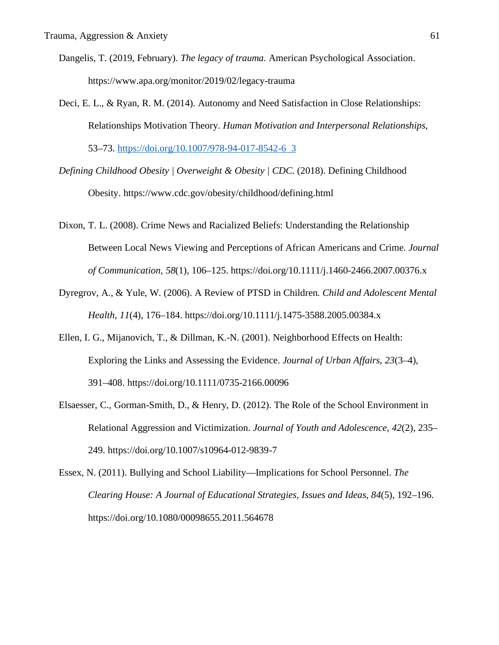- Dangelis, T. (2019, February). *The legacy of trauma*. American Psychological Association. https://www.apa.org/monitor/2019/02/legacy-trauma
- Deci, E. L., & Ryan, R. M. (2014). Autonomy and Need Satisfaction in Close Relationships: Relationships Motivation Theory. *Human Motivation and Interpersonal Relationships*, 53–73. https://doi.org/10.1007/978-94-017-8542-6\_3
- *Defining Childhood Obesity | Overweight & Obesity | CDC*. (2018). Defining Childhood Obesity. https://www.cdc.gov/obesity/childhood/defining.html
- Dixon, T. L. (2008). Crime News and Racialized Beliefs: Understanding the Relationship Between Local News Viewing and Perceptions of African Americans and Crime. *Journal of Communication*, *58*(1), 106–125. https://doi.org/10.1111/j.1460-2466.2007.00376.x
- Dyregrov, A., & Yule, W. (2006). A Review of PTSD in Children. *Child and Adolescent Mental Health*, *11*(4), 176–184. https://doi.org/10.1111/j.1475-3588.2005.00384.x
- Ellen, I. G., Mijanovich, T., & Dillman, K.-N. (2001). Neighborhood Effects on Health: Exploring the Links and Assessing the Evidence. *Journal of Urban Affairs*, *23*(3–4), 391–408. https://doi.org/10.1111/0735-2166.00096
- Elsaesser, C., Gorman-Smith, D., & Henry, D. (2012). The Role of the School Environment in Relational Aggression and Victimization. *Journal of Youth and Adolescence*, *42*(2), 235– 249. https://doi.org/10.1007/s10964-012-9839-7
- Essex, N. (2011). Bullying and School Liability—Implications for School Personnel. *The Clearing House: A Journal of Educational Strategies, Issues and Ideas*, *84*(5), 192–196. https://doi.org/10.1080/00098655.2011.564678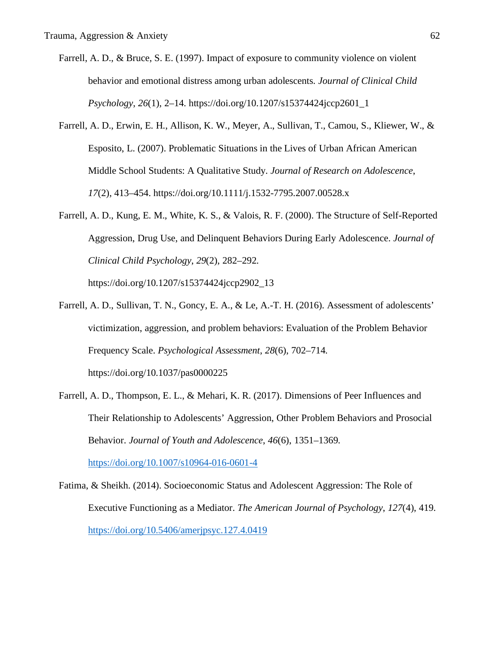- Farrell, A. D., & Bruce, S. E. (1997). Impact of exposure to community violence on violent behavior and emotional distress among urban adolescents. *Journal of Clinical Child Psychology*, *26*(1), 2–14. https://doi.org/10.1207/s15374424jccp2601\_1
- Farrell, A. D., Erwin, E. H., Allison, K. W., Meyer, A., Sullivan, T., Camou, S., Kliewer, W., & Esposito, L. (2007). Problematic Situations in the Lives of Urban African American Middle School Students: A Qualitative Study. *Journal of Research on Adolescence*, *17*(2), 413–454. https://doi.org/10.1111/j.1532-7795.2007.00528.x
- Farrell, A. D., Kung, E. M., White, K. S., & Valois, R. F. (2000). The Structure of Self-Reported Aggression, Drug Use, and Delinquent Behaviors During Early Adolescence. *Journal of Clinical Child Psychology*, *29*(2), 282–292.

https://doi.org/10.1207/s15374424jccp2902\_13

- Farrell, A. D., Sullivan, T. N., Goncy, E. A., & Le, A.-T. H. (2016). Assessment of adolescents' victimization, aggression, and problem behaviors: Evaluation of the Problem Behavior Frequency Scale. *Psychological Assessment*, *28*(6), 702–714. https://doi.org/10.1037/pas0000225
- Farrell, A. D., Thompson, E. L., & Mehari, K. R. (2017). Dimensions of Peer Influences and Their Relationship to Adolescents' Aggression, Other Problem Behaviors and Prosocial Behavior. *Journal of Youth and Adolescence*, *46*(6), 1351–1369.

https://doi.org/10.1007/s10964-016-0601-4

Fatima, & Sheikh. (2014). Socioeconomic Status and Adolescent Aggression: The Role of Executive Functioning as a Mediator. *The American Journal of Psychology*, *127*(4), 419. https://doi.org/10.5406/amerjpsyc.127.4.0419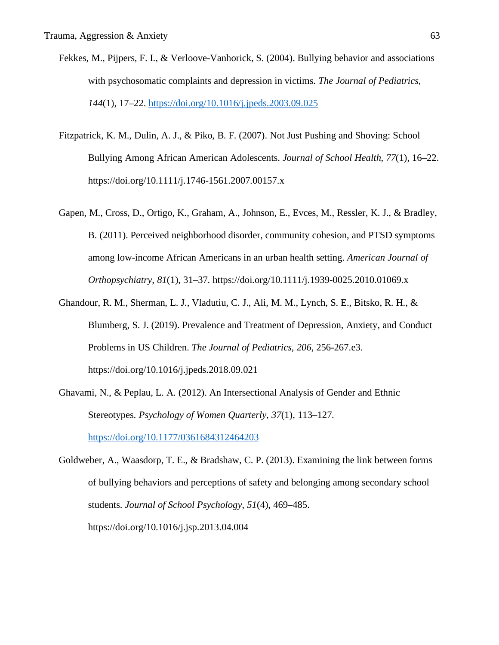- Fekkes, M., Pijpers, F. I., & Verloove-Vanhorick, S. (2004). Bullying behavior and associations with psychosomatic complaints and depression in victims. *The Journal of Pediatrics*, *144*(1), 17–22. https://doi.org/10.1016/j.jpeds.2003.09.025
- Fitzpatrick, K. M., Dulin, A. J., & Piko, B. F. (2007). Not Just Pushing and Shoving: School Bullying Among African American Adolescents. *Journal of School Health*, *77*(1), 16–22. https://doi.org/10.1111/j.1746-1561.2007.00157.x
- Gapen, M., Cross, D., Ortigo, K., Graham, A., Johnson, E., Evces, M., Ressler, K. J., & Bradley, B. (2011). Perceived neighborhood disorder, community cohesion, and PTSD symptoms among low-income African Americans in an urban health setting. *American Journal of Orthopsychiatry*, *81*(1), 31–37. https://doi.org/10.1111/j.1939-0025.2010.01069.x
- Ghandour, R. M., Sherman, L. J., Vladutiu, C. J., Ali, M. M., Lynch, S. E., Bitsko, R. H., & Blumberg, S. J. (2019). Prevalence and Treatment of Depression, Anxiety, and Conduct Problems in US Children. *The Journal of Pediatrics*, *206*, 256-267.e3. https://doi.org/10.1016/j.jpeds.2018.09.021
- Ghavami, N., & Peplau, L. A. (2012). An Intersectional Analysis of Gender and Ethnic Stereotypes. *Psychology of Women Quarterly*, *37*(1), 113–127. https://doi.org/10.1177/0361684312464203
- Goldweber, A., Waasdorp, T. E., & Bradshaw, C. P. (2013). Examining the link between forms of bullying behaviors and perceptions of safety and belonging among secondary school students. *Journal of School Psychology*, *51*(4), 469–485. https://doi.org/10.1016/j.jsp.2013.04.004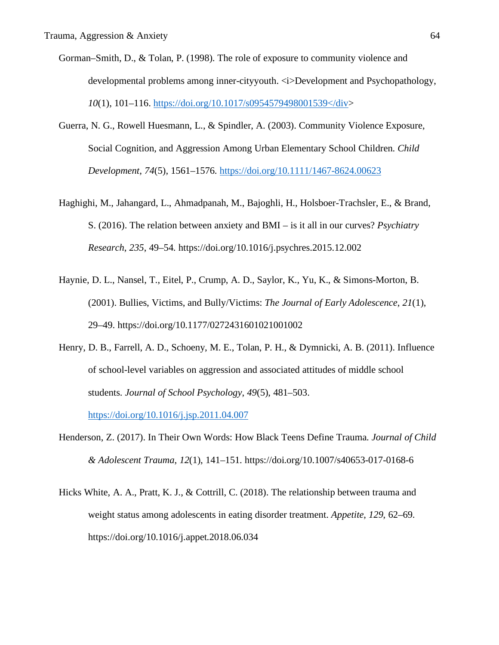- Gorman–Smith, D., & Tolan, P. (1998). The role of exposure to community violence and developmental problems among inner-cityyouth.  $\langle i \rangle$ Development and Psychopathology, *10*(1), 101–116. https://doi.org/10.1017/s0954579498001539</div>
- Guerra, N. G., Rowell Huesmann, L., & Spindler, A. (2003). Community Violence Exposure, Social Cognition, and Aggression Among Urban Elementary School Children. *Child Development*, *74*(5), 1561–1576. https://doi.org/10.1111/1467-8624.00623
- Haghighi, M., Jahangard, L., Ahmadpanah, M., Bajoghli, H., Holsboer-Trachsler, E., & Brand, S. (2016). The relation between anxiety and BMI – is it all in our curves? *Psychiatry Research*, *235*, 49–54. https://doi.org/10.1016/j.psychres.2015.12.002
- Haynie, D. L., Nansel, T., Eitel, P., Crump, A. D., Saylor, K., Yu, K., & Simons-Morton, B. (2001). Bullies, Victims, and Bully/Victims: *The Journal of Early Adolescence*, *21*(1), 29–49. https://doi.org/10.1177/0272431601021001002
- Henry, D. B., Farrell, A. D., Schoeny, M. E., Tolan, P. H., & Dymnicki, A. B. (2011). Influence of school-level variables on aggression and associated attitudes of middle school students. *Journal of School Psychology*, *49*(5), 481–503.

https://doi.org/10.1016/j.jsp.2011.04.007

- Henderson, Z. (2017). In Their Own Words: How Black Teens Define Trauma. *Journal of Child & Adolescent Trauma*, *12*(1), 141–151. https://doi.org/10.1007/s40653-017-0168-6
- Hicks White, A. A., Pratt, K. J., & Cottrill, C. (2018). The relationship between trauma and weight status among adolescents in eating disorder treatment. *Appetite*, *129*, 62–69. https://doi.org/10.1016/j.appet.2018.06.034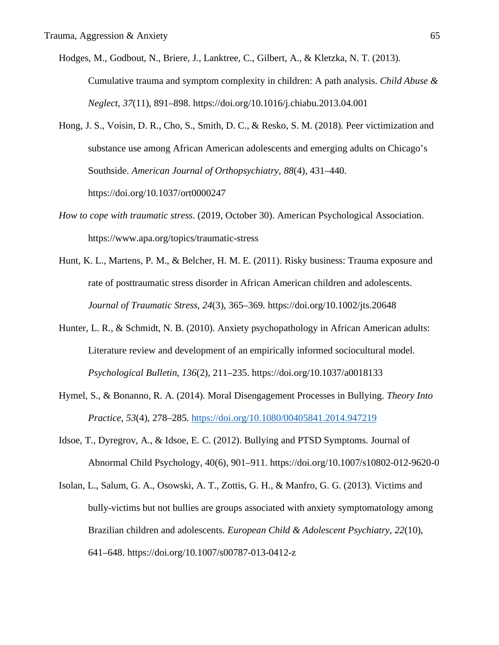- Hodges, M., Godbout, N., Briere, J., Lanktree, C., Gilbert, A., & Kletzka, N. T. (2013). Cumulative trauma and symptom complexity in children: A path analysis. *Child Abuse & Neglect*, *37*(11), 891–898. https://doi.org/10.1016/j.chiabu.2013.04.001
- Hong, J. S., Voisin, D. R., Cho, S., Smith, D. C., & Resko, S. M. (2018). Peer victimization and substance use among African American adolescents and emerging adults on Chicago's Southside. *American Journal of Orthopsychiatry*, *88*(4), 431–440. https://doi.org/10.1037/ort0000247
- *How to cope with traumatic stress*. (2019, October 30). American Psychological Association. https://www.apa.org/topics/traumatic-stress
- Hunt, K. L., Martens, P. M., & Belcher, H. M. E. (2011). Risky business: Trauma exposure and rate of posttraumatic stress disorder in African American children and adolescents. *Journal of Traumatic Stress*, *24*(3), 365–369. https://doi.org/10.1002/jts.20648
- Hunter, L. R., & Schmidt, N. B. (2010). Anxiety psychopathology in African American adults: Literature review and development of an empirically informed sociocultural model. *Psychological Bulletin*, *136*(2), 211–235. https://doi.org/10.1037/a0018133
- Hymel, S., & Bonanno, R. A. (2014). Moral Disengagement Processes in Bullying. *Theory Into Practice*, *53*(4), 278–285. https://doi.org/10.1080/00405841.2014.947219
- Idsoe, T., Dyregrov, A., & Idsoe, E. C. (2012). Bullying and PTSD Symptoms. Journal of Abnormal Child Psychology, 40(6), 901–911. https://doi.org/10.1007/s10802-012-9620-0
- Isolan, L., Salum, G. A., Osowski, A. T., Zottis, G. H., & Manfro, G. G. (2013). Victims and bully-victims but not bullies are groups associated with anxiety symptomatology among Brazilian children and adolescents. *European Child & Adolescent Psychiatry*, *22*(10), 641–648. https://doi.org/10.1007/s00787-013-0412-z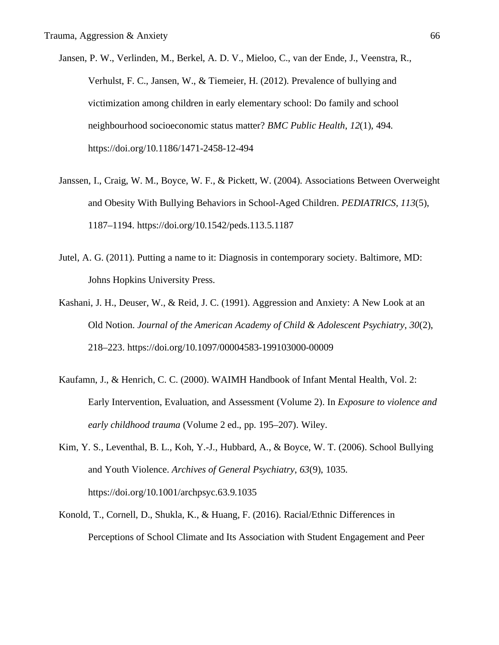- Jansen, P. W., Verlinden, M., Berkel, A. D. V., Mieloo, C., van der Ende, J., Veenstra, R., Verhulst, F. C., Jansen, W., & Tiemeier, H. (2012). Prevalence of bullying and victimization among children in early elementary school: Do family and school neighbourhood socioeconomic status matter? *BMC Public Health*, *12*(1), 494. https://doi.org/10.1186/1471-2458-12-494
- Janssen, I., Craig, W. M., Boyce, W. F., & Pickett, W. (2004). Associations Between Overweight and Obesity With Bullying Behaviors in School-Aged Children. *PEDIATRICS*, *113*(5), 1187–1194. https://doi.org/10.1542/peds.113.5.1187
- Jutel, A. G. (2011). Putting a name to it: Diagnosis in contemporary society. Baltimore, MD: Johns Hopkins University Press.
- Kashani, J. H., Deuser, W., & Reid, J. C. (1991). Aggression and Anxiety: A New Look at an Old Notion. *Journal of the American Academy of Child & Adolescent Psychiatry*, *30*(2), 218–223. https://doi.org/10.1097/00004583-199103000-00009
- Kaufamn, J., & Henrich, C. C. (2000). WAIMH Handbook of Infant Mental Health, Vol. 2: Early Intervention, Evaluation, and Assessment (Volume 2). In *Exposure to violence and early childhood trauma* (Volume 2 ed., pp. 195–207). Wiley.
- Kim, Y. S., Leventhal, B. L., Koh, Y.-J., Hubbard, A., & Boyce, W. T. (2006). School Bullying and Youth Violence. *Archives of General Psychiatry*, *63*(9), 1035. https://doi.org/10.1001/archpsyc.63.9.1035
- Konold, T., Cornell, D., Shukla, K., & Huang, F. (2016). Racial/Ethnic Differences in Perceptions of School Climate and Its Association with Student Engagement and Peer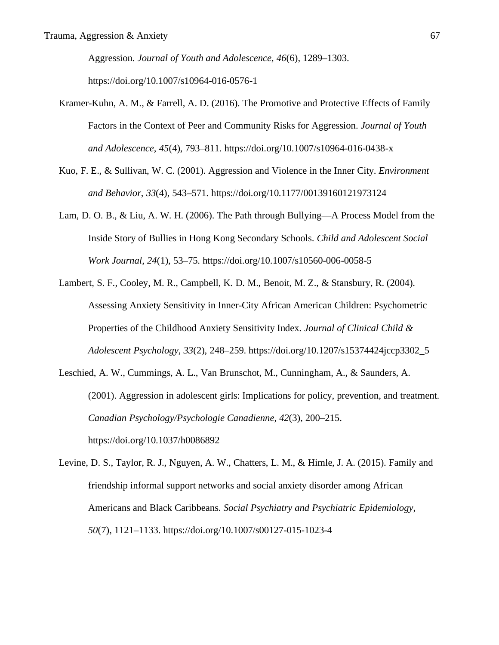Aggression. *Journal of Youth and Adolescence*, *46*(6), 1289–1303. https://doi.org/10.1007/s10964-016-0576-1

- Kramer-Kuhn, A. M., & Farrell, A. D. (2016). The Promotive and Protective Effects of Family Factors in the Context of Peer and Community Risks for Aggression. *Journal of Youth and Adolescence*, *45*(4), 793–811. https://doi.org/10.1007/s10964-016-0438-x
- Kuo, F. E., & Sullivan, W. C. (2001). Aggression and Violence in the Inner City. *Environment and Behavior*, *33*(4), 543–571. https://doi.org/10.1177/00139160121973124
- Lam, D. O. B., & Liu, A. W. H. (2006). The Path through Bullying—A Process Model from the Inside Story of Bullies in Hong Kong Secondary Schools. *Child and Adolescent Social Work Journal*, *24*(1), 53–75. https://doi.org/10.1007/s10560-006-0058-5
- Lambert, S. F., Cooley, M. R., Campbell, K. D. M., Benoit, M. Z., & Stansbury, R. (2004). Assessing Anxiety Sensitivity in Inner-City African American Children: Psychometric Properties of the Childhood Anxiety Sensitivity Index. *Journal of Clinical Child & Adolescent Psychology*, *33*(2), 248–259. https://doi.org/10.1207/s15374424jccp3302\_5
- Leschied, A. W., Cummings, A. L., Van Brunschot, M., Cunningham, A., & Saunders, A. (2001). Aggression in adolescent girls: Implications for policy, prevention, and treatment. *Canadian Psychology/Psychologie Canadienne*, *42*(3), 200–215. https://doi.org/10.1037/h0086892
- Levine, D. S., Taylor, R. J., Nguyen, A. W., Chatters, L. M., & Himle, J. A. (2015). Family and friendship informal support networks and social anxiety disorder among African Americans and Black Caribbeans. *Social Psychiatry and Psychiatric Epidemiology*, *50*(7), 1121–1133. https://doi.org/10.1007/s00127-015-1023-4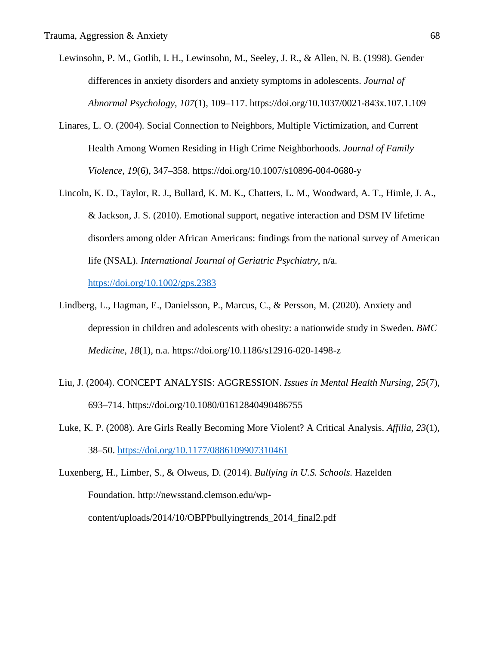- Lewinsohn, P. M., Gotlib, I. H., Lewinsohn, M., Seeley, J. R., & Allen, N. B. (1998). Gender differences in anxiety disorders and anxiety symptoms in adolescents. *Journal of Abnormal Psychology*, *107*(1), 109–117. https://doi.org/10.1037/0021-843x.107.1.109
- Linares, L. O. (2004). Social Connection to Neighbors, Multiple Victimization, and Current Health Among Women Residing in High Crime Neighborhoods. *Journal of Family Violence*, *19*(6), 347–358. https://doi.org/10.1007/s10896-004-0680-y
- Lincoln, K. D., Taylor, R. J., Bullard, K. M. K., Chatters, L. M., Woodward, A. T., Himle, J. A., & Jackson, J. S. (2010). Emotional support, negative interaction and DSM IV lifetime disorders among older African Americans: findings from the national survey of American life (NSAL). *International Journal of Geriatric Psychiatry*, n/a.

https://doi.org/10.1002/gps.2383

- Lindberg, L., Hagman, E., Danielsson, P., Marcus, C., & Persson, M. (2020). Anxiety and depression in children and adolescents with obesity: a nationwide study in Sweden. *BMC Medicine*, *18*(1), n.a. https://doi.org/10.1186/s12916-020-1498-z
- Liu, J. (2004). CONCEPT ANALYSIS: AGGRESSION. *Issues in Mental Health Nursing*, *25*(7), 693–714. https://doi.org/10.1080/01612840490486755
- Luke, K. P. (2008). Are Girls Really Becoming More Violent? A Critical Analysis. *Affilia*, *23*(1), 38–50. https://doi.org/10.1177/0886109907310461
- Luxenberg, H., Limber, S., & Olweus, D. (2014). *Bullying in U.S. Schools*. Hazelden Foundation. http://newsstand.clemson.edu/wpcontent/uploads/2014/10/OBPPbullyingtrends\_2014\_final2.pdf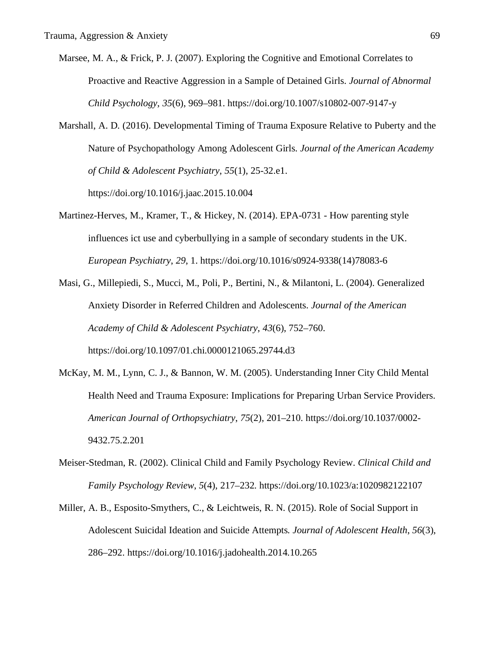- Marsee, M. A., & Frick, P. J. (2007). Exploring the Cognitive and Emotional Correlates to Proactive and Reactive Aggression in a Sample of Detained Girls. *Journal of Abnormal Child Psychology*, *35*(6), 969–981. https://doi.org/10.1007/s10802-007-9147-y
- Marshall, A. D. (2016). Developmental Timing of Trauma Exposure Relative to Puberty and the Nature of Psychopathology Among Adolescent Girls. *Journal of the American Academy of Child & Adolescent Psychiatry*, *55*(1), 25-32.e1. https://doi.org/10.1016/j.jaac.2015.10.004
- Martinez-Herves, M., Kramer, T., & Hickey, N. (2014). EPA-0731 How parenting style influences ict use and cyberbullying in a sample of secondary students in the UK. *European Psychiatry*, *29*, 1. https://doi.org/10.1016/s0924-9338(14)78083-6
- Masi, G., Millepiedi, S., Mucci, M., Poli, P., Bertini, N., & Milantoni, L. (2004). Generalized Anxiety Disorder in Referred Children and Adolescents. *Journal of the American Academy of Child & Adolescent Psychiatry*, *43*(6), 752–760. https://doi.org/10.1097/01.chi.0000121065.29744.d3
- McKay, M. M., Lynn, C. J., & Bannon, W. M. (2005). Understanding Inner City Child Mental Health Need and Trauma Exposure: Implications for Preparing Urban Service Providers. *American Journal of Orthopsychiatry*, *75*(2), 201–210. https://doi.org/10.1037/0002- 9432.75.2.201
- Meiser-Stedman, R. (2002). Clinical Child and Family Psychology Review. *Clinical Child and Family Psychology Review*, *5*(4), 217–232. https://doi.org/10.1023/a:1020982122107
- Miller, A. B., Esposito-Smythers, C., & Leichtweis, R. N. (2015). Role of Social Support in Adolescent Suicidal Ideation and Suicide Attempts. *Journal of Adolescent Health*, *56*(3), 286–292. https://doi.org/10.1016/j.jadohealth.2014.10.265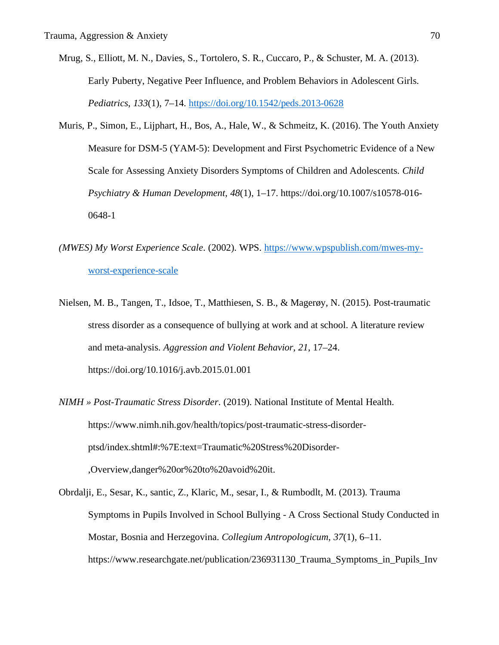- Mrug, S., Elliott, M. N., Davies, S., Tortolero, S. R., Cuccaro, P., & Schuster, M. A. (2013). Early Puberty, Negative Peer Influence, and Problem Behaviors in Adolescent Girls. *Pediatrics*, *133*(1), 7–14. https://doi.org/10.1542/peds.2013-0628
- Muris, P., Simon, E., Lijphart, H., Bos, A., Hale, W., & Schmeitz, K. (2016). The Youth Anxiety Measure for DSM-5 (YAM-5): Development and First Psychometric Evidence of a New Scale for Assessing Anxiety Disorders Symptoms of Children and Adolescents. *Child Psychiatry & Human Development*, *48*(1), 1–17. https://doi.org/10.1007/s10578-016- 0648-1
- *(MWES) My Worst Experience Scale*. (2002). WPS. https://www.wpspublish.com/mwes-myworst-experience-scale
- Nielsen, M. B., Tangen, T., Idsoe, T., Matthiesen, S. B., & Magerøy, N. (2015). Post-traumatic stress disorder as a consequence of bullying at work and at school. A literature review and meta-analysis. *Aggression and Violent Behavior*, *21*, 17–24. https://doi.org/10.1016/j.avb.2015.01.001
- *NIMH » Post-Traumatic Stress Disorder*. (2019). National Institute of Mental Health. https://www.nimh.nih.gov/health/topics/post-traumatic-stress-disorderptsd/index.shtml#:%7E:text=Traumatic%20Stress%20Disorder- ,Overview,danger%20or%20to%20avoid%20it.
- Obrdalji, E., Sesar, K., santic, Z., Klaric, M., sesar, I., & Rumbodlt, M. (2013). Trauma Symptoms in Pupils Involved in School Bullying - A Cross Sectional Study Conducted in Mostar, Bosnia and Herzegovina. *Collegium Antropologicum*, *37*(1), 6–11. https://www.researchgate.net/publication/236931130\_Trauma\_Symptoms\_in\_Pupils\_Inv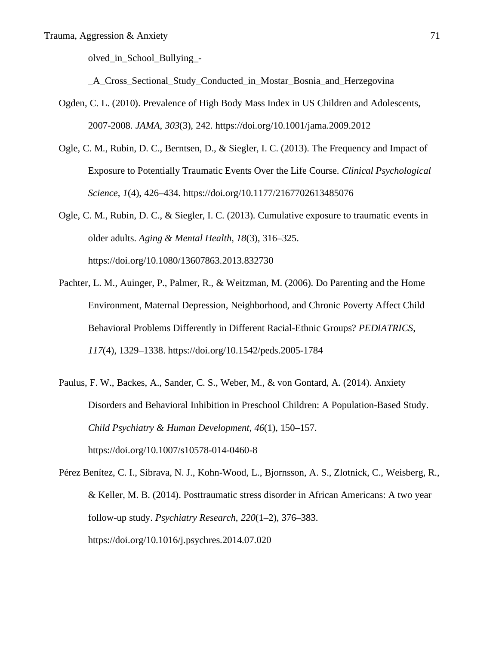olved\_in\_School\_Bullying\_-

\_A\_Cross\_Sectional\_Study\_Conducted\_in\_Mostar\_Bosnia\_and\_Herzegovina

- Ogden, C. L. (2010). Prevalence of High Body Mass Index in US Children and Adolescents, 2007-2008. *JAMA*, *303*(3), 242. https://doi.org/10.1001/jama.2009.2012
- Ogle, C. M., Rubin, D. C., Berntsen, D., & Siegler, I. C. (2013). The Frequency and Impact of Exposure to Potentially Traumatic Events Over the Life Course. *Clinical Psychological Science*, *1*(4), 426–434. https://doi.org/10.1177/2167702613485076
- Ogle, C. M., Rubin, D. C., & Siegler, I. C. (2013). Cumulative exposure to traumatic events in older adults. *Aging & Mental Health*, *18*(3), 316–325. https://doi.org/10.1080/13607863.2013.832730
- Pachter, L. M., Auinger, P., Palmer, R., & Weitzman, M. (2006). Do Parenting and the Home Environment, Maternal Depression, Neighborhood, and Chronic Poverty Affect Child Behavioral Problems Differently in Different Racial-Ethnic Groups? *PEDIATRICS*, *117*(4), 1329–1338. https://doi.org/10.1542/peds.2005-1784
- Paulus, F. W., Backes, A., Sander, C. S., Weber, M., & von Gontard, A. (2014). Anxiety Disorders and Behavioral Inhibition in Preschool Children: A Population-Based Study. *Child Psychiatry & Human Development*, *46*(1), 150–157. https://doi.org/10.1007/s10578-014-0460-8

Pérez Benítez, C. I., Sibrava, N. J., Kohn-Wood, L., Bjornsson, A. S., Zlotnick, C., Weisberg, R., & Keller, M. B. (2014). Posttraumatic stress disorder in African Americans: A two year follow-up study. *Psychiatry Research*, *220*(1–2), 376–383. https://doi.org/10.1016/j.psychres.2014.07.020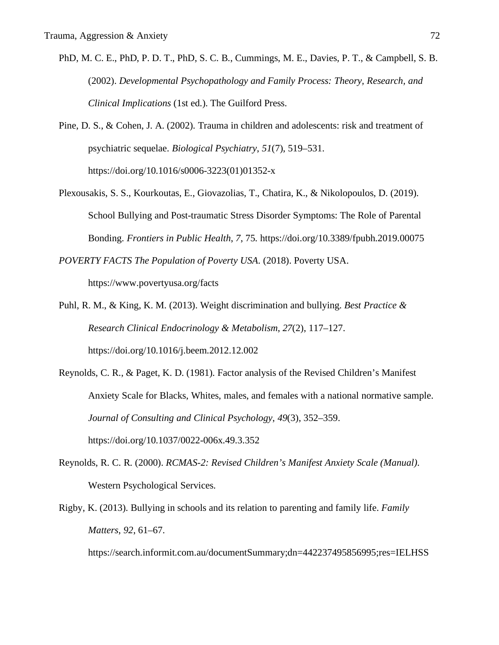- PhD, M. C. E., PhD, P. D. T., PhD, S. C. B., Cummings, M. E., Davies, P. T., & Campbell, S. B. (2002). *Developmental Psychopathology and Family Process: Theory, Research, and Clinical Implications* (1st ed.). The Guilford Press.
- Pine, D. S., & Cohen, J. A. (2002). Trauma in children and adolescents: risk and treatment of psychiatric sequelae. *Biological Psychiatry*, *51*(7), 519–531. https://doi.org/10.1016/s0006-3223(01)01352-x
- Plexousakis, S. S., Kourkoutas, E., Giovazolias, T., Chatira, K., & Nikolopoulos, D. (2019). School Bullying and Post-traumatic Stress Disorder Symptoms: The Role of Parental Bonding. *Frontiers in Public Health*, *7*, 75. https://doi.org/10.3389/fpubh.2019.00075

*POVERTY FACTS The Population of Poverty USA*. (2018). Poverty USA.

https://www.povertyusa.org/facts

- Puhl, R. M., & King, K. M. (2013). Weight discrimination and bullying. *Best Practice & Research Clinical Endocrinology & Metabolism*, *27*(2), 117–127. https://doi.org/10.1016/j.beem.2012.12.002
- Reynolds, C. R., & Paget, K. D. (1981). Factor analysis of the Revised Children's Manifest Anxiety Scale for Blacks, Whites, males, and females with a national normative sample. *Journal of Consulting and Clinical Psychology*, *49*(3), 352–359. https://doi.org/10.1037/0022-006x.49.3.352
- Reynolds, R. C. R. (2000). *RCMAS-2: Revised Children's Manifest Anxiety Scale (Manual)*. Western Psychological Services.
- Rigby, K. (2013). Bullying in schools and its relation to parenting and family life. *Family Matters*, *92*, 61–67.

https://search.informit.com.au/documentSummary;dn=442237495856995;res=IELHSS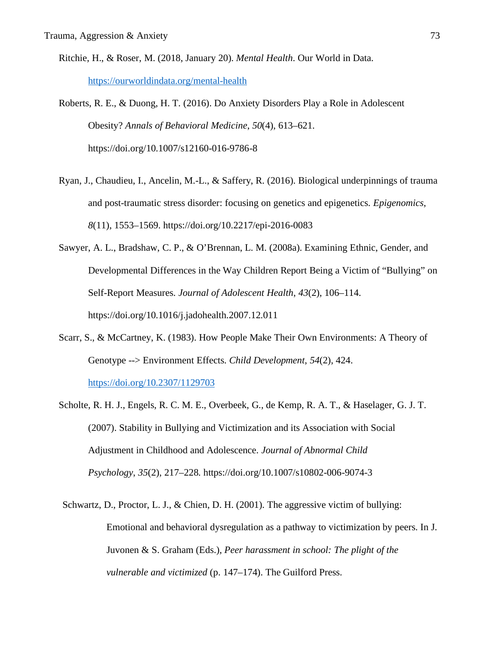- Ritchie, H., & Roser, M. (2018, January 20). *Mental Health*. Our World in Data. https://ourworldindata.org/mental-health
- Roberts, R. E., & Duong, H. T. (2016). Do Anxiety Disorders Play a Role in Adolescent Obesity? *Annals of Behavioral Medicine*, *50*(4), 613–621. https://doi.org/10.1007/s12160-016-9786-8
- Ryan, J., Chaudieu, I., Ancelin, M.-L., & Saffery, R. (2016). Biological underpinnings of trauma and post-traumatic stress disorder: focusing on genetics and epigenetics. *Epigenomics*, *8*(11), 1553–1569. https://doi.org/10.2217/epi-2016-0083
- Sawyer, A. L., Bradshaw, C. P., & O'Brennan, L. M. (2008a). Examining Ethnic, Gender, and Developmental Differences in the Way Children Report Being a Victim of "Bullying" on Self-Report Measures. *Journal of Adolescent Health*, *43*(2), 106–114. https://doi.org/10.1016/j.jadohealth.2007.12.011
- Scarr, S., & McCartney, K. (1983). How People Make Their Own Environments: A Theory of Genotype --> Environment Effects. *Child Development*, *54*(2), 424. https://doi.org/10.2307/1129703
- Scholte, R. H. J., Engels, R. C. M. E., Overbeek, G., de Kemp, R. A. T., & Haselager, G. J. T. (2007). Stability in Bullying and Victimization and its Association with Social Adjustment in Childhood and Adolescence. *Journal of Abnormal Child Psychology*, *35*(2), 217–228. https://doi.org/10.1007/s10802-006-9074-3
- Schwartz, D., Proctor, L. J., & Chien, D. H. (2001). The aggressive victim of bullying: Emotional and behavioral dysregulation as a pathway to victimization by peers. In J. Juvonen & S. Graham (Eds.), *Peer harassment in school: The plight of the vulnerable and victimized* (p. 147–174). The Guilford Press.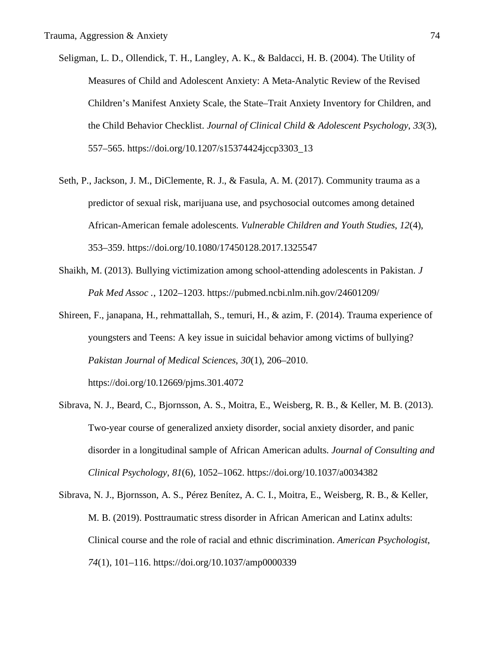- Seligman, L. D., Ollendick, T. H., Langley, A. K., & Baldacci, H. B. (2004). The Utility of Measures of Child and Adolescent Anxiety: A Meta-Analytic Review of the Revised Children's Manifest Anxiety Scale, the State–Trait Anxiety Inventory for Children, and the Child Behavior Checklist. *Journal of Clinical Child & Adolescent Psychology*, *33*(3), 557–565. https://doi.org/10.1207/s15374424jccp3303\_13
- Seth, P., Jackson, J. M., DiClemente, R. J., & Fasula, A. M. (2017). Community trauma as a predictor of sexual risk, marijuana use, and psychosocial outcomes among detained African-American female adolescents. *Vulnerable Children and Youth Studies*, *12*(4), 353–359. https://doi.org/10.1080/17450128.2017.1325547
- Shaikh, M. (2013). Bullying victimization among school-attending adolescents in Pakistan. *J Pak Med Assoc .*, 1202–1203. https://pubmed.ncbi.nlm.nih.gov/24601209/
- Shireen, F., janapana, H., rehmattallah, S., temuri, H., & azim, F. (2014). Trauma experience of youngsters and Teens: A key issue in suicidal behavior among victims of bullying? *Pakistan Journal of Medical Sciences*, *30*(1), 206–2010. https://doi.org/10.12669/pjms.301.4072
- Sibrava, N. J., Beard, C., Bjornsson, A. S., Moitra, E., Weisberg, R. B., & Keller, M. B. (2013). Two-year course of generalized anxiety disorder, social anxiety disorder, and panic disorder in a longitudinal sample of African American adults. *Journal of Consulting and Clinical Psychology*, *81*(6), 1052–1062. https://doi.org/10.1037/a0034382
- Sibrava, N. J., Bjornsson, A. S., Pérez Benítez, A. C. I., Moitra, E., Weisberg, R. B., & Keller, M. B. (2019). Posttraumatic stress disorder in African American and Latinx adults: Clinical course and the role of racial and ethnic discrimination. *American Psychologist*, *74*(1), 101–116. https://doi.org/10.1037/amp0000339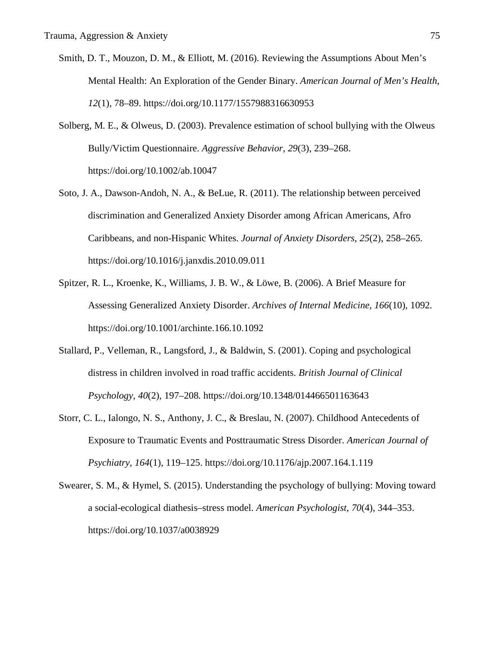- Smith, D. T., Mouzon, D. M., & Elliott, M. (2016). Reviewing the Assumptions About Men's Mental Health: An Exploration of the Gender Binary. *American Journal of Men's Health*, *12*(1), 78–89. https://doi.org/10.1177/1557988316630953
- Solberg, M. E., & Olweus, D. (2003). Prevalence estimation of school bullying with the Olweus Bully/Victim Questionnaire. *Aggressive Behavior*, *29*(3), 239–268. https://doi.org/10.1002/ab.10047
- Soto, J. A., Dawson-Andoh, N. A., & BeLue, R. (2011). The relationship between perceived discrimination and Generalized Anxiety Disorder among African Americans, Afro Caribbeans, and non-Hispanic Whites. *Journal of Anxiety Disorders*, *25*(2), 258–265. https://doi.org/10.1016/j.janxdis.2010.09.011
- Spitzer, R. L., Kroenke, K., Williams, J. B. W., & Löwe, B. (2006). A Brief Measure for Assessing Generalized Anxiety Disorder. *Archives of Internal Medicine*, *166*(10), 1092. https://doi.org/10.1001/archinte.166.10.1092
- Stallard, P., Velleman, R., Langsford, J., & Baldwin, S. (2001). Coping and psychological distress in children involved in road traffic accidents. *British Journal of Clinical Psychology*, *40*(2), 197–208. https://doi.org/10.1348/014466501163643
- Storr, C. L., Ialongo, N. S., Anthony, J. C., & Breslau, N. (2007). Childhood Antecedents of Exposure to Traumatic Events and Posttraumatic Stress Disorder. *American Journal of Psychiatry*, *164*(1), 119–125. https://doi.org/10.1176/ajp.2007.164.1.119
- Swearer, S. M., & Hymel, S. (2015). Understanding the psychology of bullying: Moving toward a social-ecological diathesis–stress model. *American Psychologist*, *70*(4), 344–353. https://doi.org/10.1037/a0038929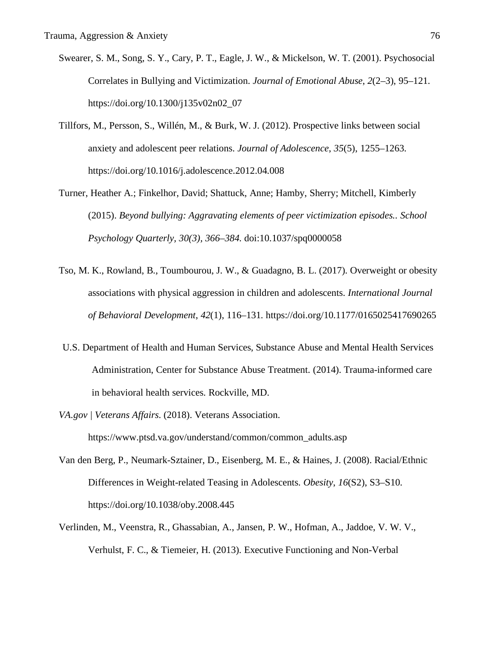- Swearer, S. M., Song, S. Y., Cary, P. T., Eagle, J. W., & Mickelson, W. T. (2001). Psychosocial Correlates in Bullying and Victimization. *Journal of Emotional Abuse*, *2*(2–3), 95–121. https://doi.org/10.1300/j135v02n02\_07
- Tillfors, M., Persson, S., Willén, M., & Burk, W. J. (2012). Prospective links between social anxiety and adolescent peer relations. *Journal of Adolescence*, *35*(5), 1255–1263. https://doi.org/10.1016/j.adolescence.2012.04.008
- Turner, Heather A.; Finkelhor, David; Shattuck, Anne; Hamby, Sherry; Mitchell, Kimberly (2015). *Beyond bullying: Aggravating elements of peer victimization episodes.. School Psychology Quarterly, 30(3), 366–384.* doi:10.1037/spq0000058
- Tso, M. K., Rowland, B., Toumbourou, J. W., & Guadagno, B. L. (2017). Overweight or obesity associations with physical aggression in children and adolescents. *International Journal of Behavioral Development*, *42*(1), 116–131. https://doi.org/10.1177/0165025417690265
- U.S. Department of Health and Human Services, Substance Abuse and Mental Health Services Administration, Center for Substance Abuse Treatment. (2014). Trauma-informed care in behavioral health services. Rockville, MD.
- *VA.gov | Veterans Affairs*. (2018). Veterans Association. https://www.ptsd.va.gov/understand/common/common\_adults.asp
- Van den Berg, P., Neumark-Sztainer, D., Eisenberg, M. E., & Haines, J. (2008). Racial/Ethnic Differences in Weight-related Teasing in Adolescents. *Obesity*, *16*(S2), S3–S10. https://doi.org/10.1038/oby.2008.445
- Verlinden, M., Veenstra, R., Ghassabian, A., Jansen, P. W., Hofman, A., Jaddoe, V. W. V., Verhulst, F. C., & Tiemeier, H. (2013). Executive Functioning and Non-Verbal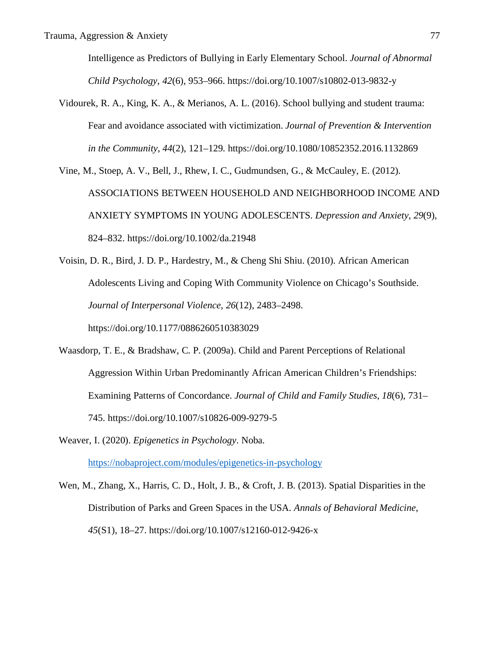Intelligence as Predictors of Bullying in Early Elementary School. *Journal of Abnormal Child Psychology*, *42*(6), 953–966. https://doi.org/10.1007/s10802-013-9832-y

Vidourek, R. A., King, K. A., & Merianos, A. L. (2016). School bullying and student trauma: Fear and avoidance associated with victimization. *Journal of Prevention & Intervention in the Community*, *44*(2), 121–129. https://doi.org/10.1080/10852352.2016.1132869

Vine, M., Stoep, A. V., Bell, J., Rhew, I. C., Gudmundsen, G., & McCauley, E. (2012). ASSOCIATIONS BETWEEN HOUSEHOLD AND NEIGHBORHOOD INCOME AND ANXIETY SYMPTOMS IN YOUNG ADOLESCENTS. *Depression and Anxiety*, *29*(9), 824–832. https://doi.org/10.1002/da.21948

Voisin, D. R., Bird, J. D. P., Hardestry, M., & Cheng Shi Shiu. (2010). African American Adolescents Living and Coping With Community Violence on Chicago's Southside. *Journal of Interpersonal Violence*, *26*(12), 2483–2498. https://doi.org/10.1177/0886260510383029

- Waasdorp, T. E., & Bradshaw, C. P. (2009a). Child and Parent Perceptions of Relational Aggression Within Urban Predominantly African American Children's Friendships: Examining Patterns of Concordance. *Journal of Child and Family Studies*, *18*(6), 731– 745. https://doi.org/10.1007/s10826-009-9279-5
- Weaver, I. (2020). *Epigenetics in Psychology*. Noba. https://nobaproject.com/modules/epigenetics-in-psychology
- Wen, M., Zhang, X., Harris, C. D., Holt, J. B., & Croft, J. B. (2013). Spatial Disparities in the Distribution of Parks and Green Spaces in the USA. *Annals of Behavioral Medicine*, *45*(S1), 18–27. https://doi.org/10.1007/s12160-012-9426-x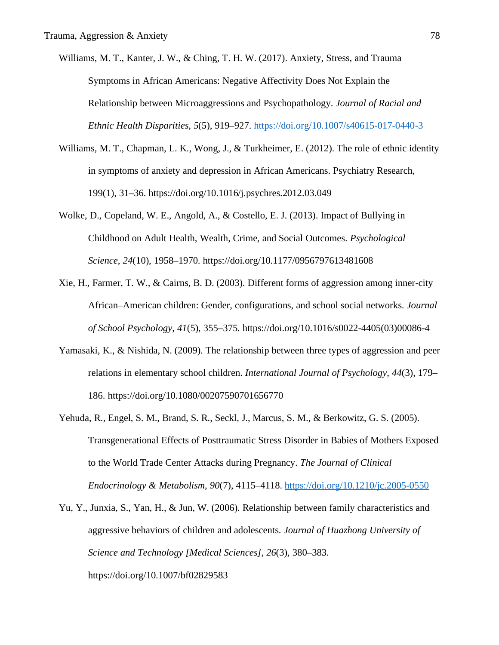- Williams, M. T., Kanter, J. W., & Ching, T. H. W. (2017). Anxiety, Stress, and Trauma Symptoms in African Americans: Negative Affectivity Does Not Explain the Relationship between Microaggressions and Psychopathology. *Journal of Racial and Ethnic Health Disparities*, *5*(5), 919–927. https://doi.org/10.1007/s40615-017-0440-3
- Williams, M. T., Chapman, L. K., Wong, J., & Turkheimer, E. (2012). The role of ethnic identity in symptoms of anxiety and depression in African Americans. Psychiatry Research, 199(1), 31–36. https://doi.org/10.1016/j.psychres.2012.03.049
- Wolke, D., Copeland, W. E., Angold, A., & Costello, E. J. (2013). Impact of Bullying in Childhood on Adult Health, Wealth, Crime, and Social Outcomes. *Psychological Science*, *24*(10), 1958–1970. https://doi.org/10.1177/0956797613481608
- Xie, H., Farmer, T. W., & Cairns, B. D. (2003). Different forms of aggression among inner-city African–American children: Gender, configurations, and school social networks. *Journal of School Psychology*, *41*(5), 355–375. https://doi.org/10.1016/s0022-4405(03)00086-4
- Yamasaki, K., & Nishida, N. (2009). The relationship between three types of aggression and peer relations in elementary school children. *International Journal of Psychology*, *44*(3), 179– 186. https://doi.org/10.1080/00207590701656770
- Yehuda, R., Engel, S. M., Brand, S. R., Seckl, J., Marcus, S. M., & Berkowitz, G. S. (2005). Transgenerational Effects of Posttraumatic Stress Disorder in Babies of Mothers Exposed to the World Trade Center Attacks during Pregnancy. *The Journal of Clinical Endocrinology & Metabolism*, *90*(7), 4115–4118. https://doi.org/10.1210/jc.2005-0550
- Yu, Y., Junxia, S., Yan, H., & Jun, W. (2006). Relationship between family characteristics and aggressive behaviors of children and adolescents. *Journal of Huazhong University of Science and Technology [Medical Sciences]*, *26*(3), 380–383. https://doi.org/10.1007/bf02829583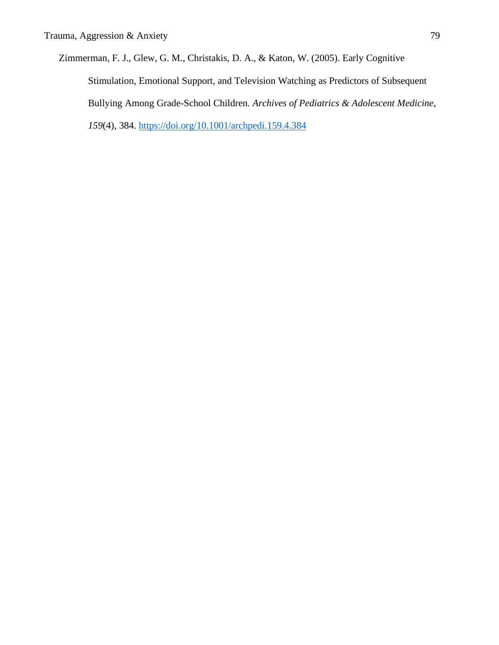Zimmerman, F. J., Glew, G. M., Christakis, D. A., & Katon, W. (2005). Early Cognitive Stimulation, Emotional Support, and Television Watching as Predictors of Subsequent Bullying Among Grade-School Children. *Archives of Pediatrics & Adolescent Medicine*, *159*(4), 384. https://doi.org/10.1001/archpedi.159.4.384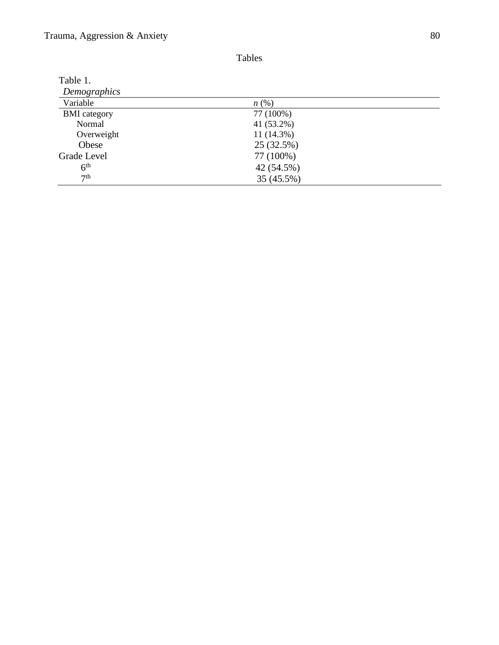| ٠<br>۰.<br>۰, |
|---------------|
|---------------|

| Table 1.            |            |  |
|---------------------|------------|--|
| Demographics        |            |  |
| Variable            | n(%)       |  |
| <b>BMI</b> category | 77 (100%)  |  |
| Normal              | 41 (53.2%) |  |
| Overweight          | 11 (14.3%) |  |
| Obese               | 25 (32.5%) |  |
| Grade Level         | 77 (100%)  |  |
| 6 <sup>th</sup>     | 42 (54.5%) |  |
| 7 <sup>th</sup>     | 35 (45.5%) |  |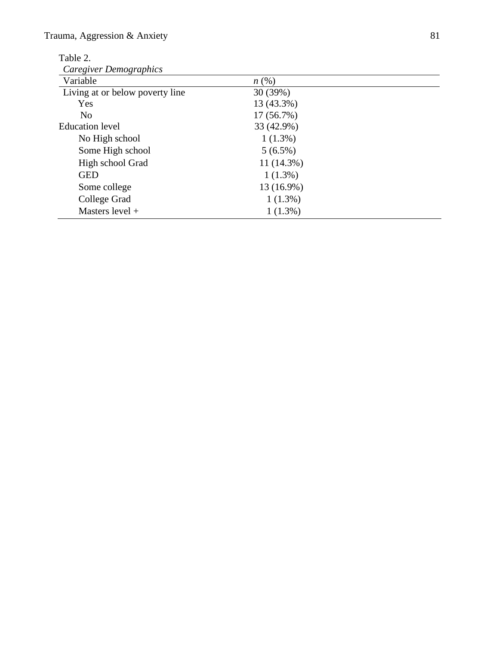Table 2.

| Table 2.                        |            |  |
|---------------------------------|------------|--|
| Caregiver Demographics          |            |  |
| Variable                        | n(%)       |  |
| Living at or below poverty line | 30 (39%)   |  |
| Yes                             | 13 (43.3%) |  |
| N <sub>o</sub>                  | 17 (56.7%) |  |
| <b>Education</b> level          | 33 (42.9%) |  |
| No High school                  | $1(1.3\%)$ |  |
| Some High school                | $5(6.5\%)$ |  |
| High school Grad                | 11 (14.3%) |  |
| <b>GED</b>                      | $1(1.3\%)$ |  |
| Some college                    | 13 (16.9%) |  |
| College Grad                    | $1(1.3\%)$ |  |
| Masters level +                 | $1(1.3\%)$ |  |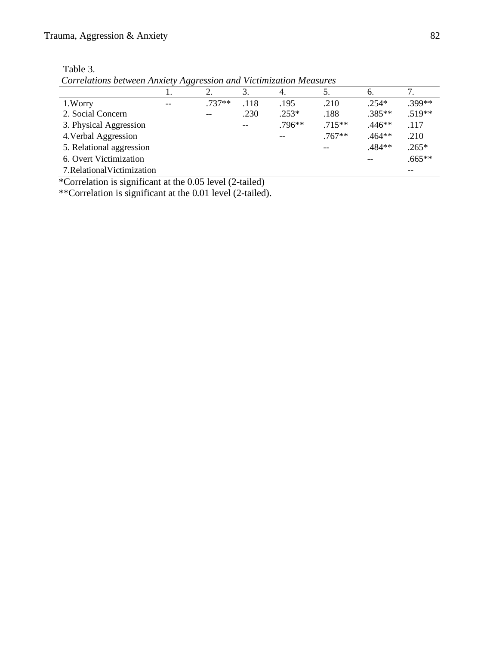| abie |  |
|------|--|
|------|--|

*Correlations between Anxiety Aggression and Victimization Measures*

|                             | $\sim$ |          | 3.   | 4.       |           | 6.       |          |
|-----------------------------|--------|----------|------|----------|-----------|----------|----------|
| 1. Worry                    | $-$    | $.737**$ | .118 | .195     | .210      | $.254*$  | .399**   |
| 2. Social Concern           |        | $- -$    | .230 | $.253*$  | .188      | $.385**$ | $.519**$ |
| 3. Physical Aggression      |        |          | $-$  | $.796**$ | $.715***$ | $.446**$ | .117     |
| 4. Verbal Aggression        |        |          |      |          | $.767**$  | $.464**$ | .210     |
| 5. Relational aggression    |        |          |      |          | --        | .484**   | $.265*$  |
| 6. Overt Victimization      |        |          |      |          |           |          | $.665**$ |
| 7. Relational Victimization |        |          |      |          |           |          |          |

\*Correlation is significant at the 0.05 level (2-tailed)

\*\*Correlation is significant at the 0.01 level (2-tailed).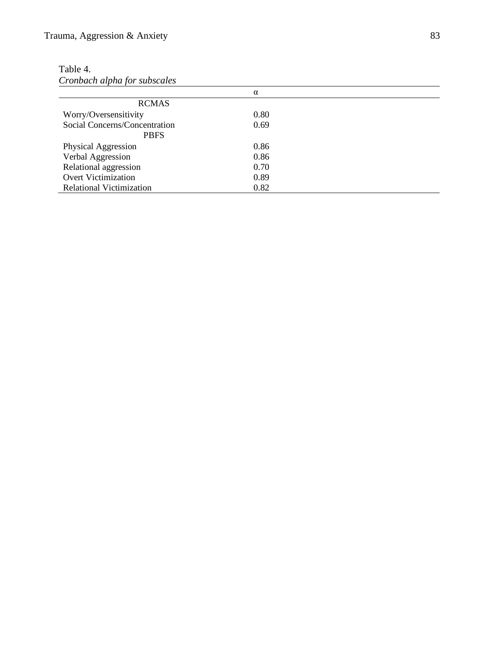| able |  |
|------|--|
|------|--|

*Cronbach alpha for subscales*

|                                 | α    |
|---------------------------------|------|
| <b>RCMAS</b>                    |      |
| Worry/Oversensitivity           | 0.80 |
| Social Concerns/Concentration   | 0.69 |
| <b>PBFS</b>                     |      |
| Physical Aggression             | 0.86 |
| Verbal Aggression               | 0.86 |
| Relational aggression           | 0.70 |
| <b>Overt Victimization</b>      | 0.89 |
| <b>Relational Victimization</b> | 0.82 |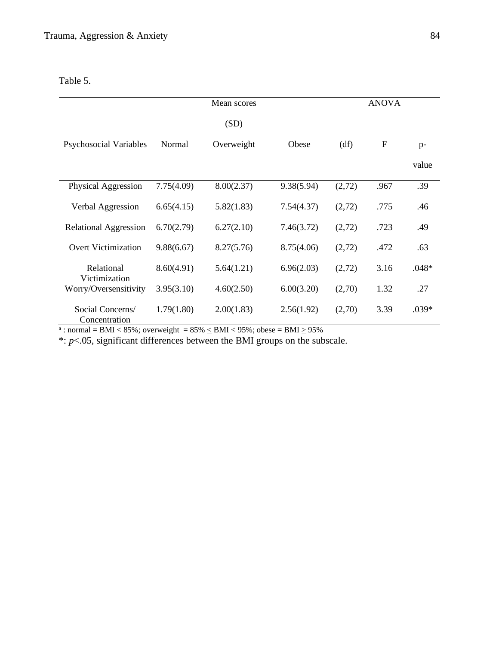Table 5.

|                                   |            | Mean scores |            |        | <b>ANOVA</b> |         |
|-----------------------------------|------------|-------------|------------|--------|--------------|---------|
|                                   |            | (SD)        |            |        |              |         |
| Psychosocial Variables            | Normal     | Overweight  | Obese      | (df)   | ${\bf F}$    | $p-$    |
|                                   |            |             |            |        |              | value   |
| Physical Aggression               | 7.75(4.09) | 8.00(2.37)  | 9.38(5.94) | (2,72) | .967         | .39     |
| Verbal Aggression                 | 6.65(4.15) | 5.82(1.83)  | 7.54(4.37) | (2,72) | .775         | .46     |
| <b>Relational Aggression</b>      | 6.70(2.79) | 6.27(2.10)  | 7.46(3.72) | (2,72) | .723         | .49     |
| <b>Overt Victimization</b>        | 9.88(6.67) | 8.27(5.76)  | 8.75(4.06) | (2,72) | .472         | .63     |
| Relational<br>Victimization       | 8.60(4.91) | 5.64(1.21)  | 6.96(2.03) | (2,72) | 3.16         | .048*   |
| Worry/Oversensitivity             | 3.95(3.10) | 4.60(2.50)  | 6.00(3.20) | (2,70) | 1.32         | .27     |
| Social Concerns/<br>Concentration | 1.79(1.80) | 2.00(1.83)  | 2.56(1.92) | (2,70) | 3.39         | $.039*$ |

<sup>a</sup>: normal = BMI < 85%; overweight =  $85\% \leq BMI$  < 95%; obese = BMI  $\geq 95\%$ 

 $*$ :  $p$ <.05, significant differences between the BMI groups on the subscale.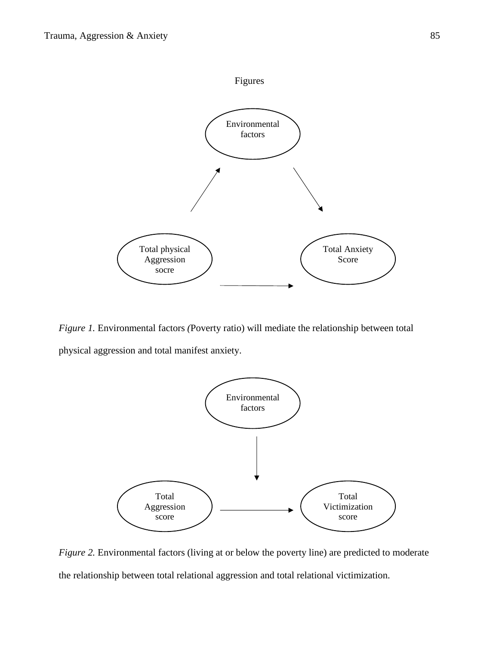

*Figure 1.* Environmental factors *(*Poverty ratio) will mediate the relationship between total physical aggression and total manifest anxiety.



*Figure 2.* Environmental factors (living at or below the poverty line) are predicted to moderate the relationship between total relational aggression and total relational victimization.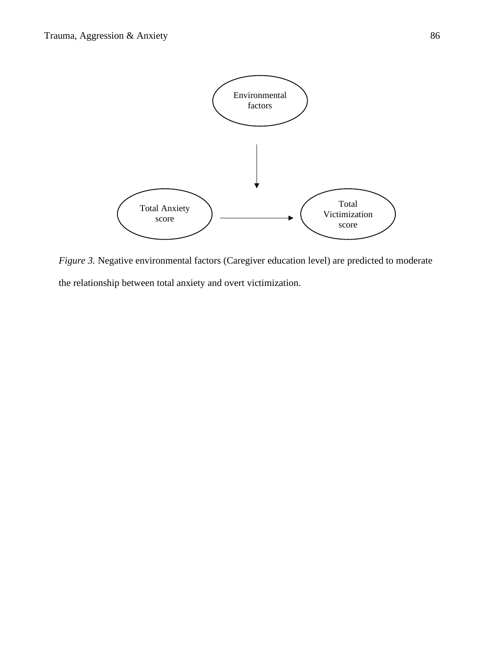

*Figure 3.* Negative environmental factors (Caregiver education level) are predicted to moderate the relationship between total anxiety and overt victimization.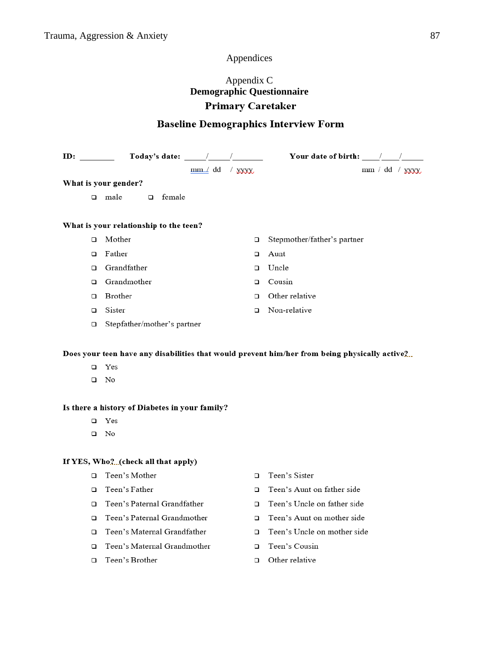## Appendices

# Appendix C **Demographic Questionnaire Primary Caretaker**

# **Baseline Demographics Interview Form**

|        | Today's date: /                        |         |          | Your date of birth: $\sqrt{2\pi}$                                                             |
|--------|----------------------------------------|---------|----------|-----------------------------------------------------------------------------------------------|
|        |                                        | mm / dd | $/$ xxxx | $mm / dd /$ $xyxx$                                                                            |
|        | What is your gender?                   |         |          |                                                                                               |
| $\Box$ | female<br>male<br>$\Box$               |         |          |                                                                                               |
|        |                                        |         |          |                                                                                               |
|        | What is your relationship to the teen? |         |          |                                                                                               |
| $\Box$ | Mother                                 |         | □        | Stepmother/father's partner                                                                   |
| $\Box$ | Father                                 |         | □        | Aunt                                                                                          |
| □      | Grandfather                            |         | □        | Uncle                                                                                         |
| □      | Grandmother                            |         | $\Box$   | Cousin                                                                                        |
| $\Box$ | Brother                                |         | $\Box$   | Other relative                                                                                |
| □      | Sister                                 |         | $\Box$   | Non-relative                                                                                  |
| $\Box$ | Stepfather/mother's partner            |         |          |                                                                                               |
|        |                                        |         |          |                                                                                               |
|        |                                        |         |          | Does your teen have any disabilities that would prevent him/her from being physically active2 |
| □      | Yes                                    |         |          |                                                                                               |
| □      | No                                     |         |          |                                                                                               |
|        |                                        |         |          |                                                                                               |

## Is there a history of Diabetes in your family?

- $\Box$  Yes
- $\square$  No

## If YES, Who, ?... (check all that apply)

- □ Teen's Mother
- □ Teen's Father
- □ Teen's Paternal Grandfather
- □ Teen's Paternal Grandmother
- □ Teen's Maternal Grandfather
- □ Teen's Maternal Grandmother
- $\hfill\Box\quad$  Teen's Brother
- □ Teen's Sister
- □ Teen's Aunt on father side
- □ Teen's Uncle on father side
- □ Teen's Aunt on mother side
- □ Teen's Uncle on mother side
- □ Teen's Cousin
- $\Box$  Other relative